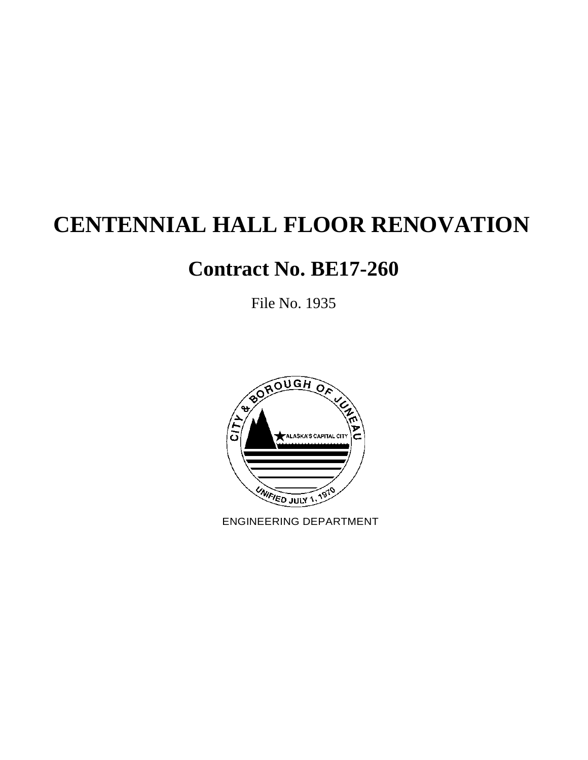# **CENTENNIAL HALL FLOOR RENOVATION**

# **Contract No. BE17-260**

File No. 1935



ENGINEERING DEPARTMENT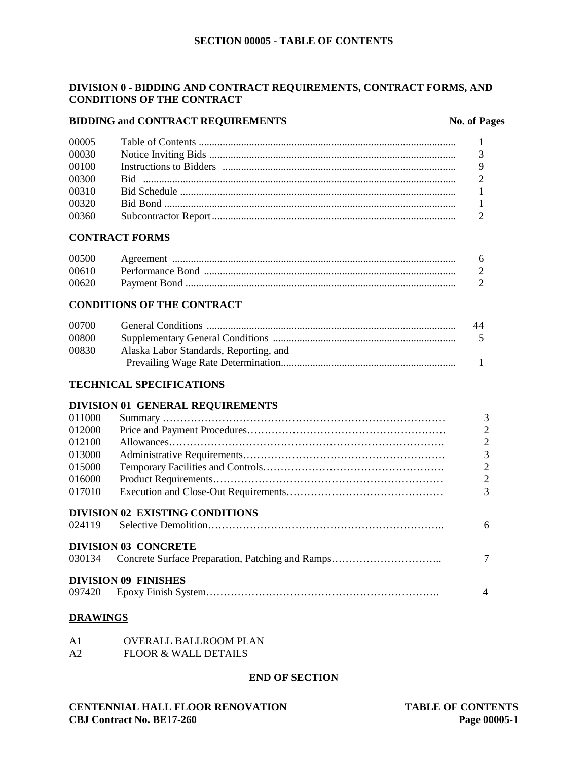# **DIVISION 0 - BIDDING AND CONTRACT REQUIREMENTS, CONTRACT FORMS, AND CONDITIONS OF THE CONTRACT**

# **BIDDING and CONTRACT REQUIREMENTS No. of Pages**

| 00005 |  |
|-------|--|
| 00030 |  |
| 00100 |  |
| 00300 |  |
| 00310 |  |
| 00320 |  |
| 00360 |  |
|       |  |

# **CONTRACT FORMS**

| 00500 |  |
|-------|--|
| 00610 |  |
| 00620 |  |

# **CONDITIONS OF THE CONTRACT**

| 00700 |                                        | 44  |
|-------|----------------------------------------|-----|
| 00800 |                                        | - 5 |
| 00830 | Alaska Labor Standards, Reporting, and |     |
|       |                                        |     |

# **TECHNICAL SPECIFICATIONS**

# **DIVISION 01 GENERAL REQUIREMENTS**

| 011000 |                                 | $\overline{3}$ |
|--------|---------------------------------|----------------|
| 012000 |                                 | $\overline{2}$ |
| 012100 |                                 | $\overline{2}$ |
| 013000 |                                 | $\overline{3}$ |
| 015000 |                                 | $\overline{2}$ |
| 016000 |                                 | $\overline{2}$ |
| 017010 |                                 | $\overline{3}$ |
|        | DIVISION 02 EXISTING CONDITIONS |                |
| 024119 |                                 | 6              |
|        | <b>DIVISION 03 CONCRETE</b>     |                |
|        |                                 | $\overline{7}$ |
|        | <b>DIVISION 09 FINISHES</b>     |                |
|        |                                 | 4              |

# **DRAWINGS**

| A1 | <b>OVERALL BALLROOM PLAN</b> |  |
|----|------------------------------|--|
|    |                              |  |

A2 FLOOR & WALL DETAILS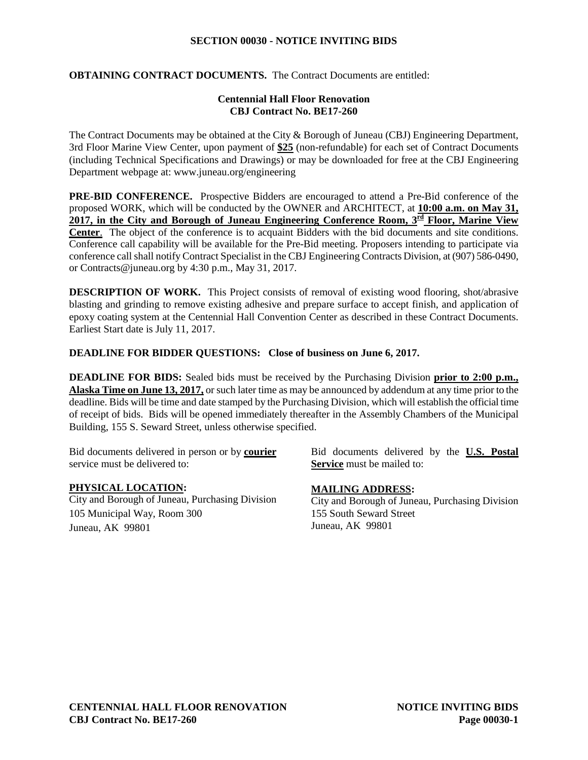# **SECTION 00030 - NOTICE INVITING BIDS**

# **OBTAINING CONTRACT DOCUMENTS.** The Contract Documents are entitled:

# **Centennial Hall Floor Renovation CBJ Contract No. BE17-260**

The Contract Documents may be obtained at the City & Borough of Juneau (CBJ) Engineering Department, 3rd Floor Marine View Center, upon payment of **\$25** (non-refundable) for each set of Contract Documents (including Technical Specifications and Drawings) or may be downloaded for free at the CBJ Engineering Department webpage at: [www.juneau.org/engineering](http://www.juneau.org/engineering)

**PRE-BID CONFERENCE.** Prospective Bidders are encouraged to attend a Pre-Bid conference of the proposed WORK, which will be conducted by the OWNER and ARCHITECT, at **10:00 a.m. on May 31, 2017, in the City and Borough of Juneau Engineering Conference Room, 3rd Floor, Marine View Center**. The object of the conference is to acquaint Bidders with the bid documents and site conditions. Conference call capability will be available for the Pre-Bid meeting. Proposers intending to participate via conference call shall notify Contract Specialist in the CBJ Engineering Contracts Division, at (907) 586-0490, or Contracts@juneau.org by 4:30 p.m., May 31, 2017.

**DESCRIPTION OF WORK.** This Project consists of removal of existing wood flooring, shot/abrasive blasting and grinding to remove existing adhesive and prepare surface to accept finish, and application of epoxy coating system at the Centennial Hall Convention Center as described in these Contract Documents. Earliest Start date is July 11, 2017.

# **DEADLINE FOR BIDDER QUESTIONS: Close of business on June 6, 2017.**

**DEADLINE FOR BIDS:** Sealed bids must be received by the Purchasing Division **prior to 2:00 p.m., Alaska Time on June 13, 2017,** or such later time as may be announced by addendum at any time prior to the deadline. Bids will be time and date stamped by the Purchasing Division, which will establish the official time of receipt of bids. Bids will be opened immediately thereafter in the Assembly Chambers of the Municipal Building, 155 S. Seward Street, unless otherwise specified.

Bid documents delivered in person or by **courier** service must be delivered to:

# **PHYSICAL LOCATION:**

City and Borough of Juneau, Purchasing Division 105 Municipal Way, Room 300 Juneau, AK 99801

Bid documents delivered by the **U.S. Postal Service** must be mailed to:

# **MAILING ADDRESS:**

City and Borough of Juneau, Purchasing Division 155 South Seward Street Juneau, AK 99801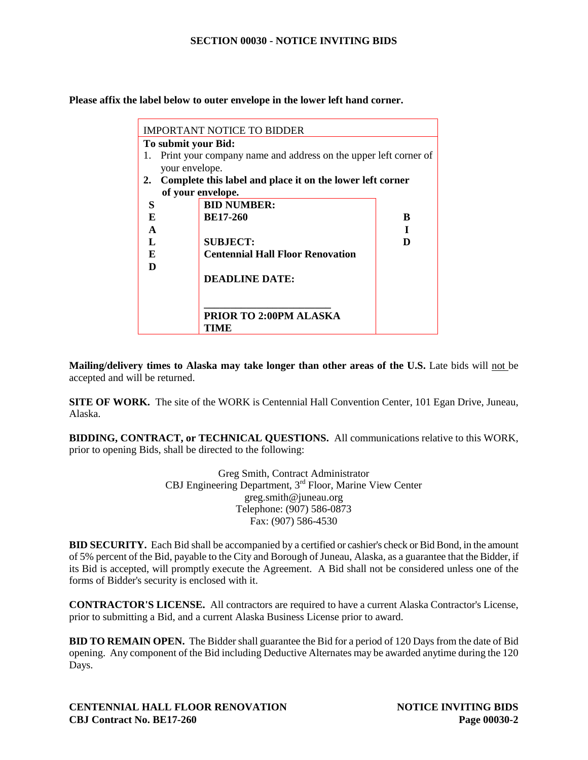#### **SECTION 00030 - NOTICE INVITING BIDS**

**Please affix the label below to outer envelope in the lower left hand corner.**

|    | IMPORTANT NOTICE TO BIDDER |                                                                 |   |
|----|----------------------------|-----------------------------------------------------------------|---|
|    | To submit your Bid:        |                                                                 |   |
| 1. |                            | Print your company name and address on the upper left corner of |   |
|    | your envelope.             |                                                                 |   |
| 2. |                            | Complete this label and place it on the lower left corner       |   |
|    | of your envelope.          |                                                                 |   |
| S  | <b>BID NUMBER:</b>         |                                                                 |   |
| E  | <b>BE17-260</b>            |                                                                 | B |
| A  |                            |                                                                 |   |
| L  | <b>SUBJECT:</b>            |                                                                 | D |
| F. |                            | <b>Centennial Hall Floor Renovation</b>                         |   |
| D  |                            |                                                                 |   |
|    | <b>DEADLINE DATE:</b>      |                                                                 |   |
|    |                            |                                                                 |   |
|    |                            |                                                                 |   |
|    |                            | <b>PRIOR TO 2:00PM ALASKA</b>                                   |   |
|    | TIME                       |                                                                 |   |

**Mailing/delivery times to Alaska may take longer than other areas of the U.S.** Late bids will not be accepted and will be returned.

**SITE OF WORK.** The site of the WORK is Centennial Hall Convention Center, 101 Egan Drive, Juneau, Alaska.

**BIDDING, CONTRACT, or TECHNICAL QUESTIONS.** All communications relative to this WORK, prior to opening Bids, shall be directed to the following:

> Greg Smith, Contract Administrator CBJ Engineering Department, 3rd Floor, Marine View Center greg.smith@juneau.org Telephone: (907) 586-0873 Fax: (907) 586-4530

**BID SECURITY.** Each Bid shall be accompanied by a certified or cashier's check or Bid Bond, in the amount of 5% percent of the Bid, payable to the City and Borough of Juneau, Alaska, as a guarantee that the Bidder, if its Bid is accepted, will promptly execute the Agreement. A Bid shall not be considered unless one of the forms of Bidder's security is enclosed with it.

**CONTRACTOR'S LICENSE.** All contractors are required to have a current Alaska Contractor's License, prior to submitting a Bid, and a current Alaska Business License prior to award.

**BID TO REMAIN OPEN.** The Bidder shall guarantee the Bid for a period of 120 Days from the date of Bid opening. Any component of the Bid including Deductive Alternates may be awarded anytime during the 120 Days.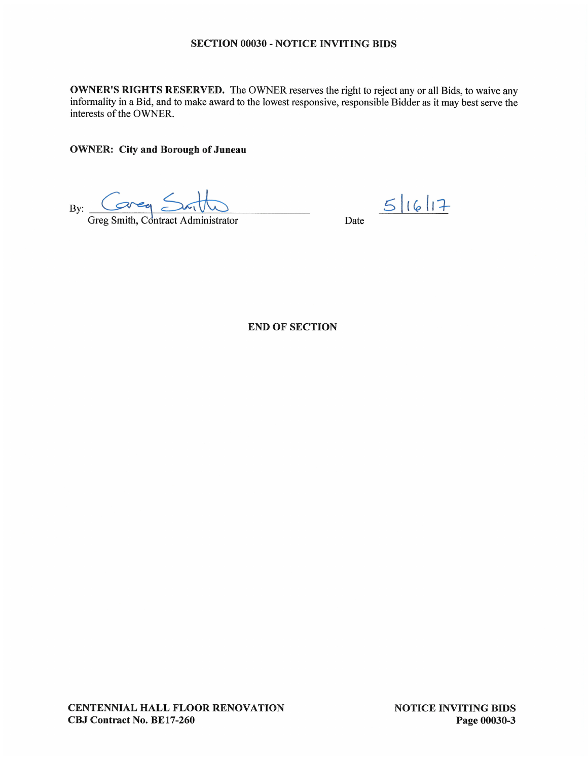# **SECTION 00030 - NOTICE INVITING BIDS**

**OWNER'S RIGHTS RESERVED.** The OWNER reserves the right to reject any or all Bids, to waive any informality in a Bid, and to make award to the lowest responsive, responsible Bidder as it may best serve the interests of the OWNER.

**OWNER:** City and Borough of Juneau

 $area <$ By:  $\overline{\phantom{0}}$ 

Greg Smith, Contract Administrator

Date  $5|16|17$ 

**END OF SECTION** 

**CENTENNIAL HALL FLOOR RENOVATION** CBJ Contract No. BE17-260

**NOTICE INVITING BIDS** Page 00030-3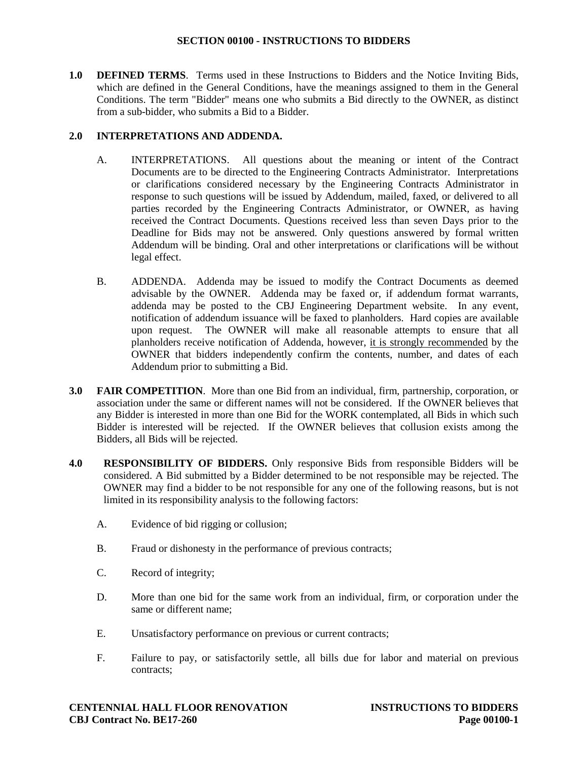**1.0 DEFINED TERMS**. Terms used in these Instructions to Bidders and the Notice Inviting Bids, which are defined in the General Conditions, have the meanings assigned to them in the General Conditions. The term "Bidder" means one who submits a Bid directly to the OWNER, as distinct from a sub-bidder, who submits a Bid to a Bidder.

# **2.0 INTERPRETATIONS AND ADDENDA.**

- A. INTERPRETATIONS. All questions about the meaning or intent of the Contract Documents are to be directed to the Engineering Contracts Administrator. Interpretations or clarifications considered necessary by the Engineering Contracts Administrator in response to such questions will be issued by Addendum, mailed, faxed, or delivered to all parties recorded by the Engineering Contracts Administrator, or OWNER, as having received the Contract Documents. Questions received less than seven Days prior to the Deadline for Bids may not be answered. Only questions answered by formal written Addendum will be binding. Oral and other interpretations or clarifications will be without legal effect.
- B. ADDENDA. Addenda may be issued to modify the Contract Documents as deemed advisable by the OWNER. Addenda may be faxed or, if addendum format warrants, addenda may be posted to the CBJ Engineering Department website. In any event, notification of addendum issuance will be faxed to planholders. Hard copies are available upon request. The OWNER will make all reasonable attempts to ensure that all planholders receive notification of Addenda, however, it is strongly recommended by the OWNER that bidders independently confirm the contents, number, and dates of each Addendum prior to submitting a Bid.
- **3.0 FAIR COMPETITION**. More than one Bid from an individual, firm, partnership, corporation, or association under the same or different names will not be considered. If the OWNER believes that any Bidder is interested in more than one Bid for the WORK contemplated, all Bids in which such Bidder is interested will be rejected. If the OWNER believes that collusion exists among the Bidders, all Bids will be rejected.
- **4.0 RESPONSIBILITY OF BIDDERS.** Only responsive Bids from responsible Bidders will be considered. A Bid submitted by a Bidder determined to be not responsible may be rejected. The OWNER may find a bidder to be not responsible for any one of the following reasons, but is not limited in its responsibility analysis to the following factors:
	- A. Evidence of bid rigging or collusion;
	- B. Fraud or dishonesty in the performance of previous contracts;
	- C. Record of integrity;
	- D. More than one bid for the same work from an individual, firm, or corporation under the same or different name;
	- E. Unsatisfactory performance on previous or current contracts;
	- F. Failure to pay, or satisfactorily settle, all bills due for labor and material on previous contracts;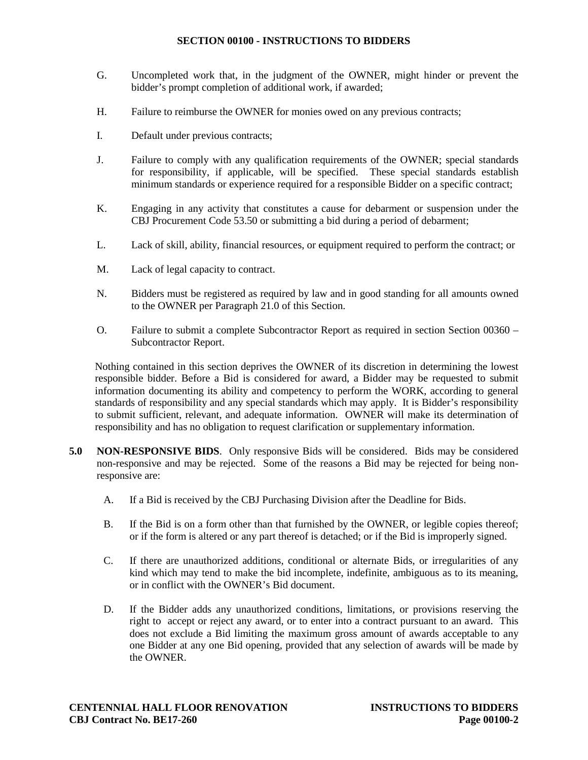- G. Uncompleted work that, in the judgment of the OWNER, might hinder or prevent the bidder's prompt completion of additional work, if awarded;
- H. Failure to reimburse the OWNER for monies owed on any previous contracts;
- I. Default under previous contracts;
- J. Failure to comply with any qualification requirements of the OWNER; special standards for responsibility, if applicable, will be specified. These special standards establish minimum standards or experience required for a responsible Bidder on a specific contract;
- K. Engaging in any activity that constitutes a cause for debarment or suspension under the CBJ Procurement Code 53.50 or submitting a bid during a period of debarment;
- L. Lack of skill, ability, financial resources, or equipment required to perform the contract; or
- M. Lack of legal capacity to contract.
- N. Bidders must be registered as required by law and in good standing for all amounts owned to the OWNER per Paragraph 21.0 of this Section.
- O. Failure to submit a complete Subcontractor Report as required in section Section 00360 Subcontractor Report.

Nothing contained in this section deprives the OWNER of its discretion in determining the lowest responsible bidder. Before a Bid is considered for award, a Bidder may be requested to submit information documenting its ability and competency to perform the WORK, according to general standards of responsibility and any special standards which may apply. It is Bidder's responsibility to submit sufficient, relevant, and adequate information. OWNER will make its determination of responsibility and has no obligation to request clarification or supplementary information.

- **5.0 NON-RESPONSIVE BIDS**. Only responsive Bids will be considered. Bids may be considered non-responsive and may be rejected. Some of the reasons a Bid may be rejected for being nonresponsive are:
	- A. If a Bid is received by the CBJ Purchasing Division after the Deadline for Bids.
	- B. If the Bid is on a form other than that furnished by the OWNER, or legible copies thereof; or if the form is altered or any part thereof is detached; or if the Bid is improperly signed.
	- C. If there are unauthorized additions, conditional or alternate Bids, or irregularities of any kind which may tend to make the bid incomplete, indefinite, ambiguous as to its meaning, or in conflict with the OWNER's Bid document.
	- D. If the Bidder adds any unauthorized conditions, limitations, or provisions reserving the right to accept or reject any award, or to enter into a contract pursuant to an award. This does not exclude a Bid limiting the maximum gross amount of awards acceptable to any one Bidder at any one Bid opening, provided that any selection of awards will be made by the OWNER.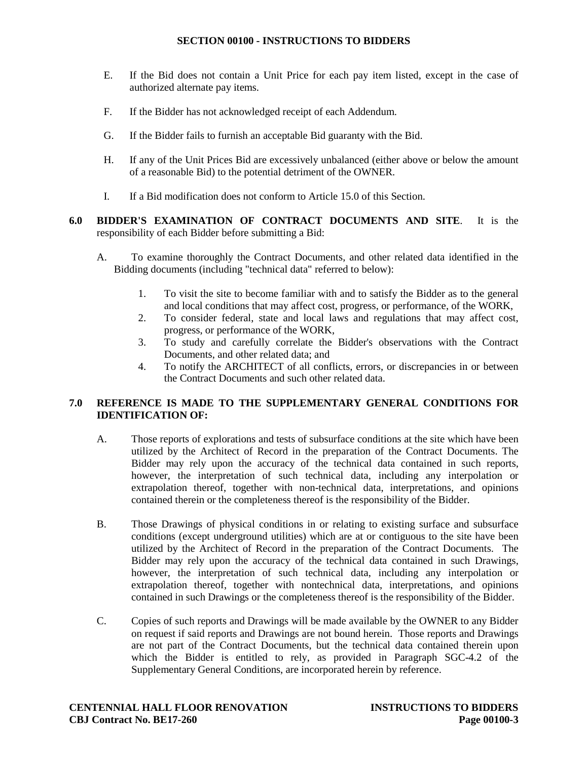- E. If the Bid does not contain a Unit Price for each pay item listed, except in the case of authorized alternate pay items.
- F. If the Bidder has not acknowledged receipt of each Addendum.
- G. If the Bidder fails to furnish an acceptable Bid guaranty with the Bid.
- H. If any of the Unit Prices Bid are excessively unbalanced (either above or below the amount of a reasonable Bid) to the potential detriment of the OWNER.
- I. If a Bid modification does not conform to Article 15.0 of this Section.
- **6.0 BIDDER'S EXAMINATION OF CONTRACT DOCUMENTS AND SITE**. It is the responsibility of each Bidder before submitting a Bid:
	- A. To examine thoroughly the Contract Documents, and other related data identified in the Bidding documents (including "technical data" referred to below):
		- 1. To visit the site to become familiar with and to satisfy the Bidder as to the general and local conditions that may affect cost, progress, or performance, of the WORK,
		- 2. To consider federal, state and local laws and regulations that may affect cost, progress, or performance of the WORK,
		- 3. To study and carefully correlate the Bidder's observations with the Contract Documents, and other related data; and
		- 4. To notify the ARCHITECT of all conflicts, errors, or discrepancies in or between the Contract Documents and such other related data.

# **7.0 REFERENCE IS MADE TO THE SUPPLEMENTARY GENERAL CONDITIONS FOR IDENTIFICATION OF:**

- A. Those reports of explorations and tests of subsurface conditions at the site which have been utilized by the Architect of Record in the preparation of the Contract Documents. The Bidder may rely upon the accuracy of the technical data contained in such reports, however, the interpretation of such technical data, including any interpolation or extrapolation thereof, together with non-technical data, interpretations, and opinions contained therein or the completeness thereof is the responsibility of the Bidder.
- B. Those Drawings of physical conditions in or relating to existing surface and subsurface conditions (except underground utilities) which are at or contiguous to the site have been utilized by the Architect of Record in the preparation of the Contract Documents. The Bidder may rely upon the accuracy of the technical data contained in such Drawings, however, the interpretation of such technical data, including any interpolation or extrapolation thereof, together with nontechnical data, interpretations, and opinions contained in such Drawings or the completeness thereof is the responsibility of the Bidder.
- C. Copies of such reports and Drawings will be made available by the OWNER to any Bidder on request if said reports and Drawings are not bound herein. Those reports and Drawings are not part of the Contract Documents, but the technical data contained therein upon which the Bidder is entitled to rely, as provided in Paragraph SGC-4.2 of the Supplementary General Conditions, are incorporated herein by reference.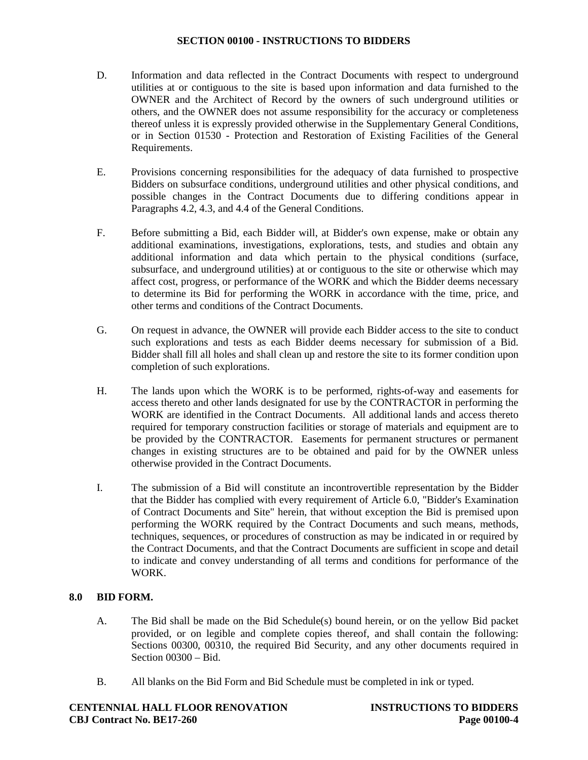- D. Information and data reflected in the Contract Documents with respect to underground utilities at or contiguous to the site is based upon information and data furnished to the OWNER and the Architect of Record by the owners of such underground utilities or others, and the OWNER does not assume responsibility for the accuracy or completeness thereof unless it is expressly provided otherwise in the Supplementary General Conditions, or in Section 01530 - Protection and Restoration of Existing Facilities of the General Requirements.
- E. Provisions concerning responsibilities for the adequacy of data furnished to prospective Bidders on subsurface conditions, underground utilities and other physical conditions, and possible changes in the Contract Documents due to differing conditions appear in Paragraphs 4.2, 4.3, and 4.4 of the General Conditions.
- F. Before submitting a Bid, each Bidder will, at Bidder's own expense, make or obtain any additional examinations, investigations, explorations, tests, and studies and obtain any additional information and data which pertain to the physical conditions (surface, subsurface, and underground utilities) at or contiguous to the site or otherwise which may affect cost, progress, or performance of the WORK and which the Bidder deems necessary to determine its Bid for performing the WORK in accordance with the time, price, and other terms and conditions of the Contract Documents.
- G. On request in advance, the OWNER will provide each Bidder access to the site to conduct such explorations and tests as each Bidder deems necessary for submission of a Bid. Bidder shall fill all holes and shall clean up and restore the site to its former condition upon completion of such explorations.
- H. The lands upon which the WORK is to be performed, rights-of-way and easements for access thereto and other lands designated for use by the CONTRACTOR in performing the WORK are identified in the Contract Documents. All additional lands and access thereto required for temporary construction facilities or storage of materials and equipment are to be provided by the CONTRACTOR. Easements for permanent structures or permanent changes in existing structures are to be obtained and paid for by the OWNER unless otherwise provided in the Contract Documents.
- I. The submission of a Bid will constitute an incontrovertible representation by the Bidder that the Bidder has complied with every requirement of Article 6.0, "Bidder's Examination of Contract Documents and Site" herein, that without exception the Bid is premised upon performing the WORK required by the Contract Documents and such means, methods, techniques, sequences, or procedures of construction as may be indicated in or required by the Contract Documents, and that the Contract Documents are sufficient in scope and detail to indicate and convey understanding of all terms and conditions for performance of the WORK.

# **8.0 BID FORM.**

- A. The Bid shall be made on the Bid Schedule(s) bound herein, or on the yellow Bid packet provided, or on legible and complete copies thereof, and shall contain the following: Sections 00300, 00310, the required Bid Security, and any other documents required in Section 00300 – Bid.
- B. All blanks on the Bid Form and Bid Schedule must be completed in ink or typed.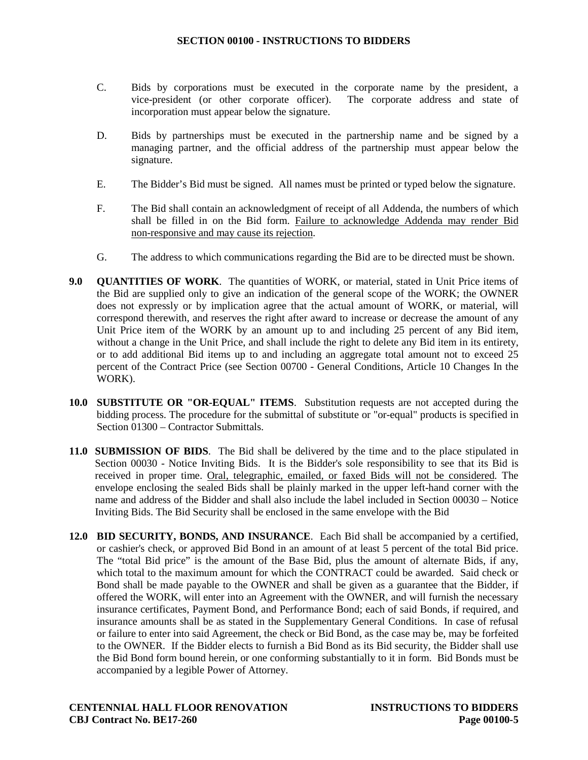- C. Bids by corporations must be executed in the corporate name by the president, a vice-president (or other corporate officer). The corporate address and state of incorporation must appear below the signature.
- D. Bids by partnerships must be executed in the partnership name and be signed by a managing partner, and the official address of the partnership must appear below the signature.
- E. The Bidder's Bid must be signed. All names must be printed or typed below the signature.
- F. The Bid shall contain an acknowledgment of receipt of all Addenda, the numbers of which shall be filled in on the Bid form. Failure to acknowledge Addenda may render Bid non-responsive and may cause its rejection.
- G. The address to which communications regarding the Bid are to be directed must be shown.
- **9.0 QUANTITIES OF WORK**. The quantities of WORK, or material, stated in Unit Price items of the Bid are supplied only to give an indication of the general scope of the WORK; the OWNER does not expressly or by implication agree that the actual amount of WORK, or material, will correspond therewith, and reserves the right after award to increase or decrease the amount of any Unit Price item of the WORK by an amount up to and including 25 percent of any Bid item, without a change in the Unit Price, and shall include the right to delete any Bid item in its entirety, or to add additional Bid items up to and including an aggregate total amount not to exceed 25 percent of the Contract Price (see Section 00700 - General Conditions, Article 10 Changes In the WORK).
- **10.0 SUBSTITUTE OR "OR-EQUAL" ITEMS**. Substitution requests are not accepted during the bidding process. The procedure for the submittal of substitute or "or-equal" products is specified in Section 01300 – Contractor Submittals.
- **11.0 SUBMISSION OF BIDS**. The Bid shall be delivered by the time and to the place stipulated in Section 00030 - Notice Inviting Bids. It is the Bidder's sole responsibility to see that its Bid is received in proper time. Oral, telegraphic, emailed, or faxed Bids will not be considered. The envelope enclosing the sealed Bids shall be plainly marked in the upper left-hand corner with the name and address of the Bidder and shall also include the label included in Section 00030 – Notice Inviting Bids. The Bid Security shall be enclosed in the same envelope with the Bid
- **12.0 BID SECURITY, BONDS, AND INSURANCE**. Each Bid shall be accompanied by a certified, or cashier's check, or approved Bid Bond in an amount of at least 5 percent of the total Bid price. The "total Bid price" is the amount of the Base Bid, plus the amount of alternate Bids, if any, which total to the maximum amount for which the CONTRACT could be awarded. Said check or Bond shall be made payable to the OWNER and shall be given as a guarantee that the Bidder, if offered the WORK, will enter into an Agreement with the OWNER, and will furnish the necessary insurance certificates, Payment Bond, and Performance Bond; each of said Bonds, if required, and insurance amounts shall be as stated in the Supplementary General Conditions. In case of refusal or failure to enter into said Agreement, the check or Bid Bond, as the case may be, may be forfeited to the OWNER. If the Bidder elects to furnish a Bid Bond as its Bid security, the Bidder shall use the Bid Bond form bound herein, or one conforming substantially to it in form. Bid Bonds must be accompanied by a legible Power of Attorney.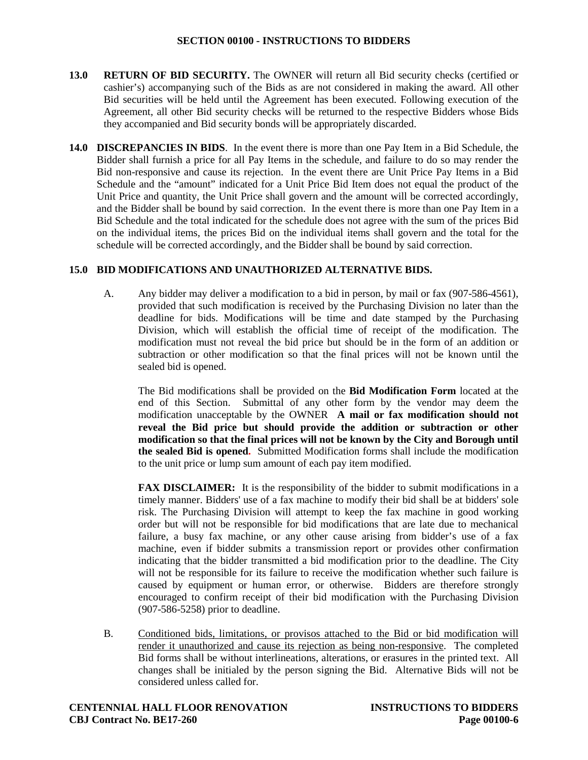- **13.0 RETURN OF BID SECURITY.** The OWNER will return all Bid security checks (certified or cashier's) accompanying such of the Bids as are not considered in making the award. All other Bid securities will be held until the Agreement has been executed. Following execution of the Agreement, all other Bid security checks will be returned to the respective Bidders whose Bids they accompanied and Bid security bonds will be appropriately discarded.
- **14.0 DISCREPANCIES IN BIDS**. In the event there is more than one Pay Item in a Bid Schedule, the Bidder shall furnish a price for all Pay Items in the schedule, and failure to do so may render the Bid non-responsive and cause its rejection. In the event there are Unit Price Pay Items in a Bid Schedule and the "amount" indicated for a Unit Price Bid Item does not equal the product of the Unit Price and quantity, the Unit Price shall govern and the amount will be corrected accordingly, and the Bidder shall be bound by said correction. In the event there is more than one Pay Item in a Bid Schedule and the total indicated for the schedule does not agree with the sum of the prices Bid on the individual items, the prices Bid on the individual items shall govern and the total for the schedule will be corrected accordingly, and the Bidder shall be bound by said correction.

# **15.0 BID MODIFICATIONS AND UNAUTHORIZED ALTERNATIVE BIDS.**

A. Any bidder may deliver a modification to a bid in person, by mail or fax (907-586-4561), provided that such modification is received by the Purchasing Division no later than the deadline for bids. Modifications will be time and date stamped by the Purchasing Division, which will establish the official time of receipt of the modification. The modification must not reveal the bid price but should be in the form of an addition or subtraction or other modification so that the final prices will not be known until the sealed bid is opened.

The Bid modifications shall be provided on the **Bid Modification Form** located at the end of this Section. Submittal of any other form by the vendor may deem the modification unacceptable by the OWNER **A mail or fax modification should not reveal the Bid price but should provide the addition or subtraction or other modification so that the final prices will not be known by the City and Borough until the sealed Bid is opened.** Submitted Modification forms shall include the modification to the unit price or lump sum amount of each pay item modified.

**FAX DISCLAIMER:** It is the responsibility of the bidder to submit modifications in a timely manner. Bidders' use of a fax machine to modify their bid shall be at bidders' sole risk. The Purchasing Division will attempt to keep the fax machine in good working order but will not be responsible for bid modifications that are late due to mechanical failure, a busy fax machine, or any other cause arising from bidder's use of a fax machine, even if bidder submits a transmission report or provides other confirmation indicating that the bidder transmitted a bid modification prior to the deadline. The City will not be responsible for its failure to receive the modification whether such failure is caused by equipment or human error, or otherwise. Bidders are therefore strongly encouraged to confirm receipt of their bid modification with the Purchasing Division (907-586-5258) prior to deadline.

B. Conditioned bids, limitations, or provisos attached to the Bid or bid modification will render it unauthorized and cause its rejection as being non-responsive. The completed Bid forms shall be without interlineations, alterations, or erasures in the printed text. All changes shall be initialed by the person signing the Bid. Alternative Bids will not be considered unless called for.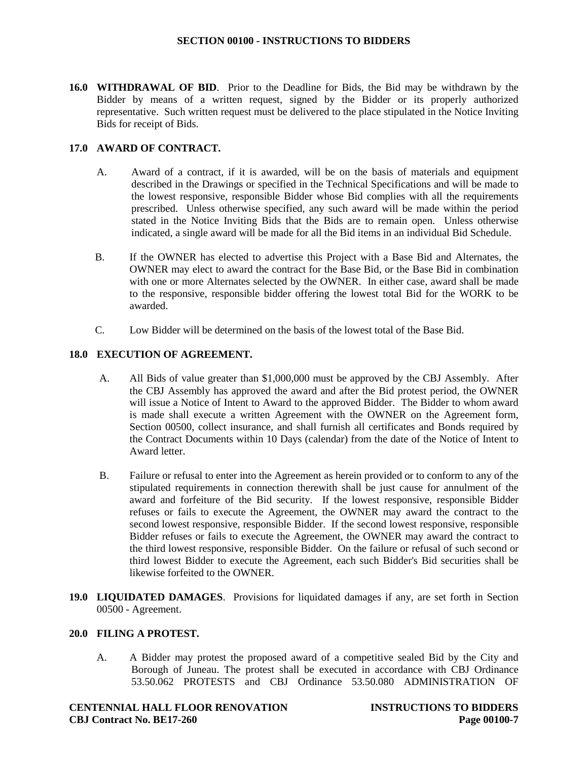**16.0 WITHDRAWAL OF BID**. Prior to the Deadline for Bids, the Bid may be withdrawn by the Bidder by means of a written request, signed by the Bidder or its properly authorized representative. Such written request must be delivered to the place stipulated in the Notice Inviting Bids for receipt of Bids.

# **17.0 AWARD OF CONTRACT.**

- A. Award of a contract, if it is awarded, will be on the basis of materials and equipment described in the Drawings or specified in the Technical Specifications and will be made to the lowest responsive, responsible Bidder whose Bid complies with all the requirements prescribed. Unless otherwise specified, any such award will be made within the period stated in the Notice Inviting Bids that the Bids are to remain open. Unless otherwise indicated, a single award will be made for all the Bid items in an individual Bid Schedule.
- B. If the OWNER has elected to advertise this Project with a Base Bid and Alternates, the OWNER may elect to award the contract for the Base Bid, or the Base Bid in combination with one or more Alternates selected by the OWNER. In either case, award shall be made to the responsive, responsible bidder offering the lowest total Bid for the WORK to be awarded.
- C. Low Bidder will be determined on the basis of the lowest total of the Base Bid.

# **18.0 EXECUTION OF AGREEMENT.**

- A. All Bids of value greater than \$1,000,000 must be approved by the CBJ Assembly. After the CBJ Assembly has approved the award and after the Bid protest period, the OWNER will issue a Notice of Intent to Award to the approved Bidder. The Bidder to whom award is made shall execute a written Agreement with the OWNER on the Agreement form, Section 00500, collect insurance, and shall furnish all certificates and Bonds required by the Contract Documents within 10 Days (calendar) from the date of the Notice of Intent to Award letter.
- B. Failure or refusal to enter into the Agreement as herein provided or to conform to any of the stipulated requirements in connection therewith shall be just cause for annulment of the award and forfeiture of the Bid security. If the lowest responsive, responsible Bidder refuses or fails to execute the Agreement, the OWNER may award the contract to the second lowest responsive, responsible Bidder. If the second lowest responsive, responsible Bidder refuses or fails to execute the Agreement, the OWNER may award the contract to the third lowest responsive, responsible Bidder. On the failure or refusal of such second or third lowest Bidder to execute the Agreement, each such Bidder's Bid securities shall be likewise forfeited to the OWNER.
- **19.0 LIQUIDATED DAMAGES**. Provisions for liquidated damages if any, are set forth in Section 00500 - Agreement.

# **20.0 FILING A PROTEST.**

A. A Bidder may protest the proposed award of a competitive sealed Bid by the City and Borough of Juneau. The protest shall be executed in accordance with CBJ Ordinance 53.50.062 PROTESTS and CBJ Ordinance 53.50.080 ADMINISTRATION OF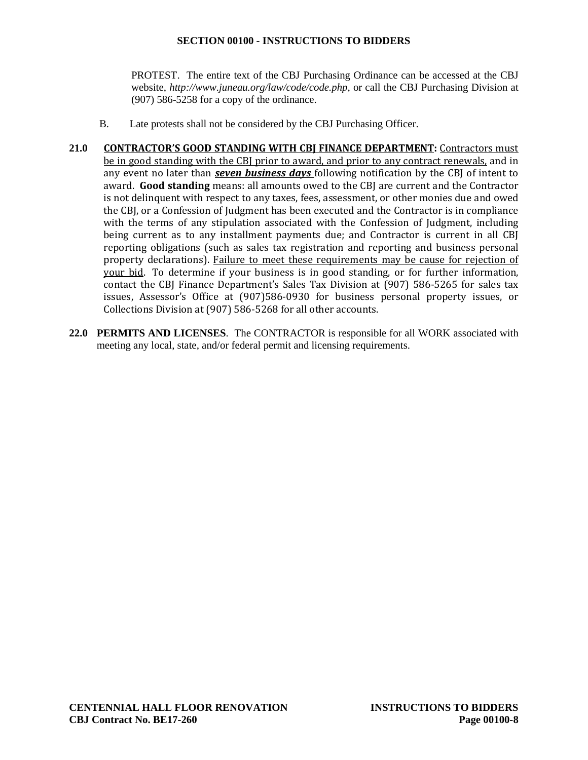PROTEST. The entire text of the CBJ Purchasing Ordinance can be accessed at the CBJ website, *http://www.juneau.org/law/code/code.php*, or call the CBJ Purchasing Division at (907) 586-5258 for a copy of the ordinance.

- B. Late protests shall not be considered by the CBJ Purchasing Officer.
- **21.0 CONTRACTOR'S GOOD STANDING WITH CBJ FINANCE DEPARTMENT:** Contractors must be in good standing with the CBJ prior to award, and prior to any contract renewals, and in any event no later than *seven business days* following notification by the CBJ of intent to award. **Good standing** means: all amounts owed to the CBJ are current and the Contractor is not delinquent with respect to any taxes, fees, assessment, or other monies due and owed the CBJ, or a Confession of Judgment has been executed and the Contractor is in compliance with the terms of any stipulation associated with the Confession of Judgment, including being current as to any installment payments due; and Contractor is current in all CBJ reporting obligations (such as sales tax registration and reporting and business personal property declarations). Failure to meet these requirements may be cause for rejection of your bid. To determine if your business is in good standing, or for further information, contact the CBJ Finance Department's Sales Tax Division at (907) 586-5265 for sales tax issues, Assessor's Office at (907)586-0930 for business personal property issues, or Collections Division at (907) 586-5268 for all other accounts.
- **22.0 PERMITS AND LICENSES**. The CONTRACTOR is responsible for all WORK associated with meeting any local, state, and/or federal permit and licensing requirements.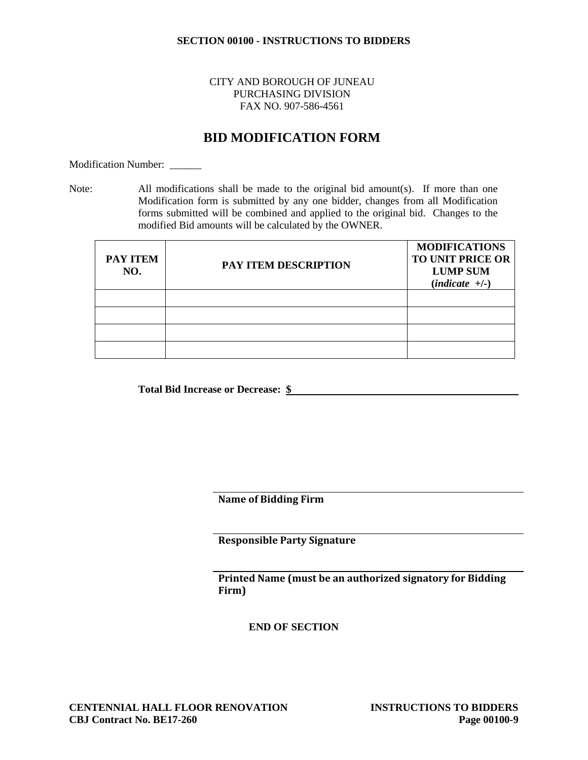# CITY AND BOROUGH OF JUNEAU PURCHASING DIVISION FAX NO. 907-586-4561

# **BID MODIFICATION FORM**

Modification Number:

Note: All modifications shall be made to the original bid amount(s). If more than one Modification form is submitted by any one bidder, changes from all Modification forms submitted will be combined and applied to the original bid. Changes to the modified Bid amounts will be calculated by the OWNER.

| <b>PAY ITEM</b><br>NO. | PAY ITEM DESCRIPTION | <b>MODIFICATIONS</b><br><b>TO UNIT PRICE OR</b><br><b>LUMP SUM</b><br>$(indicte +/-)$ |
|------------------------|----------------------|---------------------------------------------------------------------------------------|
|                        |                      |                                                                                       |
|                        |                      |                                                                                       |
|                        |                      |                                                                                       |
|                        |                      |                                                                                       |

**Total Bid Increase or Decrease: \$**

**Name of Bidding Firm**

**Responsible Party Signature** 

**Printed Name (must be an authorized signatory for Bidding Firm)**

**END OF SECTION**

**CENTENNIAL HALL FLOOR RENOVATION INSTRUCTIONS TO BIDDERS CBJ Contract No. BE17-260 Page 00100-9**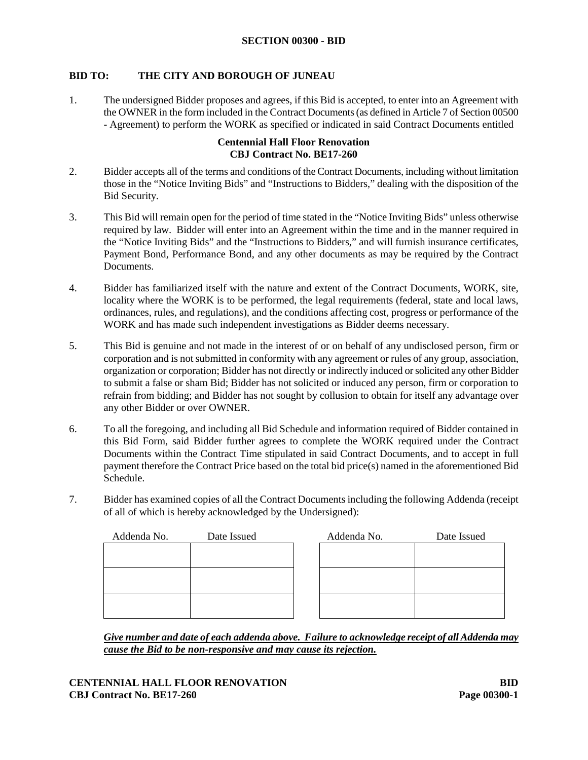# **BID TO: THE CITY AND BOROUGH OF JUNEAU**

1. The undersigned Bidder proposes and agrees, if this Bid is accepted, to enter into an Agreement with the OWNER in the form included in the Contract Documents (as defined in Article 7 of Section 00500 - Agreement) to perform the WORK as specified or indicated in said Contract Documents entitled

# **Centennial Hall Floor Renovation CBJ Contract No. BE17-260**

- 2. Bidder accepts all of the terms and conditions of the Contract Documents, including without limitation those in the "Notice Inviting Bids" and "Instructions to Bidders," dealing with the disposition of the Bid Security.
- 3. This Bid will remain open for the period of time stated in the "Notice Inviting Bids" unless otherwise required by law. Bidder will enter into an Agreement within the time and in the manner required in the "Notice Inviting Bids" and the "Instructions to Bidders," and will furnish insurance certificates, Payment Bond, Performance Bond, and any other documents as may be required by the Contract Documents.
- 4. Bidder has familiarized itself with the nature and extent of the Contract Documents, WORK, site, locality where the WORK is to be performed, the legal requirements (federal, state and local laws, ordinances, rules, and regulations), and the conditions affecting cost, progress or performance of the WORK and has made such independent investigations as Bidder deems necessary.
- 5. This Bid is genuine and not made in the interest of or on behalf of any undisclosed person, firm or corporation and is not submitted in conformity with any agreement or rules of any group, association, organization or corporation; Bidder has not directly or indirectly induced or solicited any other Bidder to submit a false or sham Bid; Bidder has not solicited or induced any person, firm or corporation to refrain from bidding; and Bidder has not sought by collusion to obtain for itself any advantage over any other Bidder or over OWNER.
- 6. To all the foregoing, and including all Bid Schedule and information required of Bidder contained in this Bid Form, said Bidder further agrees to complete the WORK required under the Contract Documents within the Contract Time stipulated in said Contract Documents, and to accept in full payment therefore the Contract Price based on the total bid price(s) named in the aforementioned Bid Schedule.
- 7. Bidder has examined copies of all the Contract Documents including the following Addenda (receipt of all of which is hereby acknowledged by the Undersigned):

| Addenda No. | Date Issued | Addenda No. | Date Issued |
|-------------|-------------|-------------|-------------|
|             |             |             |             |
|             |             |             |             |
|             |             |             |             |
|             |             |             |             |
|             |             |             |             |
|             |             |             |             |

*Give number and date of each addenda above. Failure to acknowledge receipt of all Addenda may cause the Bid to be non-responsive and may cause its rejection.*

**CENTENNIAL HALL FLOOR RENOVATION BID CBJ Contract No. BE17-260 Page 00300-1**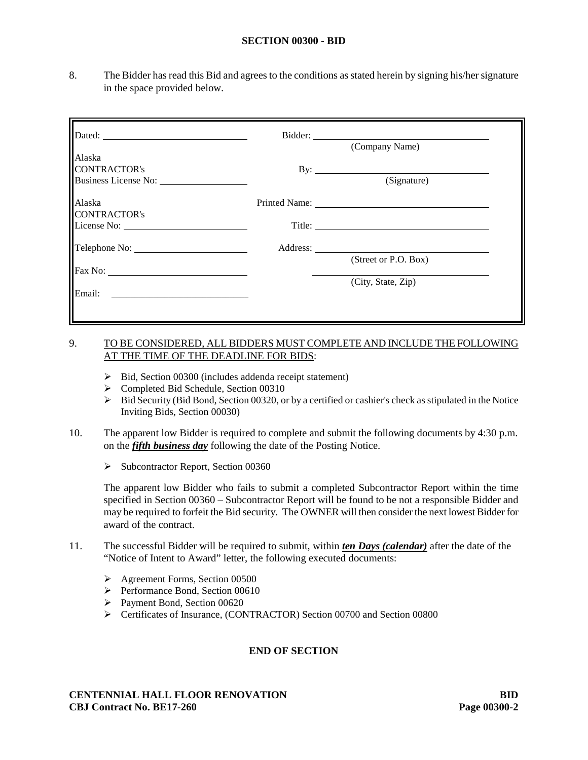#### **SECTION 00300 - BID**

8. The Bidder has read this Bid and agrees to the conditions as stated herein by signing his/her signature in the space provided below.

|                             | (Company Name)       |  |
|-----------------------------|----------------------|--|
| Alaska                      |                      |  |
| <b>CONTRACTOR's</b>         |                      |  |
| <b>Business License No:</b> | (Signature)          |  |
| Alaska                      |                      |  |
| <b>CONTRACTOR's</b>         |                      |  |
|                             |                      |  |
|                             |                      |  |
|                             | (Street or P.O. Box) |  |
| Fax No:                     |                      |  |
|                             | (City, State, Zip)   |  |
| Email:                      |                      |  |
|                             |                      |  |
|                             |                      |  |

# 9. TO BE CONSIDERED, ALL BIDDERS MUST COMPLETE AND INCLUDE THE FOLLOWING AT THE TIME OF THE DEADLINE FOR BIDS:

- $\triangleright$  Bid, Section 00300 (includes addenda receipt statement)
- Completed Bid Schedule, Section 00310
- Bid Security (Bid Bond, Section 00320, or by a certified or cashier's check as stipulated in the Notice Inviting Bids, Section 00030)
- 10. The apparent low Bidder is required to complete and submit the following documents by 4:30 p.m. on the *fifth business day* following the date of the Posting Notice.
	- $\triangleright$  Subcontractor Report, Section 00360

The apparent low Bidder who fails to submit a completed Subcontractor Report within the time specified in Section 00360 – Subcontractor Report will be found to be not a responsible Bidder and may be required to forfeit the Bid security. The OWNER will then consider the next lowest Bidder for award of the contract.

- 11. The successful Bidder will be required to submit, within *ten Days (calendar)* after the date of the "Notice of Intent to Award" letter, the following executed documents:
	- Agreement Forms, Section 00500
	- $\triangleright$  Performance Bond, Section 00610
	- Payment Bond, Section 00620
	- Certificates of Insurance, (CONTRACTOR) Section 00700 and Section 00800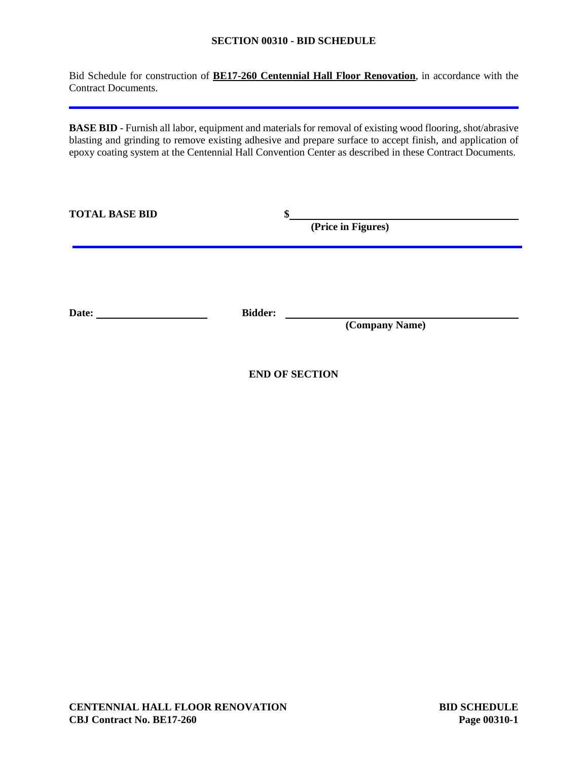# **SECTION 00310 - BID SCHEDULE**

Bid Schedule for construction of **BE17-260 Centennial Hall Floor Renovation**, in accordance with the Contract Documents.

**BASE BID** - Furnish all labor, equipment and materials for removal of existing wood flooring, shot/abrasive blasting and grinding to remove existing adhesive and prepare surface to accept finish, and application of epoxy coating system at the Centennial Hall Convention Center as described in these Contract Documents.

| <b>TOTAL BASE BID</b> | \$             | (Price in Figures) |  |
|-----------------------|----------------|--------------------|--|
| Date:                 | <b>Bidder:</b> | (Company Name)     |  |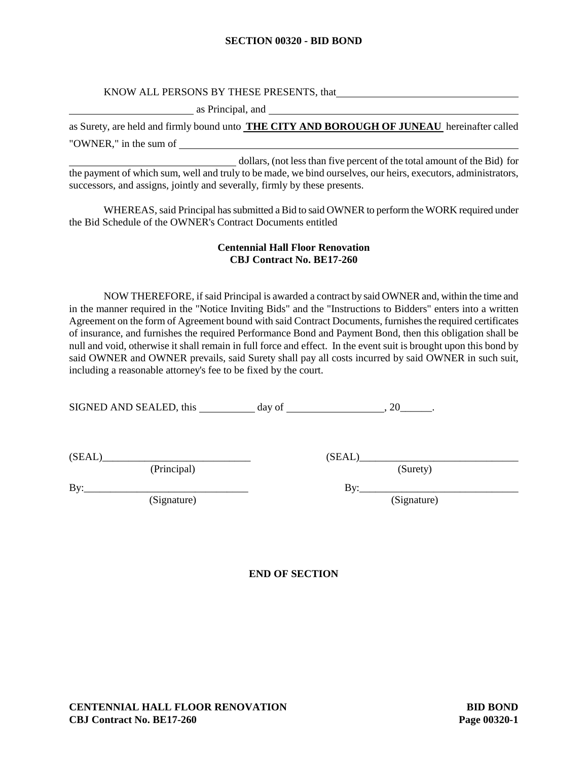#### **SECTION 00320 - BID BOND**

# KNOW ALL PERSONS BY THESE PRESENTS, that

as Principal, and

as Surety, are held and firmly bound unto **THE CITY AND BOROUGH OF JUNEAU** hereinafter called "OWNER," in the sum of

 dollars, (not less than five percent of the total amount of the Bid) for the payment of which sum, well and truly to be made, we bind ourselves, our heirs, executors, administrators, successors, and assigns, jointly and severally, firmly by these presents.

WHEREAS, said Principal has submitted a Bid to said OWNER to perform the WORK required under the Bid Schedule of the OWNER's Contract Documents entitled

# **Centennial Hall Floor Renovation CBJ Contract No. BE17-260**

NOW THEREFORE, if said Principal is awarded a contract by said OWNER and, within the time and in the manner required in the "Notice Inviting Bids" and the "Instructions to Bidders" enters into a written Agreement on the form of Agreement bound with said Contract Documents, furnishes the required certificates of insurance, and furnishes the required Performance Bond and Payment Bond, then this obligation shall be null and void, otherwise it shall remain in full force and effect. In the event suit is brought upon this bond by said OWNER and OWNER prevails, said Surety shall pay all costs incurred by said OWNER in such suit, including a reasonable attorney's fee to be fixed by the court.

SIGNED AND SEALED, this day of , 20\_\_\_\_\_\_.

 $(SEAL)$  (SEAL)

(Principal) (Surety)

(Signature) (Signature)

By:\_\_\_\_\_\_\_\_\_\_\_\_\_\_\_\_\_\_\_\_\_\_\_\_\_\_\_\_\_\_\_ By:\_\_\_\_\_\_\_\_\_\_\_\_\_\_\_\_\_\_\_\_\_\_\_\_\_\_\_\_\_\_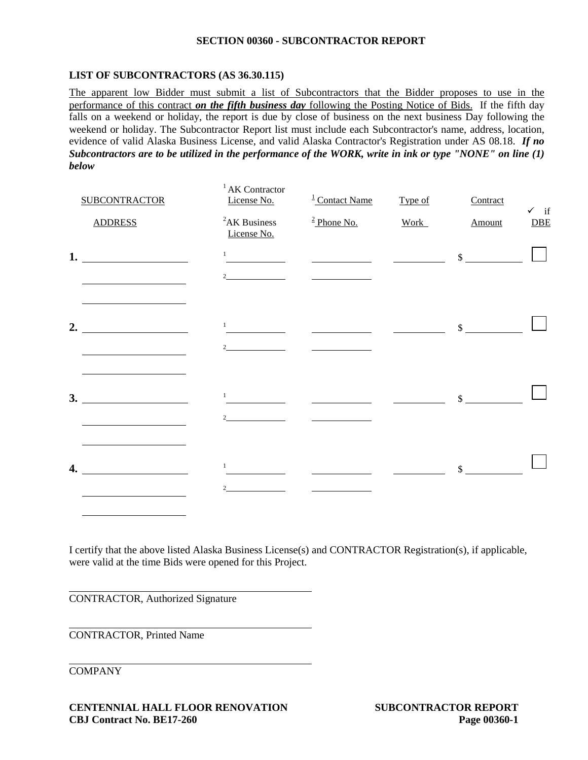#### **SECTION 00360 - SUBCONTRACTOR REPORT**

# **LIST OF SUBCONTRACTORS (AS 36.30.115)**

The apparent low Bidder must submit a list of Subcontractors that the Bidder proposes to use in the performance of this contract *on the fifth business day* following the Posting Notice of Bids. If the fifth day falls on a weekend or holiday, the report is due by close of business on the next business Day following the weekend or holiday. The Subcontractor Report list must include each Subcontractor's name, address, location, evidence of valid Alaska Business License, and valid Alaska Contractor's Registration under AS 08.18. *If no Subcontractors are to be utilized in the performance of the WORK, write in ink or type "NONE" on line (1) below*

|    | <b>SUBCONTRACTOR</b> | <sup>1</sup> AK Contractor<br>License No. | $\frac{1}{2}$ Contact Name                     | Type of     | Contract      | $\checkmark$ if |
|----|----------------------|-------------------------------------------|------------------------------------------------|-------------|---------------|-----------------|
|    | <b>ADDRESS</b>       | ${}^{2}AK$ Business<br>License No.        | $\frac{2 \text{ Phone No.}}{2 \text{$          | <b>Work</b> | Amount        | $DE$            |
|    | 1. $\qquad \qquad$   | $\mathbf{1}$                              | <u>and the state of the state of the state</u> |             | $\sim$        |                 |
|    |                      | $\mathfrak{D}$                            |                                                |             |               |                 |
| 2. |                      | $\mathbf{1}$                              |                                                |             | $\mathbb{S}$  |                 |
|    |                      |                                           |                                                |             |               |                 |
|    |                      |                                           |                                                |             |               |                 |
|    | 3.                   | $\mathbf{1}$<br>$\overline{2}$            |                                                |             | $\mathcal{S}$ |                 |
|    |                      |                                           |                                                |             |               |                 |
| 4. |                      | 1                                         |                                                |             | $\mathbb{S}$  |                 |
|    |                      |                                           |                                                |             |               |                 |

I certify that the above listed Alaska Business License(s) and CONTRACTOR Registration(s), if applicable, were valid at the time Bids were opened for this Project.

CONTRACTOR, Authorized Signature

CONTRACTOR, Printed Name

COMPANY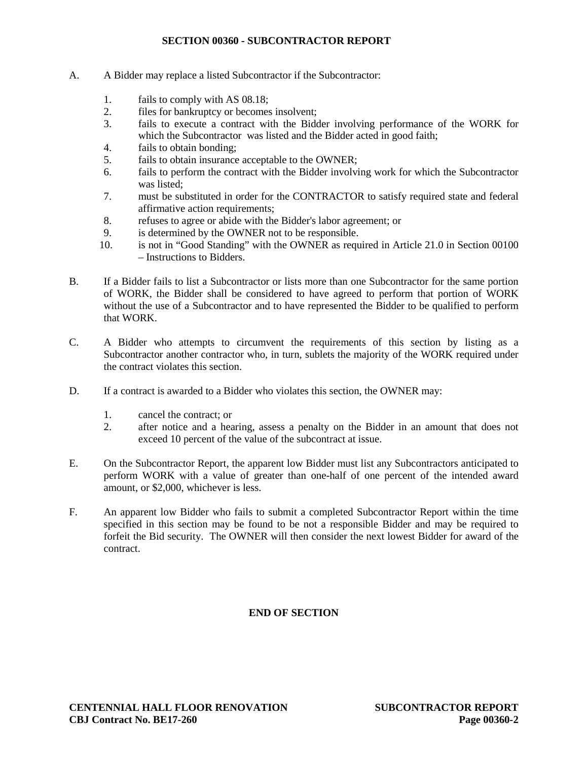# **SECTION 00360 - SUBCONTRACTOR REPORT**

- A. A Bidder may replace a listed Subcontractor if the Subcontractor:
	- 1. fails to comply with AS 08.18;
	- 2. files for bankruptcy or becomes insolvent;
	- 3. fails to execute a contract with the Bidder involving performance of the WORK for which the Subcontractor was listed and the Bidder acted in good faith;
	- 4. fails to obtain bonding;
	- 5. fails to obtain insurance acceptable to the OWNER;
	- 6. fails to perform the contract with the Bidder involving work for which the Subcontractor was listed;
	- 7. must be substituted in order for the CONTRACTOR to satisfy required state and federal affirmative action requirements;
	- 8. refuses to agree or abide with the Bidder's labor agreement; or<br>9. is determined by the OWNER not to be responsible.
	- is determined by the OWNER not to be responsible.
	- 10. is not in "Good Standing" with the OWNER as required in Article 21.0 in Section 00100 – Instructions to Bidders.
- B. If a Bidder fails to list a Subcontractor or lists more than one Subcontractor for the same portion of WORK, the Bidder shall be considered to have agreed to perform that portion of WORK without the use of a Subcontractor and to have represented the Bidder to be qualified to perform that WORK.
- C. A Bidder who attempts to circumvent the requirements of this section by listing as a Subcontractor another contractor who, in turn, sublets the majority of the WORK required under the contract violates this section.
- D. If a contract is awarded to a Bidder who violates this section, the OWNER may:
	- 1. cancel the contract; or
	- 2. after notice and a hearing, assess a penalty on the Bidder in an amount that does not exceed 10 percent of the value of the subcontract at issue.
- E. On the Subcontractor Report, the apparent low Bidder must list any Subcontractors anticipated to perform WORK with a value of greater than one-half of one percent of the intended award amount, or \$2,000, whichever is less.
- F. An apparent low Bidder who fails to submit a completed Subcontractor Report within the time specified in this section may be found to be not a responsible Bidder and may be required to forfeit the Bid security. The OWNER will then consider the next lowest Bidder for award of the contract.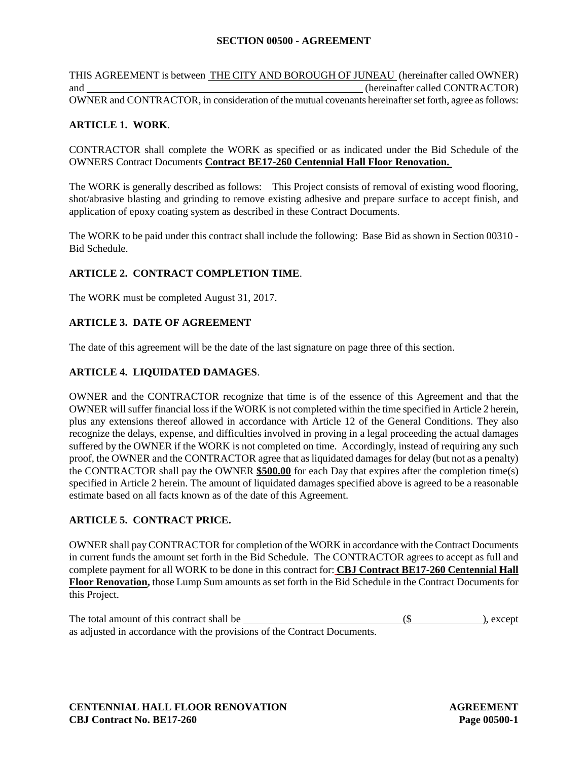# **SECTION 00500 - AGREEMENT**

THIS AGREEMENT is between THE CITY AND BOROUGH OF JUNEAU (hereinafter called OWNER) and (hereinafter called CONTRACTOR) OWNER and CONTRACTOR, in consideration of the mutual covenants hereinafter set forth, agree as follows:

# **ARTICLE 1. WORK**.

CONTRACTOR shall complete the WORK as specified or as indicated under the Bid Schedule of the OWNERS Contract Documents **Contract BE17-260 Centennial Hall Floor Renovation.**

The WORK is generally described as follows: This Project consists of removal of existing wood flooring, shot/abrasive blasting and grinding to remove existing adhesive and prepare surface to accept finish, and application of epoxy coating system as described in these Contract Documents.

The WORK to be paid under this contract shall include the following: Base Bid as shown in Section 00310 - Bid Schedule.

# **ARTICLE 2. CONTRACT COMPLETION TIME**.

The WORK must be completed August 31, 2017.

# **ARTICLE 3. DATE OF AGREEMENT**

The date of this agreement will be the date of the last signature on page three of this section.

# **ARTICLE 4. LIQUIDATED DAMAGES**.

OWNER and the CONTRACTOR recognize that time is of the essence of this Agreement and that the OWNER will suffer financial loss if the WORK is not completed within the time specified in Article 2 herein, plus any extensions thereof allowed in accordance with Article 12 of the General Conditions. They also recognize the delays, expense, and difficulties involved in proving in a legal proceeding the actual damages suffered by the OWNER if the WORK is not completed on time. Accordingly, instead of requiring any such proof, the OWNER and the CONTRACTOR agree that as liquidated damages for delay (but not as a penalty) the CONTRACTOR shall pay the OWNER **\$500.00** for each Day that expires after the completion time(s) specified in Article 2 herein. The amount of liquidated damages specified above is agreed to be a reasonable estimate based on all facts known as of the date of this Agreement.

# **ARTICLE 5. CONTRACT PRICE.**

OWNER shall pay CONTRACTOR for completion of the WORK in accordance with the Contract Documents in current funds the amount set forth in the Bid Schedule. The CONTRACTOR agrees to accept as full and complete payment for all WORK to be done in this contract for: **CBJ Contract BE17-260 Centennial Hall Floor Renovation,** those Lump Sum amounts as set forth in the Bid Schedule in the Contract Documents for this Project.

| The total amount of this contract shall be                               | ), except |
|--------------------------------------------------------------------------|-----------|
| as adjusted in accordance with the provisions of the Contract Documents. |           |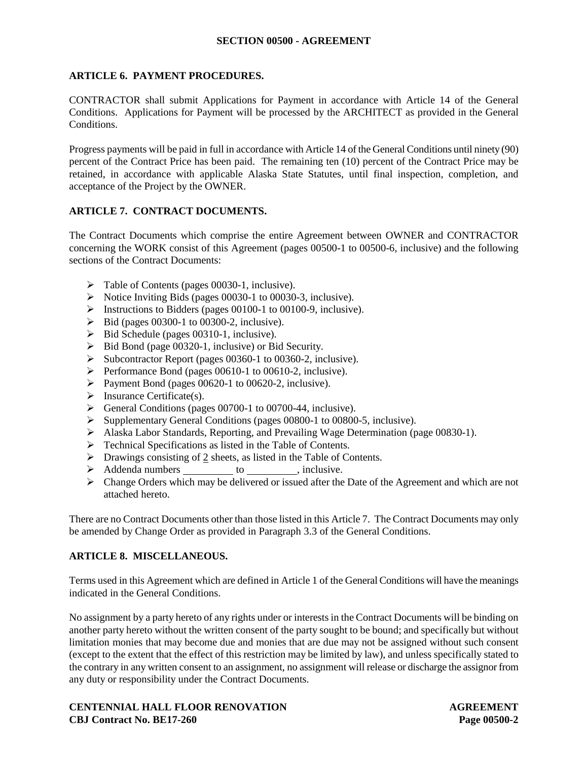# **SECTION 00500 - AGREEMENT**

# **ARTICLE 6. PAYMENT PROCEDURES.**

CONTRACTOR shall submit Applications for Payment in accordance with Article 14 of the General Conditions. Applications for Payment will be processed by the ARCHITECT as provided in the General Conditions.

Progress payments will be paid in full in accordance with Article 14 of the General Conditions until ninety (90) percent of the Contract Price has been paid. The remaining ten (10) percent of the Contract Price may be retained, in accordance with applicable Alaska State Statutes, until final inspection, completion, and acceptance of the Project by the OWNER.

# **ARTICLE 7. CONTRACT DOCUMENTS.**

The Contract Documents which comprise the entire Agreement between OWNER and CONTRACTOR concerning the WORK consist of this Agreement (pages 00500-1 to 00500-6, inclusive) and the following sections of the Contract Documents:

- Table of Contents (pages 00030-1, inclusive).
- $\triangleright$  Notice Inviting Bids (pages 00030-1 to 00030-3, inclusive).
- $\triangleright$  Instructions to Bidders (pages 00100-1 to 00100-9, inclusive).
- $\triangleright$  Bid (pages 00300-1 to 00300-2, inclusive).
- $\triangleright$  Bid Schedule (pages 00310-1, inclusive).
- $\triangleright$  Bid Bond (page 00320-1, inclusive) or Bid Security.
- $\triangleright$  Subcontractor Report (pages 00360-1 to 00360-2, inclusive).
- $\triangleright$  Performance Bond (pages 00610-1 to 00610-2, inclusive).
- Payment Bond (pages  $00620-1$  to  $00620-2$ , inclusive).
- $\triangleright$  Insurance Certificate(s).
- $\triangleright$  General Conditions (pages 00700-1 to 00700-44, inclusive).
- Supplementary General Conditions (pages 00800-1 to 00800-5, inclusive).
- Alaska Labor Standards, Reporting, and Prevailing Wage Determination (page 00830-1).
- > Technical Specifications as listed in the Table of Contents.
- $\triangleright$  Drawings consisting of 2 sheets, as listed in the Table of Contents.
- > Addenda numbers to , inclusive.
- $\triangleright$  Change Orders which may be delivered or issued after the Date of the Agreement and which are not attached hereto.

There are no Contract Documents other than those listed in this Article 7. The Contract Documents may only be amended by Change Order as provided in Paragraph 3.3 of the General Conditions.

# **ARTICLE 8. MISCELLANEOUS.**

Terms used in this Agreement which are defined in Article 1 of the General Conditions will have the meanings indicated in the General Conditions.

No assignment by a party hereto of any rights under or interests in the Contract Documents will be binding on another party hereto without the written consent of the party sought to be bound; and specifically but without limitation monies that may become due and monies that are due may not be assigned without such consent (except to the extent that the effect of this restriction may be limited by law), and unless specifically stated to the contrary in any written consent to an assignment, no assignment will release or discharge the assignor from any duty or responsibility under the Contract Documents.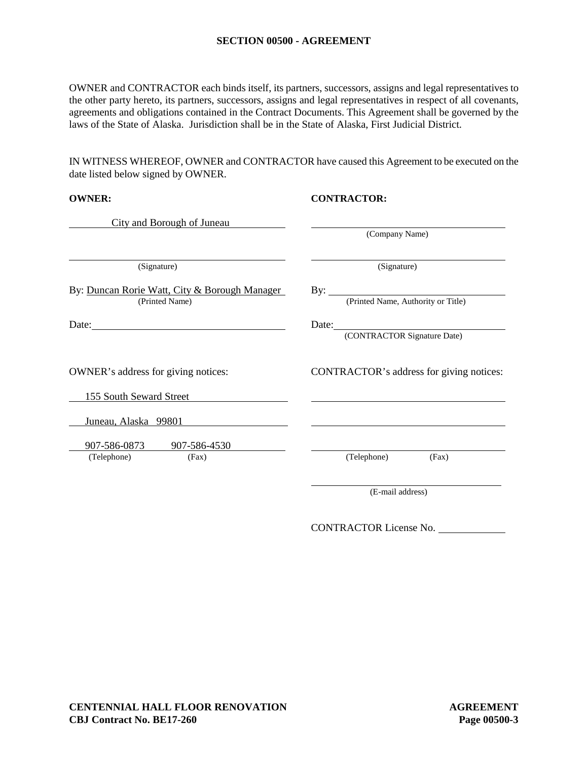#### **SECTION 00500 - AGREEMENT**

OWNER and CONTRACTOR each binds itself, its partners, successors, assigns and legal representatives to the other party hereto, its partners, successors, assigns and legal representatives in respect of all covenants, agreements and obligations contained in the Contract Documents. This Agreement shall be governed by the laws of the State of Alaska. Jurisdiction shall be in the State of Alaska, First Judicial District.

IN WITNESS WHEREOF, OWNER and CONTRACTOR have caused this Agreement to be executed on the date listed below signed by OWNER.

| <b>OWNER:</b>                                                   | <b>CONTRACTOR:</b>                             |  |
|-----------------------------------------------------------------|------------------------------------------------|--|
| City and Borough of Juneau                                      |                                                |  |
|                                                                 | (Company Name)                                 |  |
| (Signature)                                                     | (Signature)                                    |  |
| By: Duncan Rorie Watt, City & Borough Manager<br>(Printed Name) | By: <u>(Printed Name</u> , Authority or Title) |  |
|                                                                 | (CONTRACTOR Signature Date)                    |  |
| OWNER's address for giving notices:                             | CONTRACTOR's address for giving notices:       |  |
| 155 South Seward Street                                         |                                                |  |
| Juneau, Alaska 99801                                            |                                                |  |
| 907-586-0873 907-586-4530                                       |                                                |  |
| (Telephone)<br>(Fax)                                            | (Telephone)<br>(Fax)                           |  |
|                                                                 | (E-mail address)                               |  |

CONTRACTOR License No.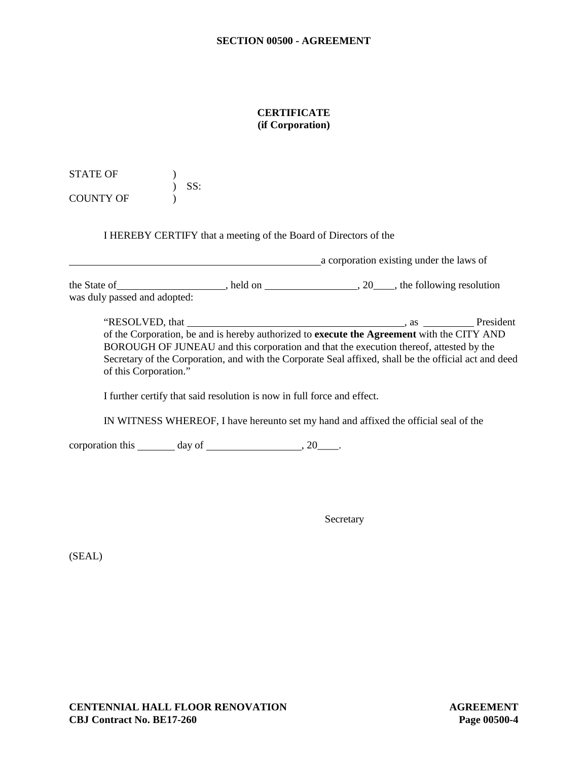# **CERTIFICATE (if Corporation)**

STATE OF  $\qquad \qquad$  ) ) SS: COUNTY OF )

I HEREBY CERTIFY that a meeting of the Board of Directors of the

 a corporation existing under the laws of the State of , held on , held on , 20 , the following resolution was duly passed and adopted:

"RESOLVED, that President and American control of the President and American control of the President and American control of the President and American control of the President and American control of the American control of the Corporation, be and is hereby authorized to **execute the Agreement** with the CITY AND BOROUGH OF JUNEAU and this corporation and that the execution thereof, attested by the Secretary of the Corporation, and with the Corporate Seal affixed, shall be the official act and deed of this Corporation."

I further certify that said resolution is now in full force and effect.

IN WITNESS WHEREOF, I have hereunto set my hand and affixed the official seal of the

corporation this  $\_\_\_\_$  day of  $\_\_\_\_\_\_$ , 20 $\_\_\_\_\.$ 

**Secretary** 

(SEAL)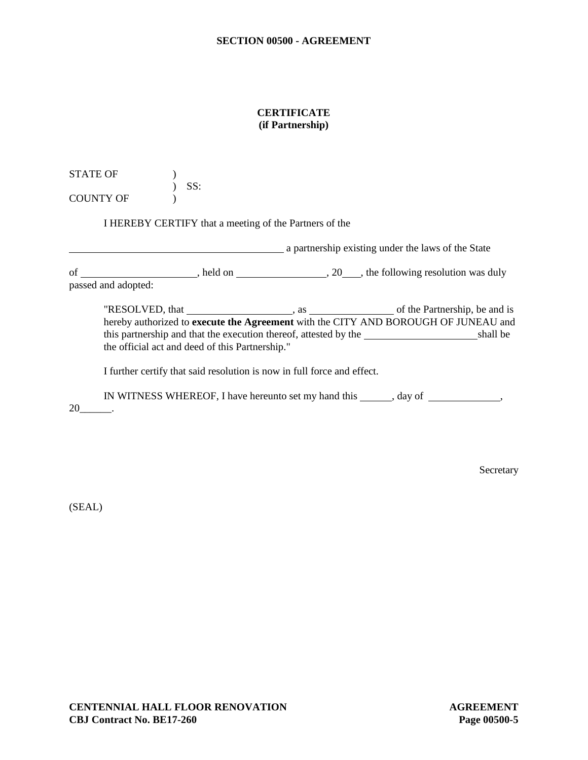# **CERTIFICATE (if Partnership)**

STATE OF  $\qquad \qquad$  ) ) SS: COUNTY OF (1)

I HEREBY CERTIFY that a meeting of the Partners of the

**a** partnership existing under the laws of the State of \_\_\_\_\_\_\_\_\_\_\_\_\_\_\_\_\_\_\_\_\_, held on \_\_\_\_\_\_\_\_\_\_\_\_\_\_\_\_\_\_\_\_\_\_\_\_\_\_\_\_\_\_\_\_, the following resolution was duly

passed and adopted:

"RESOLVED, that , as of the Partnership, be and is hereby authorized to **execute the Agreement** with the CITY AND BOROUGH OF JUNEAU and this partnership and that the execution thereof, attested by the shall be the official act and deed of this Partnership."

I further certify that said resolution is now in full force and effect.

IN WITNESS WHEREOF, I have hereunto set my hand this \_\_\_\_\_\_, day of \_\_\_\_\_\_\_\_\_\_\_\_,

20\_\_\_\_\_\_.

**Secretary** 

(SEAL)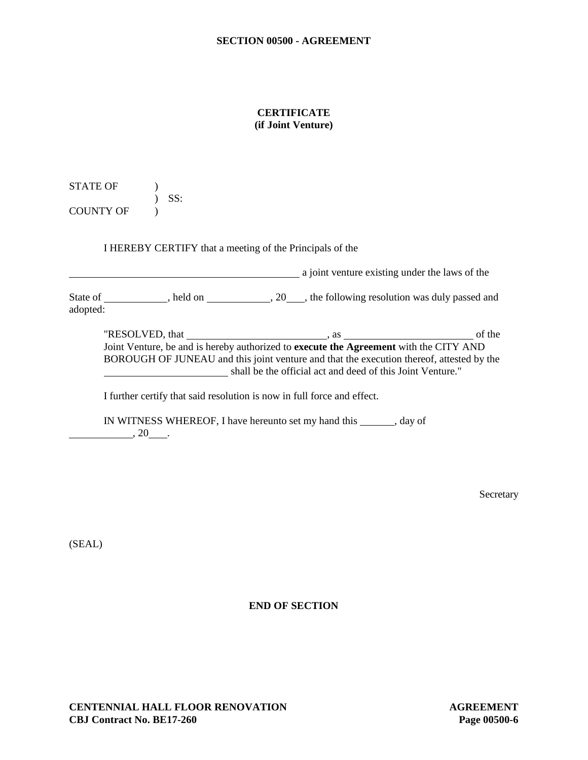# **CERTIFICATE (if Joint Venture)**

STATE OF ) ) SS: COUNTY OF  $\qquad$  )

I HEREBY CERTIFY that a meeting of the Principals of the

**Example 2** is a joint venture existing under the laws of the State of \_\_\_\_\_\_\_\_\_\_\_, held on \_\_\_\_\_\_\_\_\_\_\_\_, 20\_\_\_\_, the following resolution was duly passed and adopted:

"RESOLVED, that , as of the Joint Venture, be and is hereby authorized to **execute the Agreement** with the CITY AND BOROUGH OF JUNEAU and this joint venture and that the execution thereof, attested by the shall be the official act and deed of this Joint Venture."

I further certify that said resolution is now in full force and effect.

IN WITNESS WHEREOF, I have hereunto set my hand this \_\_\_\_\_\_\_, day of  $, 20$ .

Secretary

(SEAL)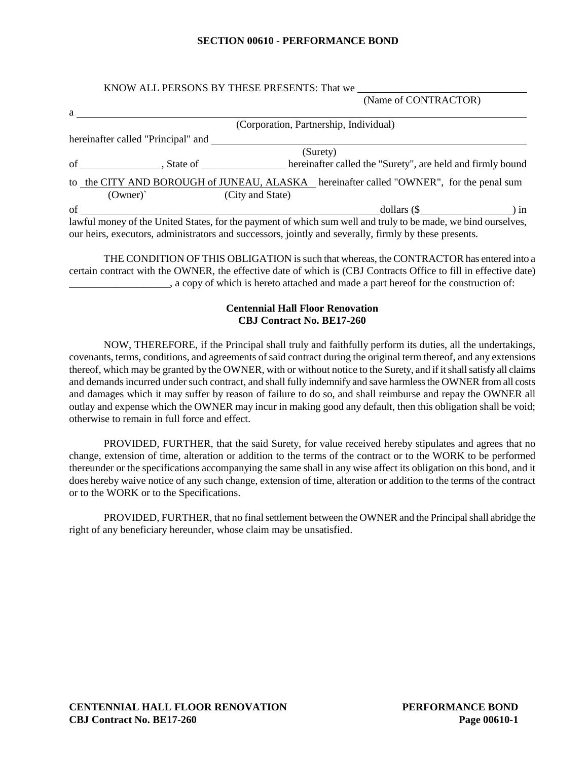#### **SECTION 00610 - PERFORMANCE BOND**

#### KNOW ALL PERSONS BY THESE PRESENTS: That we (Name of CONTRACTOR)

|    | $\mu$ and $\sigma$ contracted $\sigma$                                                                        |
|----|---------------------------------------------------------------------------------------------------------------|
| a  |                                                                                                               |
|    | (Corporation, Partnership, Individual)                                                                        |
|    | hereinafter called "Principal" and                                                                            |
|    | (Surety)                                                                                                      |
|    | of contract state of state of<br>hereinafter called the "Surety", are held and firmly bound                   |
|    | to the CITY AND BOROUGH of JUNEAU, ALASKA hereinafter called "OWNER", for the penal sum                       |
|    | $(Owner)^{^{\sim}}$<br>(City and State)                                                                       |
| of | $dollars (\$ $) in$                                                                                           |
|    | lawful money of the United States, for the payment of which sum well and truly to be made, we bind ourselves, |
|    | our heirs, executors, administrators and successors, jointly and severally, firmly by these presents.         |

THE CONDITION OF THIS OBLIGATION is such that whereas, the CONTRACTOR has entered into a certain contract with the OWNER, the effective date of which is (CBJ Contracts Office to fill in effective date) \_\_\_\_\_\_\_\_\_\_\_\_\_\_\_\_\_\_\_, a copy of which is hereto attached and made a part hereof for the construction of:

# **Centennial Hall Floor Renovation CBJ Contract No. BE17-260**

NOW, THEREFORE, if the Principal shall truly and faithfully perform its duties, all the undertakings, covenants, terms, conditions, and agreements of said contract during the original term thereof, and any extensions thereof, which may be granted by the OWNER, with or without notice to the Surety, and if it shall satisfy all claims and demands incurred under such contract, and shall fully indemnify and save harmless the OWNER from all costs and damages which it may suffer by reason of failure to do so, and shall reimburse and repay the OWNER all outlay and expense which the OWNER may incur in making good any default, then this obligation shall be void; otherwise to remain in full force and effect.

PROVIDED, FURTHER, that the said Surety, for value received hereby stipulates and agrees that no change, extension of time, alteration or addition to the terms of the contract or to the WORK to be performed thereunder or the specifications accompanying the same shall in any wise affect its obligation on this bond, and it does hereby waive notice of any such change, extension of time, alteration or addition to the terms of the contract or to the WORK or to the Specifications.

PROVIDED, FURTHER, that no final settlement between the OWNER and the Principal shall abridge the right of any beneficiary hereunder, whose claim may be unsatisfied.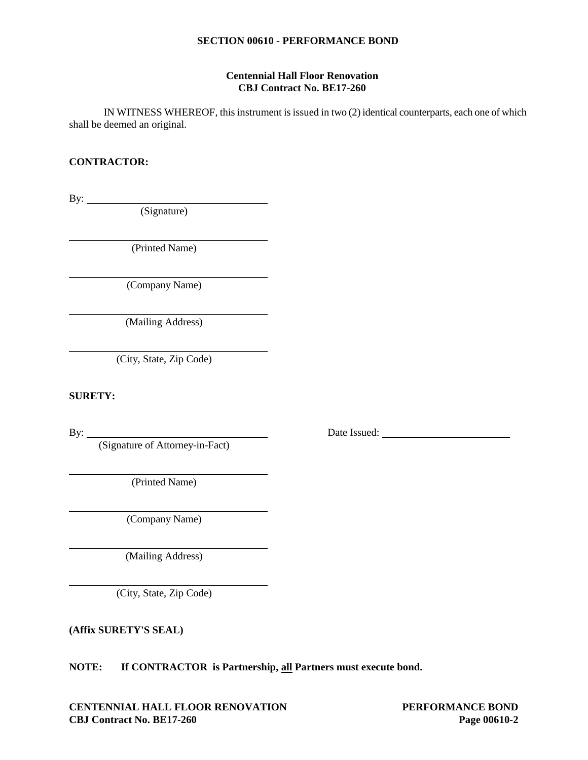#### **SECTION 00610 - PERFORMANCE BOND**

#### **Centennial Hall Floor Renovation CBJ Contract No. BE17-260**

IN WITNESS WHEREOF, this instrument is issued in two (2) identical counterparts, each one of which shall be deemed an original.

# **CONTRACTOR:**

By:

(Signature)

(Printed Name)

(Company Name)

(Mailing Address)

(City, State, Zip Code)

# **SURETY:**

(Signature of Attorney-in-Fact)

(Printed Name)

(Company Name)

(Mailing Address)

(City, State, Zip Code)

**(Affix SURETY'S SEAL)**

**NOTE: If CONTRACTOR is Partnership, all Partners must execute bond.**

**CENTENNIAL HALL FLOOR RENOVATION PERFORMANCE BOND CBJ Contract No. BE17-260 Page 00610-2**

By: <u>Date Issued:</u>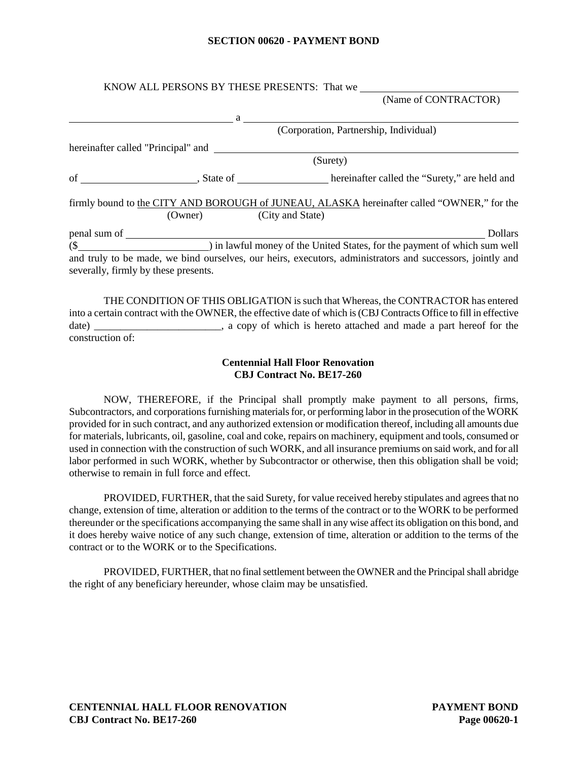#### **SECTION 00620 - PAYMENT BOND**

|                                      |                          | KNOW ALL PERSONS BY THESE PRESENTS: That we                                                                                                                                                                                                                                                                                                                                                         |
|--------------------------------------|--------------------------|-----------------------------------------------------------------------------------------------------------------------------------------------------------------------------------------------------------------------------------------------------------------------------------------------------------------------------------------------------------------------------------------------------|
|                                      |                          | (Name of CONTRACTOR)                                                                                                                                                                                                                                                                                                                                                                                |
|                                      |                          | $a \overline{\phantom{a}}$                                                                                                                                                                                                                                                                                                                                                                          |
|                                      |                          | (Corporation, Partnership, Individual)                                                                                                                                                                                                                                                                                                                                                              |
|                                      |                          |                                                                                                                                                                                                                                                                                                                                                                                                     |
|                                      |                          | (Surety)                                                                                                                                                                                                                                                                                                                                                                                            |
|                                      |                          |                                                                                                                                                                                                                                                                                                                                                                                                     |
|                                      | (Owner) (City and State) | firmly bound to the CITY AND BOROUGH of JUNEAU, ALASKA hereinafter called "OWNER," for the                                                                                                                                                                                                                                                                                                          |
|                                      | $penal sum of \n$        | <b>Dollars</b>                                                                                                                                                                                                                                                                                                                                                                                      |
|                                      |                          | (\$ 10.1) in lawful money of the United States, for the payment of which sum well                                                                                                                                                                                                                                                                                                                   |
| severally, firmly by these presents. |                          | and truly to be made, we bind ourselves, our heirs, executors, administrators and successors, jointly and                                                                                                                                                                                                                                                                                           |
|                                      |                          | THE CONDITION OF THIS OBLIGATION is such that Whereas, the CONTRACTOR has entered<br>$\mathcal{L}$ , the state of $\mathcal{L}$ and $\mathcal{L}$ and $\mathcal{L}$ and $\mathcal{L}$ and $\mathcal{L}$ and $\mathcal{L}$ and $\mathcal{L}$ and $\mathcal{L}$ and $\mathcal{L}$ and $\mathcal{L}$ and $\mathcal{L}$ and $\mathcal{L}$ and $\mathcal{L}$ and $\mathcal{L}$ and $\mathcal{L}$ and $\$ |

into a certain contract with the OWNER, the effective date of which is (CBJ Contracts Office to fill in effective date) \_\_\_\_\_\_\_\_\_\_\_\_\_\_\_\_\_\_\_\_\_\_, a copy of which is hereto attached and made a part hereof for the construction of:

#### **Centennial Hall Floor Renovation CBJ Contract No. BE17-260**

NOW, THEREFORE, if the Principal shall promptly make payment to all persons, firms, Subcontractors, and corporations furnishing materials for, or performing labor in the prosecution of the WORK provided for in such contract, and any authorized extension or modification thereof, including all amounts due for materials, lubricants, oil, gasoline, coal and coke, repairs on machinery, equipment and tools, consumed or used in connection with the construction of such WORK, and all insurance premiums on said work, and for all labor performed in such WORK, whether by Subcontractor or otherwise, then this obligation shall be void; otherwise to remain in full force and effect.

PROVIDED, FURTHER, that the said Surety, for value received hereby stipulates and agrees that no change, extension of time, alteration or addition to the terms of the contract or to the WORK to be performed thereunder or the specifications accompanying the same shall in any wise affect its obligation on this bond, and it does hereby waive notice of any such change, extension of time, alteration or addition to the terms of the contract or to the WORK or to the Specifications.

PROVIDED, FURTHER, that no final settlement between the OWNER and the Principal shall abridge the right of any beneficiary hereunder, whose claim may be unsatisfied.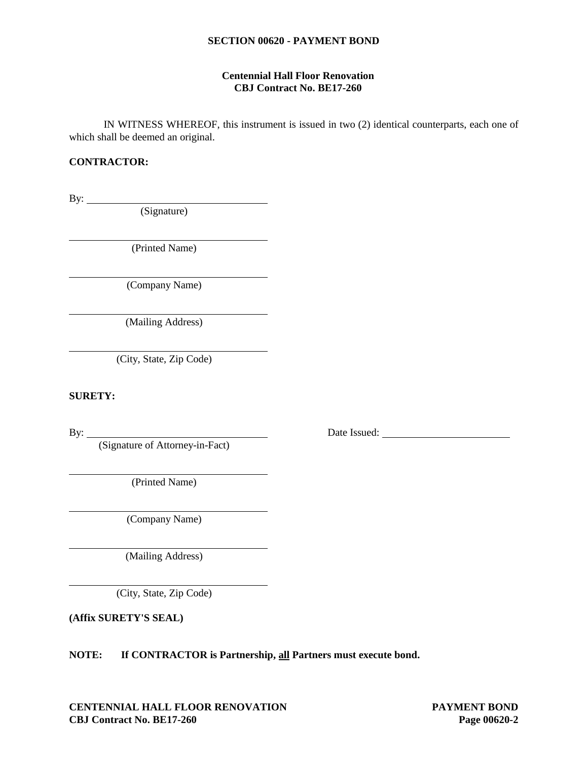#### **SECTION 00620 - PAYMENT BOND**

#### **Centennial Hall Floor Renovation CBJ Contract No. BE17-260**

IN WITNESS WHEREOF, this instrument is issued in two (2) identical counterparts, each one of which shall be deemed an original.

# **CONTRACTOR:**

By:

(Signature)

(Printed Name)

(Company Name)

(Mailing Address)

(City, State, Zip Code)

# **SURETY:**

(Signature of Attorney-in-Fact)

(Printed Name)

(Company Name)

(Mailing Address)

(City, State, Zip Code)

**(Affix SURETY'S SEAL)**

**NOTE: If CONTRACTOR is Partnership, all Partners must execute bond.**

By: <u>Date Issued:</u> Date Issued: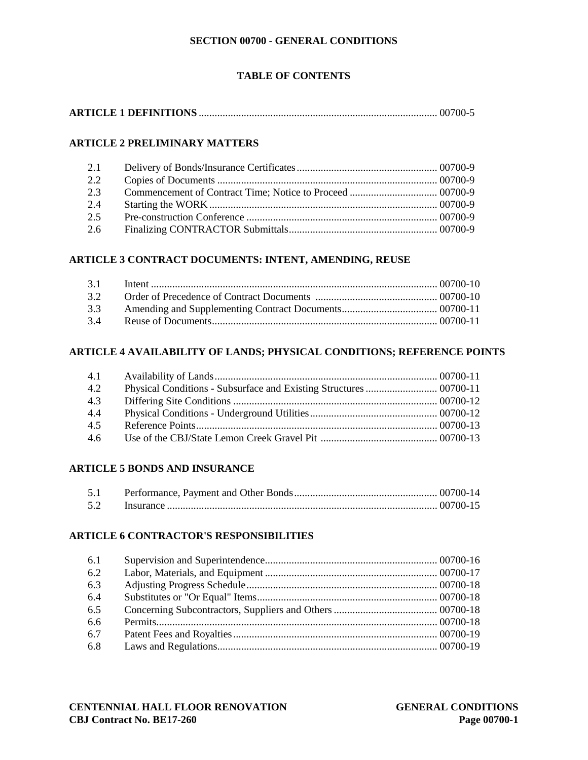# **TABLE OF CONTENTS**

# **ARTICLE 2 PRELIMINARY MATTERS**

| 2.1 |  |
|-----|--|
| 2.2 |  |
| 2.3 |  |
| 2.4 |  |
| 2.5 |  |
| 2.6 |  |

# **ARTICLE 3 CONTRACT DOCUMENTS: INTENT, AMENDING, REUSE**

| 3.2 |  |
|-----|--|
| 3.3 |  |
| 3.4 |  |

# **ARTICLE 4 AVAILABILITY OF LANDS; PHYSICAL CONDITIONS; REFERENCE POINTS**

| 4.1           |  |
|---------------|--|
| 4.2           |  |
| 4.3           |  |
| 4.4           |  |
| 4.5           |  |
| $4.6^{\circ}$ |  |

# **ARTICLE 5 BONDS AND INSURANCE**

| 5.1 |  |
|-----|--|
| 5.2 |  |

# **ARTICLE 6 CONTRACTOR'S RESPONSIBILITIES**

| 6.1 |  |
|-----|--|
| 6.2 |  |
| 6.3 |  |
| 6.4 |  |
| 6.5 |  |
| 6.6 |  |
| 6.7 |  |
| 6.8 |  |
|     |  |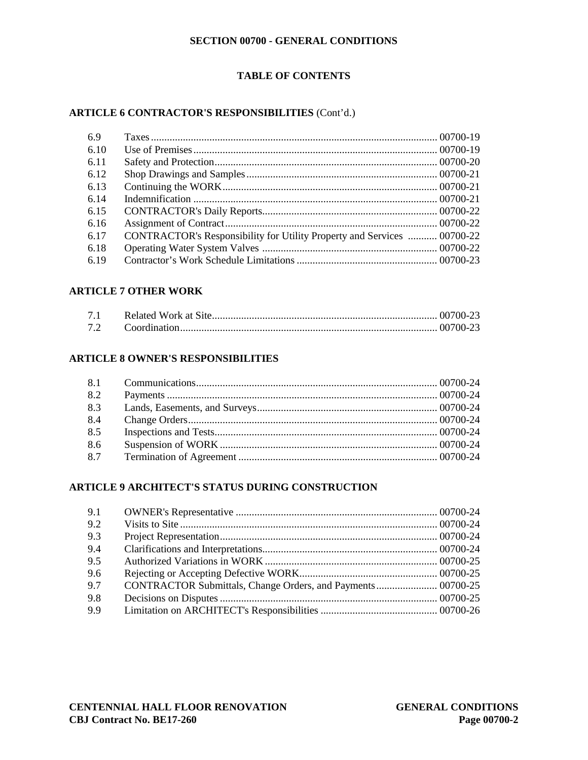# **TABLE OF CONTENTS**

# **ARTICLE 6 CONTRACTOR'S RESPONSIBILITIES** (Cont'd.)

| CONTRACTOR's Responsibility for Utility Property and Services  00700-22 |  |
|-------------------------------------------------------------------------|--|
|                                                                         |  |
|                                                                         |  |
|                                                                         |  |

# **ARTICLE 7 OTHER WORK**

# **ARTICLE 8 OWNER'S RESPONSIBILITIES**

| 8.1 |  |
|-----|--|
| 8.2 |  |
| 8.3 |  |
| 8.4 |  |
| 8.5 |  |
| 8.6 |  |
| 8.7 |  |

# **ARTICLE 9 ARCHITECT'S STATUS DURING CONSTRUCTION**

| 9.1 |                                                             |  |
|-----|-------------------------------------------------------------|--|
| 9.2 |                                                             |  |
| 9.3 |                                                             |  |
| 9.4 |                                                             |  |
| 9.5 |                                                             |  |
| 9.6 |                                                             |  |
| 9.7 | CONTRACTOR Submittals, Change Orders, and Payments 00700-25 |  |
| 9.8 |                                                             |  |
| 9.9 |                                                             |  |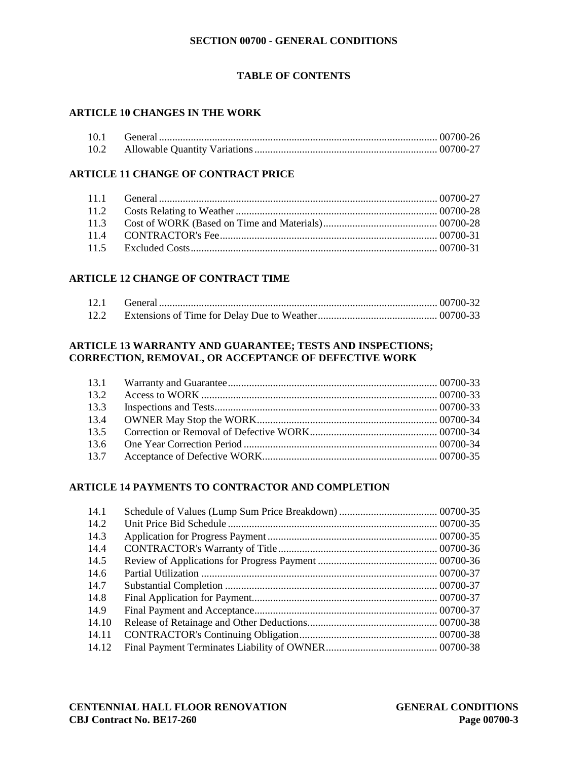# **TABLE OF CONTENTS**

# **ARTICLE 10 CHANGES IN THE WORK**

| 10.1 |  |
|------|--|
|      |  |

# **ARTICLE 11 CHANGE OF CONTRACT PRICE**

# **ARTICLE 12 CHANGE OF CONTRACT TIME**

# **ARTICLE 13 WARRANTY AND GUARANTEE; TESTS AND INSPECTIONS; CORRECTION, REMOVAL, OR ACCEPTANCE OF DEFECTIVE WORK**

| 13.1 |  |
|------|--|
| 13.2 |  |
| 13.3 |  |
| 13.4 |  |
| 13.5 |  |
| 13.6 |  |
| 13.7 |  |

# **ARTICLE 14 PAYMENTS TO CONTRACTOR AND COMPLETION**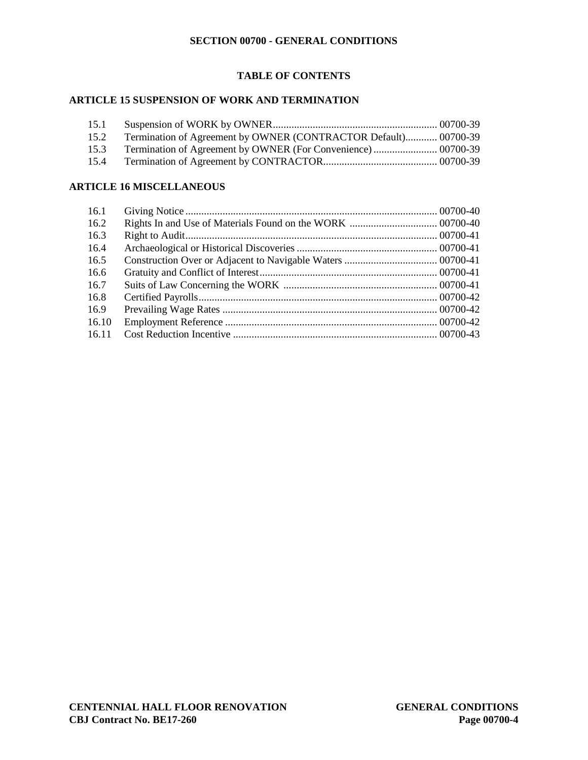# **TABLE OF CONTENTS**

# **ARTICLE 15 SUSPENSION OF WORK AND TERMINATION**

| 15.1 |                                                                 |  |
|------|-----------------------------------------------------------------|--|
| 15.2 | Termination of Agreement by OWNER (CONTRACTOR Default) 00700-39 |  |
| 15.3 |                                                                 |  |
| 15.4 |                                                                 |  |

# **ARTICLE 16 MISCELLANEOUS**

| 16.1  |  |
|-------|--|
| 16.2  |  |
| 16.3  |  |
| 16.4  |  |
| 16.5  |  |
| 16.6  |  |
| 16.7  |  |
| 16.8  |  |
| 16.9  |  |
| 16.10 |  |
| 16.11 |  |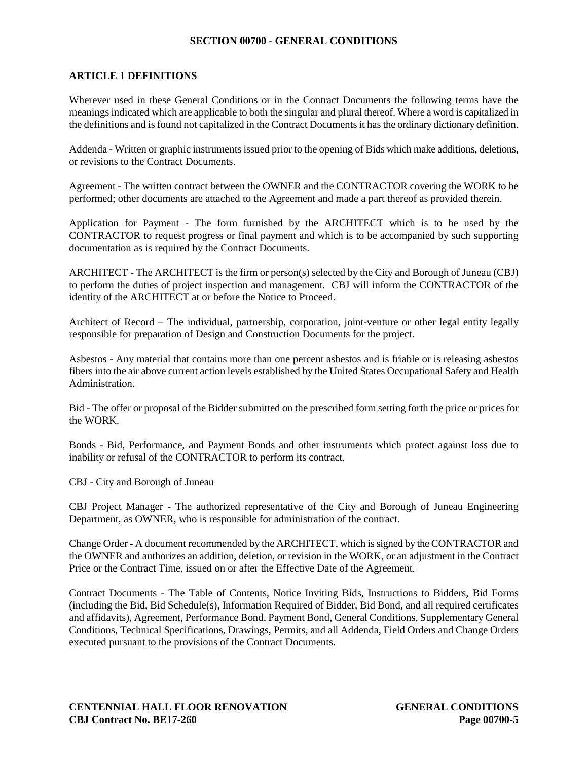# **ARTICLE 1 DEFINITIONS**

Wherever used in these General Conditions or in the Contract Documents the following terms have the meanings indicated which are applicable to both the singular and plural thereof. Where a word is capitalized in the definitions and is found not capitalized in the Contract Documents it has the ordinary dictionary definition.

Addenda - Written or graphic instruments issued prior to the opening of Bids which make additions, deletions, or revisions to the Contract Documents.

Agreement - The written contract between the OWNER and the CONTRACTOR covering the WORK to be performed; other documents are attached to the Agreement and made a part thereof as provided therein.

Application for Payment - The form furnished by the ARCHITECT which is to be used by the CONTRACTOR to request progress or final payment and which is to be accompanied by such supporting documentation as is required by the Contract Documents.

ARCHITECT - The ARCHITECT is the firm or person(s) selected by the City and Borough of Juneau (CBJ) to perform the duties of project inspection and management. CBJ will inform the CONTRACTOR of the identity of the ARCHITECT at or before the Notice to Proceed.

Architect of Record – The individual, partnership, corporation, joint-venture or other legal entity legally responsible for preparation of Design and Construction Documents for the project.

Asbestos - Any material that contains more than one percent asbestos and is friable or is releasing asbestos fibers into the air above current action levels established by the United States Occupational Safety and Health Administration.

Bid - The offer or proposal of the Bidder submitted on the prescribed form setting forth the price or prices for the WORK.

Bonds - Bid, Performance, and Payment Bonds and other instruments which protect against loss due to inability or refusal of the CONTRACTOR to perform its contract.

CBJ - City and Borough of Juneau

CBJ Project Manager - The authorized representative of the City and Borough of Juneau Engineering Department, as OWNER, who is responsible for administration of the contract.

Change Order - A document recommended by the ARCHITECT, which is signed by the CONTRACTOR and the OWNER and authorizes an addition, deletion, or revision in the WORK, or an adjustment in the Contract Price or the Contract Time, issued on or after the Effective Date of the Agreement.

Contract Documents - The Table of Contents, Notice Inviting Bids, Instructions to Bidders, Bid Forms (including the Bid, Bid Schedule(s), Information Required of Bidder, Bid Bond, and all required certificates and affidavits), Agreement, Performance Bond, Payment Bond, General Conditions, Supplementary General Conditions, Technical Specifications, Drawings, Permits, and all Addenda, Field Orders and Change Orders executed pursuant to the provisions of the Contract Documents.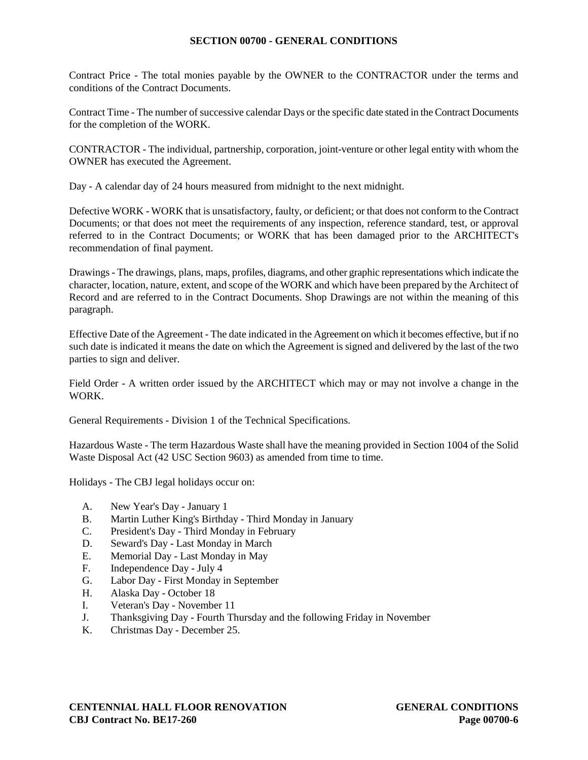Contract Price - The total monies payable by the OWNER to the CONTRACTOR under the terms and conditions of the Contract Documents.

Contract Time - The number of successive calendar Days or the specific date stated in the Contract Documents for the completion of the WORK.

CONTRACTOR - The individual, partnership, corporation, joint-venture or other legal entity with whom the OWNER has executed the Agreement.

Day - A calendar day of 24 hours measured from midnight to the next midnight.

Defective WORK - WORK that is unsatisfactory, faulty, or deficient; or that does not conform to the Contract Documents; or that does not meet the requirements of any inspection, reference standard, test, or approval referred to in the Contract Documents; or WORK that has been damaged prior to the ARCHITECT's recommendation of final payment.

Drawings - The drawings, plans, maps, profiles, diagrams, and other graphic representations which indicate the character, location, nature, extent, and scope of the WORK and which have been prepared by the Architect of Record and are referred to in the Contract Documents. Shop Drawings are not within the meaning of this paragraph.

Effective Date of the Agreement - The date indicated in the Agreement on which it becomes effective, but if no such date is indicated it means the date on which the Agreement is signed and delivered by the last of the two parties to sign and deliver.

Field Order - A written order issued by the ARCHITECT which may or may not involve a change in the WORK.

General Requirements - Division 1 of the Technical Specifications.

Hazardous Waste - The term Hazardous Waste shall have the meaning provided in Section 1004 of the Solid Waste Disposal Act (42 USC Section 9603) as amended from time to time.

Holidays - The CBJ legal holidays occur on:

- A. New Year's Day January 1
- B. Martin Luther King's Birthday Third Monday in January
- C. President's Day Third Monday in February
- D. Seward's Day Last Monday in March
- E. Memorial Day Last Monday in May
- F. Independence Day July 4
- G. Labor Day First Monday in September
- H. Alaska Day October 18
- I. Veteran's Day November 11
- J. Thanksgiving Day Fourth Thursday and the following Friday in November
- K. Christmas Day December 25.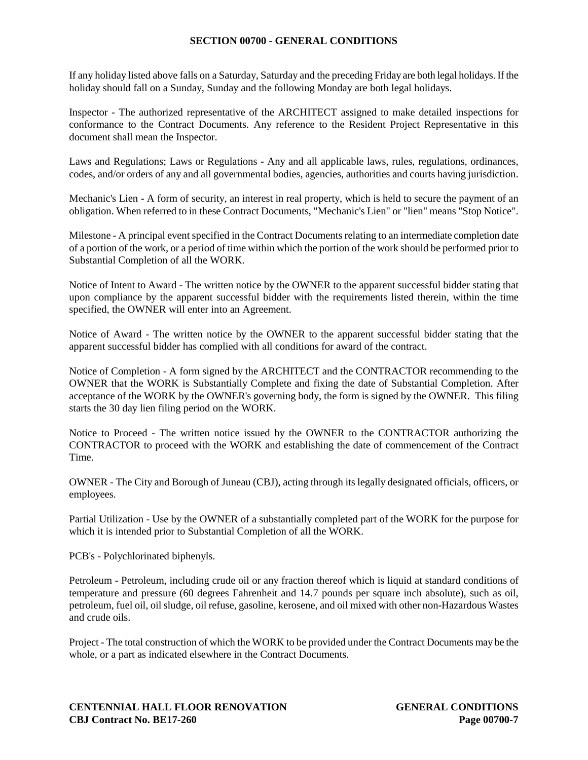If any holiday listed above falls on a Saturday, Saturday and the preceding Friday are both legal holidays. If the holiday should fall on a Sunday, Sunday and the following Monday are both legal holidays.

Inspector - The authorized representative of the ARCHITECT assigned to make detailed inspections for conformance to the Contract Documents. Any reference to the Resident Project Representative in this document shall mean the Inspector.

Laws and Regulations; Laws or Regulations - Any and all applicable laws, rules, regulations, ordinances, codes, and/or orders of any and all governmental bodies, agencies, authorities and courts having jurisdiction.

Mechanic's Lien - A form of security, an interest in real property, which is held to secure the payment of an obligation. When referred to in these Contract Documents, "Mechanic's Lien" or "lien" means "Stop Notice".

Milestone - A principal event specified in the Contract Documents relating to an intermediate completion date of a portion of the work, or a period of time within which the portion of the work should be performed prior to Substantial Completion of all the WORK.

Notice of Intent to Award - The written notice by the OWNER to the apparent successful bidder stating that upon compliance by the apparent successful bidder with the requirements listed therein, within the time specified, the OWNER will enter into an Agreement.

Notice of Award - The written notice by the OWNER to the apparent successful bidder stating that the apparent successful bidder has complied with all conditions for award of the contract.

Notice of Completion - A form signed by the ARCHITECT and the CONTRACTOR recommending to the OWNER that the WORK is Substantially Complete and fixing the date of Substantial Completion. After acceptance of the WORK by the OWNER's governing body, the form is signed by the OWNER. This filing starts the 30 day lien filing period on the WORK.

Notice to Proceed - The written notice issued by the OWNER to the CONTRACTOR authorizing the CONTRACTOR to proceed with the WORK and establishing the date of commencement of the Contract Time.

OWNER - The City and Borough of Juneau (CBJ), acting through its legally designated officials, officers, or employees.

Partial Utilization - Use by the OWNER of a substantially completed part of the WORK for the purpose for which it is intended prior to Substantial Completion of all the WORK.

PCB's - Polychlorinated biphenyls.

Petroleum - Petroleum, including crude oil or any fraction thereof which is liquid at standard conditions of temperature and pressure (60 degrees Fahrenheit and 14.7 pounds per square inch absolute), such as oil, petroleum, fuel oil, oil sludge, oil refuse, gasoline, kerosene, and oil mixed with other non-Hazardous Wastes and crude oils.

Project - The total construction of which the WORK to be provided under the Contract Documents may be the whole, or a part as indicated elsewhere in the Contract Documents.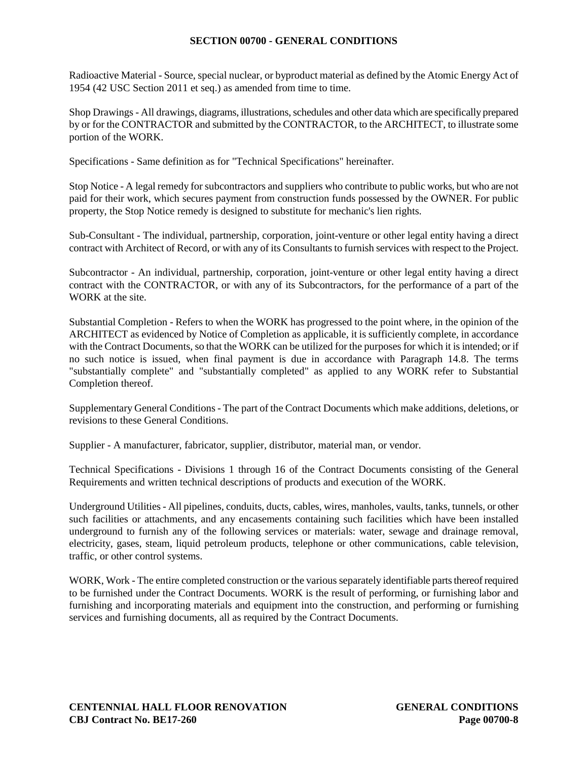Radioactive Material - Source, special nuclear, or byproduct material as defined by the Atomic Energy Act of 1954 (42 USC Section 2011 et seq.) as amended from time to time.

Shop Drawings - All drawings, diagrams, illustrations, schedules and other data which are specifically prepared by or for the CONTRACTOR and submitted by the CONTRACTOR, to the ARCHITECT, to illustrate some portion of the WORK.

Specifications - Same definition as for "Technical Specifications" hereinafter.

Stop Notice - A legal remedy for subcontractors and suppliers who contribute to public works, but who are not paid for their work, which secures payment from construction funds possessed by the OWNER. For public property, the Stop Notice remedy is designed to substitute for mechanic's lien rights.

Sub-Consultant - The individual, partnership, corporation, joint-venture or other legal entity having a direct contract with Architect of Record, or with any of its Consultants to furnish services with respect to the Project.

Subcontractor - An individual, partnership, corporation, joint-venture or other legal entity having a direct contract with the CONTRACTOR, or with any of its Subcontractors, for the performance of a part of the WORK at the site.

Substantial Completion - Refers to when the WORK has progressed to the point where, in the opinion of the ARCHITECT as evidenced by Notice of Completion as applicable, it is sufficiently complete, in accordance with the Contract Documents, so that the WORK can be utilized for the purposes for which it is intended; or if no such notice is issued, when final payment is due in accordance with Paragraph 14.8. The terms "substantially complete" and "substantially completed" as applied to any WORK refer to Substantial Completion thereof.

Supplementary General Conditions - The part of the Contract Documents which make additions, deletions, or revisions to these General Conditions.

Supplier - A manufacturer, fabricator, supplier, distributor, material man, or vendor.

Technical Specifications - Divisions 1 through 16 of the Contract Documents consisting of the General Requirements and written technical descriptions of products and execution of the WORK.

Underground Utilities - All pipelines, conduits, ducts, cables, wires, manholes, vaults, tanks, tunnels, or other such facilities or attachments, and any encasements containing such facilities which have been installed underground to furnish any of the following services or materials: water, sewage and drainage removal, electricity, gases, steam, liquid petroleum products, telephone or other communications, cable television, traffic, or other control systems.

WORK, Work - The entire completed construction or the various separately identifiable parts thereof required to be furnished under the Contract Documents. WORK is the result of performing, or furnishing labor and furnishing and incorporating materials and equipment into the construction, and performing or furnishing services and furnishing documents, all as required by the Contract Documents.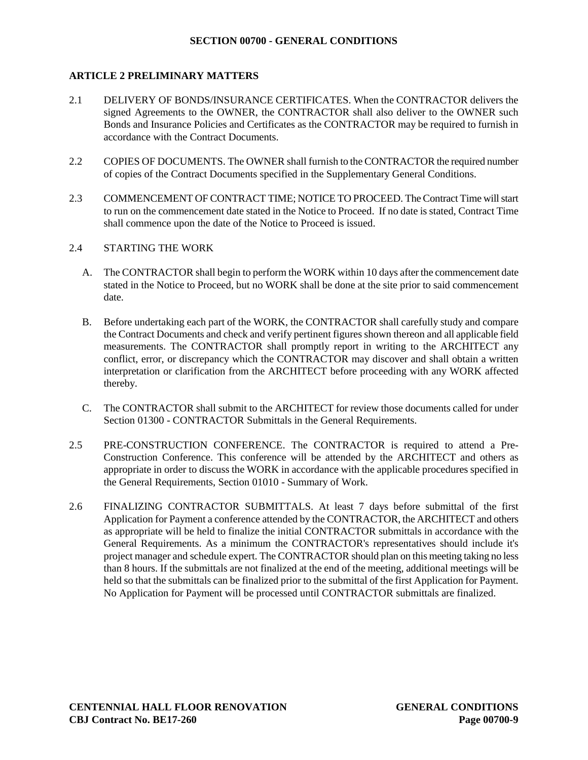# **ARTICLE 2 PRELIMINARY MATTERS**

- 2.1 DELIVERY OF BONDS/INSURANCE CERTIFICATES. When the CONTRACTOR delivers the signed Agreements to the OWNER, the CONTRACTOR shall also deliver to the OWNER such Bonds and Insurance Policies and Certificates as the CONTRACTOR may be required to furnish in accordance with the Contract Documents.
- 2.2 COPIES OF DOCUMENTS. The OWNER shall furnish to the CONTRACTOR the required number of copies of the Contract Documents specified in the Supplementary General Conditions.
- 2.3 COMMENCEMENT OF CONTRACT TIME: NOTICE TO PROCEED. The Contract Time will start to run on the commencement date stated in the Notice to Proceed. If no date is stated, Contract Time shall commence upon the date of the Notice to Proceed is issued.
- 2.4 STARTING THE WORK
	- A. The CONTRACTOR shall begin to perform the WORK within 10 days after the commencement date stated in the Notice to Proceed, but no WORK shall be done at the site prior to said commencement date.
	- B. Before undertaking each part of the WORK, the CONTRACTOR shall carefully study and compare the Contract Documents and check and verify pertinent figures shown thereon and all applicable field measurements. The CONTRACTOR shall promptly report in writing to the ARCHITECT any conflict, error, or discrepancy which the CONTRACTOR may discover and shall obtain a written interpretation or clarification from the ARCHITECT before proceeding with any WORK affected thereby.
	- C. The CONTRACTOR shall submit to the ARCHITECT for review those documents called for under Section 01300 - CONTRACTOR Submittals in the General Requirements.
- 2.5 PRE-CONSTRUCTION CONFERENCE. The CONTRACTOR is required to attend a Pre-Construction Conference. This conference will be attended by the ARCHITECT and others as appropriate in order to discuss the WORK in accordance with the applicable procedures specified in the General Requirements, Section 01010 - Summary of Work.
- 2.6 FINALIZING CONTRACTOR SUBMITTALS. At least 7 days before submittal of the first Application for Payment a conference attended by the CONTRACTOR, the ARCHITECT and others as appropriate will be held to finalize the initial CONTRACTOR submittals in accordance with the General Requirements. As a minimum the CONTRACTOR's representatives should include it's project manager and schedule expert. The CONTRACTOR should plan on this meeting taking no less than 8 hours. If the submittals are not finalized at the end of the meeting, additional meetings will be held so that the submittals can be finalized prior to the submittal of the first Application for Payment. No Application for Payment will be processed until CONTRACTOR submittals are finalized.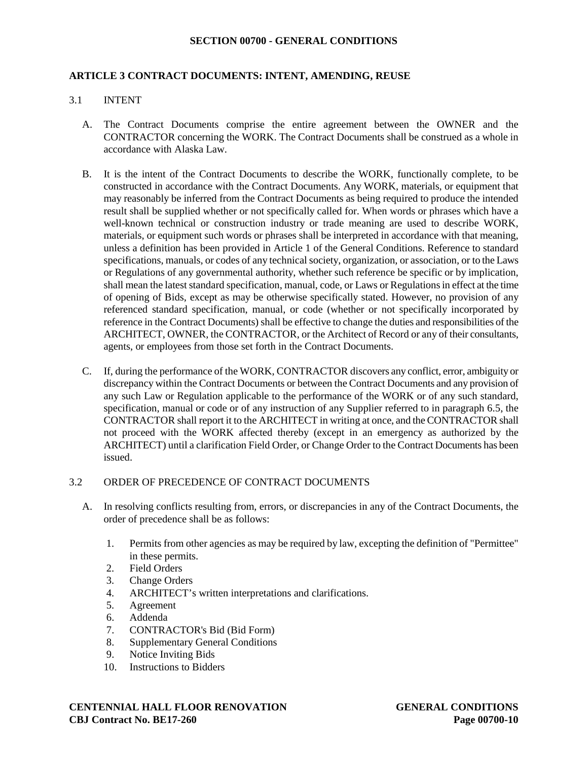### **ARTICLE 3 CONTRACT DOCUMENTS: INTENT, AMENDING, REUSE**

### 3.1 INTENT

- A. The Contract Documents comprise the entire agreement between the OWNER and the CONTRACTOR concerning the WORK. The Contract Documents shall be construed as a whole in accordance with Alaska Law.
- B. It is the intent of the Contract Documents to describe the WORK, functionally complete, to be constructed in accordance with the Contract Documents. Any WORK, materials, or equipment that may reasonably be inferred from the Contract Documents as being required to produce the intended result shall be supplied whether or not specifically called for. When words or phrases which have a well-known technical or construction industry or trade meaning are used to describe WORK, materials, or equipment such words or phrases shall be interpreted in accordance with that meaning, unless a definition has been provided in Article 1 of the General Conditions. Reference to standard specifications, manuals, or codes of any technical society, organization, or association, or to the Laws or Regulations of any governmental authority, whether such reference be specific or by implication, shall mean the latest standard specification, manual, code, or Laws or Regulations in effect at the time of opening of Bids, except as may be otherwise specifically stated. However, no provision of any referenced standard specification, manual, or code (whether or not specifically incorporated by reference in the Contract Documents) shall be effective to change the duties and responsibilities of the ARCHITECT, OWNER, the CONTRACTOR, or the Architect of Record or any of their consultants, agents, or employees from those set forth in the Contract Documents.
- C. If, during the performance of the WORK, CONTRACTOR discovers any conflict, error, ambiguity or discrepancy within the Contract Documents or between the Contract Documents and any provision of any such Law or Regulation applicable to the performance of the WORK or of any such standard, specification, manual or code or of any instruction of any Supplier referred to in paragraph 6.5, the CONTRACTOR shall report it to the ARCHITECT in writing at once, and the CONTRACTOR shall not proceed with the WORK affected thereby (except in an emergency as authorized by the ARCHITECT) until a clarification Field Order, or Change Order to the Contract Documents has been issued.

### 3.2 ORDER OF PRECEDENCE OF CONTRACT DOCUMENTS

- A. In resolving conflicts resulting from, errors, or discrepancies in any of the Contract Documents, the order of precedence shall be as follows:
	- 1. Permits from other agencies as may be required by law, excepting the definition of "Permittee" in these permits.
	- 2. Field Orders
	- 3. Change Orders
	- 4. ARCHITECT's written interpretations and clarifications.
	- 5. Agreement
	- 6. Addenda
	- 7. CONTRACTOR's Bid (Bid Form)
	- 8. Supplementary General Conditions
	- 9. Notice Inviting Bids
	- 10. Instructions to Bidders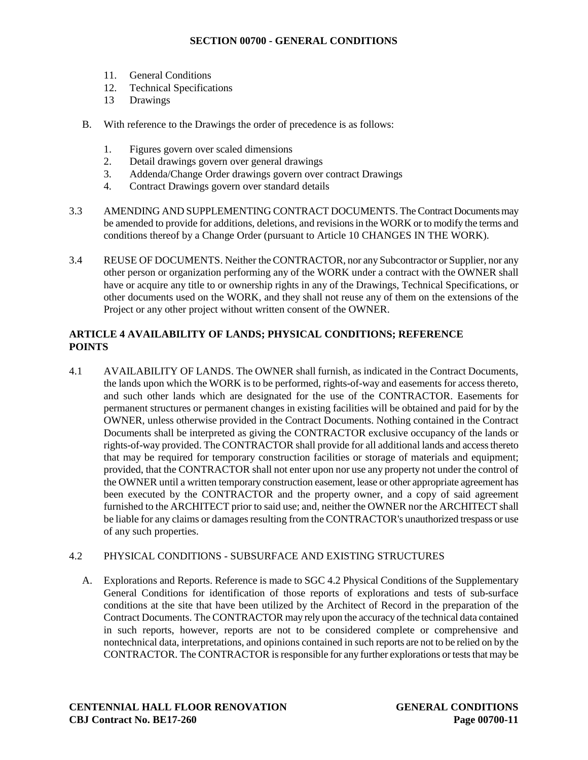- 11. General Conditions
- 12. Technical Specifications
- 13 Drawings
- B. With reference to the Drawings the order of precedence is as follows:
	- 1. Figures govern over scaled dimensions
	- 2. Detail drawings govern over general drawings
	- 3. Addenda/Change Order drawings govern over contract Drawings
	- 4. Contract Drawings govern over standard details
- 3.3 AMENDING AND SUPPLEMENTING CONTRACT DOCUMENTS. The Contract Documents may be amended to provide for additions, deletions, and revisions in the WORK or to modify the terms and conditions thereof by a Change Order (pursuant to Article 10 CHANGES IN THE WORK).
- 3.4 REUSE OF DOCUMENTS. Neither the CONTRACTOR, nor any Subcontractor or Supplier, nor any other person or organization performing any of the WORK under a contract with the OWNER shall have or acquire any title to or ownership rights in any of the Drawings, Technical Specifications, or other documents used on the WORK, and they shall not reuse any of them on the extensions of the Project or any other project without written consent of the OWNER.

# **ARTICLE 4 AVAILABILITY OF LANDS; PHYSICAL CONDITIONS; REFERENCE POINTS**

4.1 AVAILABILITY OF LANDS. The OWNER shall furnish, as indicated in the Contract Documents, the lands upon which the WORK is to be performed, rights-of-way and easements for access thereto, and such other lands which are designated for the use of the CONTRACTOR. Easements for permanent structures or permanent changes in existing facilities will be obtained and paid for by the OWNER, unless otherwise provided in the Contract Documents. Nothing contained in the Contract Documents shall be interpreted as giving the CONTRACTOR exclusive occupancy of the lands or rights-of-way provided. The CONTRACTOR shall provide for all additional lands and access thereto that may be required for temporary construction facilities or storage of materials and equipment; provided, that the CONTRACTOR shall not enter upon nor use any property not under the control of the OWNER until a written temporary construction easement, lease or other appropriate agreement has been executed by the CONTRACTOR and the property owner, and a copy of said agreement furnished to the ARCHITECT prior to said use; and, neither the OWNER nor the ARCHITECT shall be liable for any claims or damages resulting from the CONTRACTOR's unauthorized trespass or use of any such properties.

# 4.2 PHYSICAL CONDITIONS - SUBSURFACE AND EXISTING STRUCTURES

A. Explorations and Reports. Reference is made to SGC 4.2 Physical Conditions of the Supplementary General Conditions for identification of those reports of explorations and tests of sub-surface conditions at the site that have been utilized by the Architect of Record in the preparation of the Contract Documents. The CONTRACTOR may rely upon the accuracy of the technical data contained in such reports, however, reports are not to be considered complete or comprehensive and nontechnical data, interpretations, and opinions contained in such reports are not to be relied on by the CONTRACTOR. The CONTRACTOR is responsible for any further explorations or tests that may be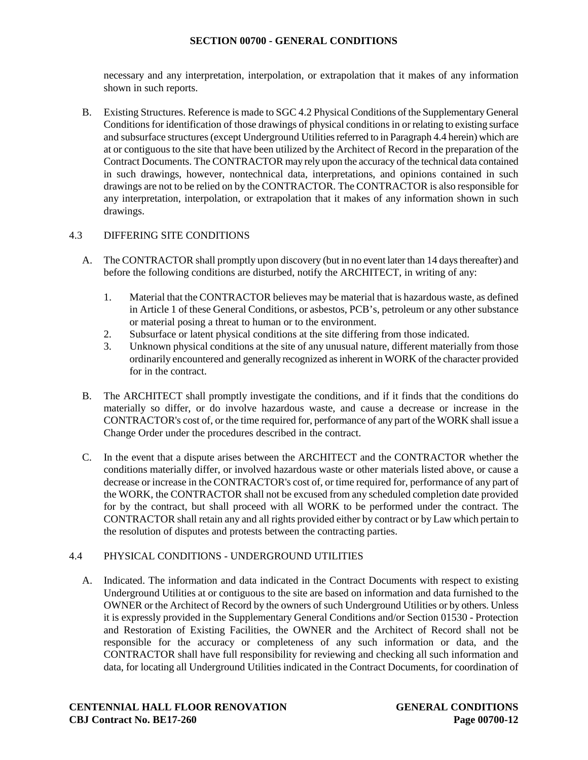necessary and any interpretation, interpolation, or extrapolation that it makes of any information shown in such reports.

B. Existing Structures. Reference is made to SGC 4.2 Physical Conditions of the Supplementary General Conditions for identification of those drawings of physical conditions in or relating to existing surface and subsurface structures (except Underground Utilities referred to in Paragraph 4.4 herein) which are at or contiguous to the site that have been utilized by the Architect of Record in the preparation of the Contract Documents. The CONTRACTOR may rely upon the accuracy of the technical data contained in such drawings, however, nontechnical data, interpretations, and opinions contained in such drawings are not to be relied on by the CONTRACTOR. The CONTRACTOR is also responsible for any interpretation, interpolation, or extrapolation that it makes of any information shown in such drawings.

# 4.3 DIFFERING SITE CONDITIONS

- A. The CONTRACTOR shall promptly upon discovery (but in no event later than 14 days thereafter) and before the following conditions are disturbed, notify the ARCHITECT, in writing of any:
	- 1. Material that the CONTRACTOR believes may be material that is hazardous waste, as defined in Article 1 of these General Conditions, or asbestos, PCB's, petroleum or any other substance or material posing a threat to human or to the environment.
	- 2. Subsurface or latent physical conditions at the site differing from those indicated.
	- 3. Unknown physical conditions at the site of any unusual nature, different materially from those ordinarily encountered and generally recognized as inherent in WORK of the character provided for in the contract.
- B. The ARCHITECT shall promptly investigate the conditions, and if it finds that the conditions do materially so differ, or do involve hazardous waste, and cause a decrease or increase in the CONTRACTOR's cost of, or the time required for, performance of any part of the WORK shall issue a Change Order under the procedures described in the contract.
- C. In the event that a dispute arises between the ARCHITECT and the CONTRACTOR whether the conditions materially differ, or involved hazardous waste or other materials listed above, or cause a decrease or increase in the CONTRACTOR's cost of, or time required for, performance of any part of the WORK, the CONTRACTOR shall not be excused from any scheduled completion date provided for by the contract, but shall proceed with all WORK to be performed under the contract. The CONTRACTOR shall retain any and all rights provided either by contract or by Law which pertain to the resolution of disputes and protests between the contracting parties.

# 4.4 PHYSICAL CONDITIONS - UNDERGROUND UTILITIES

A. Indicated. The information and data indicated in the Contract Documents with respect to existing Underground Utilities at or contiguous to the site are based on information and data furnished to the OWNER or the Architect of Record by the owners of such Underground Utilities or by others. Unless it is expressly provided in the Supplementary General Conditions and/or Section 01530 - Protection and Restoration of Existing Facilities, the OWNER and the Architect of Record shall not be responsible for the accuracy or completeness of any such information or data, and the CONTRACTOR shall have full responsibility for reviewing and checking all such information and data, for locating all Underground Utilities indicated in the Contract Documents, for coordination of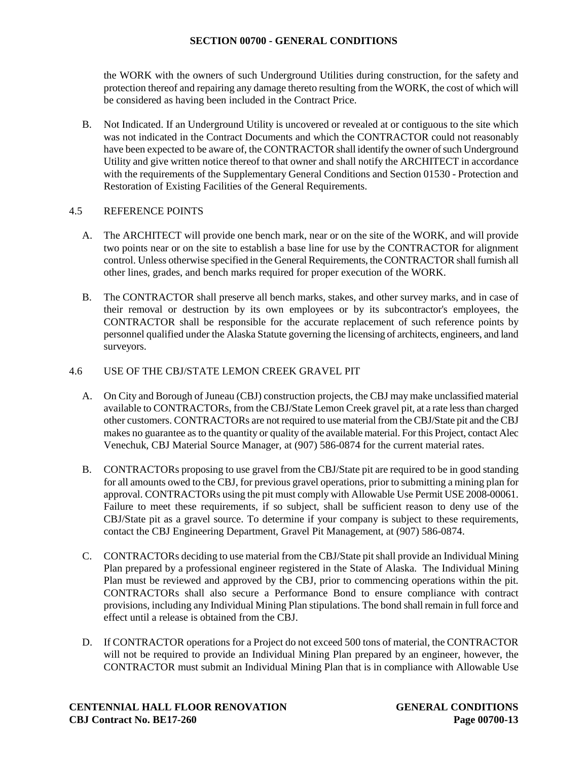the WORK with the owners of such Underground Utilities during construction, for the safety and protection thereof and repairing any damage thereto resulting from the WORK, the cost of which will be considered as having been included in the Contract Price.

B. Not Indicated. If an Underground Utility is uncovered or revealed at or contiguous to the site which was not indicated in the Contract Documents and which the CONTRACTOR could not reasonably have been expected to be aware of, the CONTRACTOR shall identify the owner of such Underground Utility and give written notice thereof to that owner and shall notify the ARCHITECT in accordance with the requirements of the Supplementary General Conditions and Section 01530 - Protection and Restoration of Existing Facilities of the General Requirements.

### 4.5 REFERENCE POINTS

- A. The ARCHITECT will provide one bench mark, near or on the site of the WORK, and will provide two points near or on the site to establish a base line for use by the CONTRACTOR for alignment control. Unless otherwise specified in the General Requirements, the CONTRACTOR shall furnish all other lines, grades, and bench marks required for proper execution of the WORK.
- B. The CONTRACTOR shall preserve all bench marks, stakes, and other survey marks, and in case of their removal or destruction by its own employees or by its subcontractor's employees, the CONTRACTOR shall be responsible for the accurate replacement of such reference points by personnel qualified under the Alaska Statute governing the licensing of architects, engineers, and land surveyors.

### 4.6 USE OF THE CBJ/STATE LEMON CREEK GRAVEL PIT

- A. On City and Borough of Juneau (CBJ) construction projects, the CBJ may make unclassified material available to CONTRACTORs, from the CBJ/State Lemon Creek gravel pit, at a rate less than charged other customers. CONTRACTORs are not required to use material from the CBJ/State pit and the CBJ makes no guarantee as to the quantity or quality of the available material. For this Project, contact Alec Venechuk, CBJ Material Source Manager, at (907) 586-0874 for the current material rates.
- B. CONTRACTORs proposing to use gravel from the CBJ/State pit are required to be in good standing for all amounts owed to the CBJ, for previous gravel operations, prior to submitting a mining plan for approval. CONTRACTORs using the pit must comply with Allowable Use Permit USE 2008-00061. Failure to meet these requirements, if so subject, shall be sufficient reason to deny use of the CBJ/State pit as a gravel source. To determine if your company is subject to these requirements, contact the CBJ Engineering Department, Gravel Pit Management, at (907) 586-0874.
- C. CONTRACTORs deciding to use material from the CBJ/State pit shall provide an Individual Mining Plan prepared by a professional engineer registered in the State of Alaska. The Individual Mining Plan must be reviewed and approved by the CBJ, prior to commencing operations within the pit. CONTRACTORs shall also secure a Performance Bond to ensure compliance with contract provisions, including any Individual Mining Plan stipulations. The bond shall remain in full force and effect until a release is obtained from the CBJ.
- D. If CONTRACTOR operations for a Project do not exceed 500 tons of material, the CONTRACTOR will not be required to provide an Individual Mining Plan prepared by an engineer, however, the CONTRACTOR must submit an Individual Mining Plan that is in compliance with Allowable Use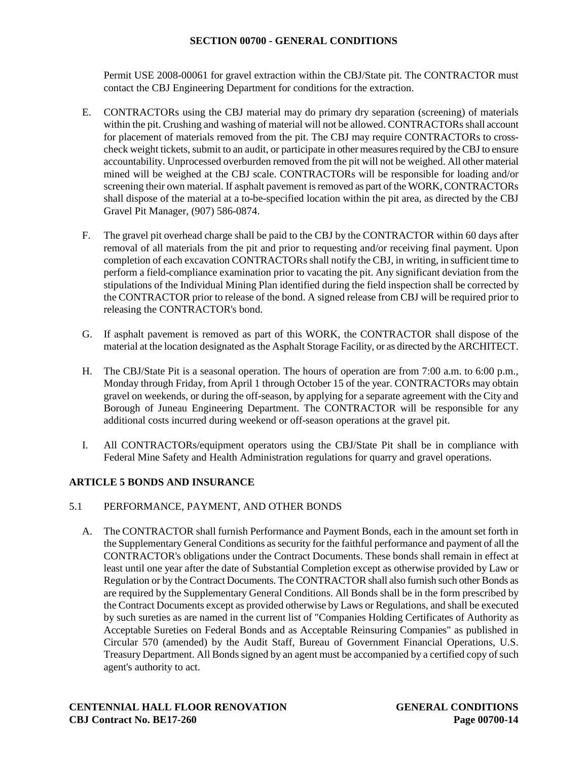Permit USE 2008-00061 for gravel extraction within the CBJ/State pit. The CONTRACTOR must contact the CBJ Engineering Department for conditions for the extraction.

- E. CONTRACTORs using the CBJ material may do primary dry separation (screening) of materials within the pit. Crushing and washing of material will not be allowed. CONTRACTORs shall account for placement of materials removed from the pit. The CBJ may require CONTRACTORs to crosscheck weight tickets, submit to an audit, or participate in other measures required by the CBJ to ensure accountability. Unprocessed overburden removed from the pit will not be weighed. All other material mined will be weighed at the CBJ scale. CONTRACTORs will be responsible for loading and/or screening their own material. If asphalt pavement is removed as part of the WORK, CONTRACTORs shall dispose of the material at a to-be-specified location within the pit area, as directed by the CBJ Gravel Pit Manager, (907) 586-0874.
- F. The gravel pit overhead charge shall be paid to the CBJ by the CONTRACTOR within 60 days after removal of all materials from the pit and prior to requesting and/or receiving final payment. Upon completion of each excavation CONTRACTORs shall notify the CBJ, in writing, in sufficient time to perform a field-compliance examination prior to vacating the pit. Any significant deviation from the stipulations of the Individual Mining Plan identified during the field inspection shall be corrected by the CONTRACTOR prior to release of the bond. A signed release from CBJ will be required prior to releasing the CONTRACTOR's bond.
- G. If asphalt pavement is removed as part of this WORK, the CONTRACTOR shall dispose of the material at the location designated as the Asphalt Storage Facility, or as directed by the ARCHITECT.
- H. The CBJ/State Pit is a seasonal operation. The hours of operation are from 7:00 a.m. to 6:00 p.m., Monday through Friday, from April 1 through October 15 of the year. CONTRACTORs may obtain gravel on weekends, or during the off-season, by applying for a separate agreement with the City and Borough of Juneau Engineering Department. The CONTRACTOR will be responsible for any additional costs incurred during weekend or off-season operations at the gravel pit.
- I. All CONTRACTORs/equipment operators using the CBJ/State Pit shall be in compliance with Federal Mine Safety and Health Administration regulations for quarry and gravel operations.

# **ARTICLE 5 BONDS AND INSURANCE**

# 5.1 PERFORMANCE, PAYMENT, AND OTHER BONDS

A. The CONTRACTOR shall furnish Performance and Payment Bonds, each in the amount set forth in the Supplementary General Conditions as security for the faithful performance and payment of all the CONTRACTOR's obligations under the Contract Documents. These bonds shall remain in effect at least until one year after the date of Substantial Completion except as otherwise provided by Law or Regulation or by the Contract Documents. The CONTRACTOR shall also furnish such other Bonds as are required by the Supplementary General Conditions. All Bonds shall be in the form prescribed by the Contract Documents except as provided otherwise by Laws or Regulations, and shall be executed by such sureties as are named in the current list of "Companies Holding Certificates of Authority as Acceptable Sureties on Federal Bonds and as Acceptable Reinsuring Companies" as published in Circular 570 (amended) by the Audit Staff, Bureau of Government Financial Operations, U.S. Treasury Department. All Bonds signed by an agent must be accompanied by a certified copy of such agent's authority to act.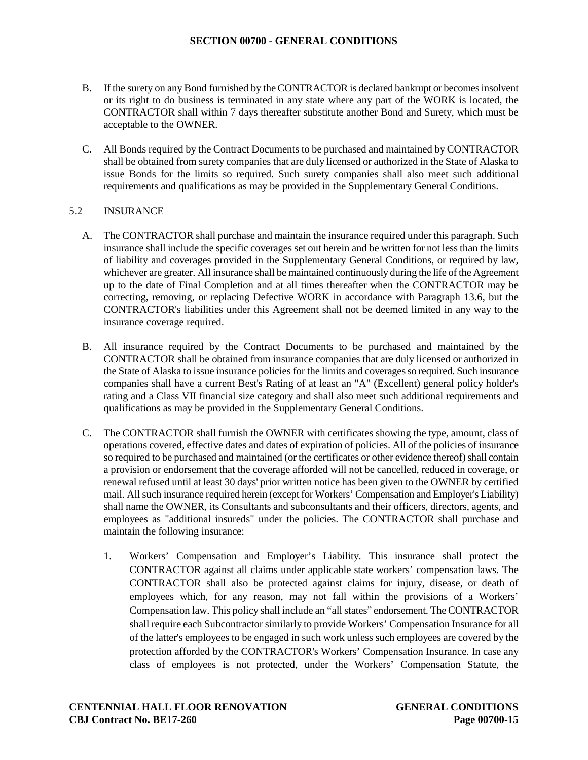- B. If the surety on any Bond furnished by the CONTRACTOR is declared bankrupt or becomes insolvent or its right to do business is terminated in any state where any part of the WORK is located, the CONTRACTOR shall within 7 days thereafter substitute another Bond and Surety, which must be acceptable to the OWNER.
- C. All Bonds required by the Contract Documents to be purchased and maintained by CONTRACTOR shall be obtained from surety companies that are duly licensed or authorized in the State of Alaska to issue Bonds for the limits so required. Such surety companies shall also meet such additional requirements and qualifications as may be provided in the Supplementary General Conditions.

# 5.2 INSURANCE

- A. The CONTRACTOR shall purchase and maintain the insurance required under this paragraph. Such insurance shall include the specific coverages set out herein and be written for not less than the limits of liability and coverages provided in the Supplementary General Conditions, or required by law, whichever are greater. All insurance shall be maintained continuously during the life of the Agreement up to the date of Final Completion and at all times thereafter when the CONTRACTOR may be correcting, removing, or replacing Defective WORK in accordance with Paragraph 13.6, but the CONTRACTOR's liabilities under this Agreement shall not be deemed limited in any way to the insurance coverage required.
- B. All insurance required by the Contract Documents to be purchased and maintained by the CONTRACTOR shall be obtained from insurance companies that are duly licensed or authorized in the State of Alaska to issue insurance policies for the limits and coverages so required. Such insurance companies shall have a current Best's Rating of at least an "A" (Excellent) general policy holder's rating and a Class VII financial size category and shall also meet such additional requirements and qualifications as may be provided in the Supplementary General Conditions.
- C. The CONTRACTOR shall furnish the OWNER with certificates showing the type, amount, class of operations covered, effective dates and dates of expiration of policies. All of the policies of insurance so required to be purchased and maintained (or the certificates or other evidence thereof) shall contain a provision or endorsement that the coverage afforded will not be cancelled, reduced in coverage, or renewal refused until at least 30 days' prior written notice has been given to the OWNER by certified mail. All such insurance required herein (except for Workers' Compensation and Employer's Liability) shall name the OWNER, its Consultants and subconsultants and their officers, directors, agents, and employees as "additional insureds" under the policies. The CONTRACTOR shall purchase and maintain the following insurance:
	- 1. Workers' Compensation and Employer's Liability. This insurance shall protect the CONTRACTOR against all claims under applicable state workers' compensation laws. The CONTRACTOR shall also be protected against claims for injury, disease, or death of employees which, for any reason, may not fall within the provisions of a Workers' Compensation law. This policy shall include an "all states" endorsement. The CONTRACTOR shall require each Subcontractor similarly to provide Workers' Compensation Insurance for all of the latter's employees to be engaged in such work unless such employees are covered by the protection afforded by the CONTRACTOR's Workers' Compensation Insurance. In case any class of employees is not protected, under the Workers' Compensation Statute, the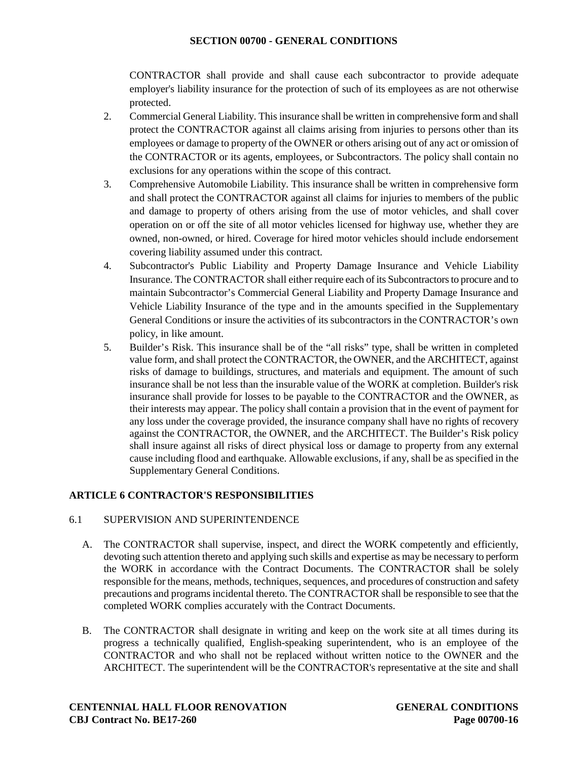CONTRACTOR shall provide and shall cause each subcontractor to provide adequate employer's liability insurance for the protection of such of its employees as are not otherwise protected.

- 2. Commercial General Liability. This insurance shall be written in comprehensive form and shall protect the CONTRACTOR against all claims arising from injuries to persons other than its employees or damage to property of the OWNER or others arising out of any act or omission of the CONTRACTOR or its agents, employees, or Subcontractors. The policy shall contain no exclusions for any operations within the scope of this contract.
- 3. Comprehensive Automobile Liability. This insurance shall be written in comprehensive form and shall protect the CONTRACTOR against all claims for injuries to members of the public and damage to property of others arising from the use of motor vehicles, and shall cover operation on or off the site of all motor vehicles licensed for highway use, whether they are owned, non-owned, or hired. Coverage for hired motor vehicles should include endorsement covering liability assumed under this contract.
- 4. Subcontractor's Public Liability and Property Damage Insurance and Vehicle Liability Insurance. The CONTRACTOR shall either require each of its Subcontractors to procure and to maintain Subcontractor's Commercial General Liability and Property Damage Insurance and Vehicle Liability Insurance of the type and in the amounts specified in the Supplementary General Conditions or insure the activities of its subcontractors in the CONTRACTOR's own policy, in like amount.
- 5. Builder's Risk. This insurance shall be of the "all risks" type, shall be written in completed value form, and shall protect the CONTRACTOR, the OWNER, and the ARCHITECT, against risks of damage to buildings, structures, and materials and equipment. The amount of such insurance shall be not less than the insurable value of the WORK at completion. Builder's risk insurance shall provide for losses to be payable to the CONTRACTOR and the OWNER, as their interests may appear. The policy shall contain a provision that in the event of payment for any loss under the coverage provided, the insurance company shall have no rights of recovery against the CONTRACTOR, the OWNER, and the ARCHITECT. The Builder's Risk policy shall insure against all risks of direct physical loss or damage to property from any external cause including flood and earthquake. Allowable exclusions, if any, shall be as specified in the Supplementary General Conditions.

# **ARTICLE 6 CONTRACTOR'S RESPONSIBILITIES**

# 6.1 SUPERVISION AND SUPERINTENDENCE

- A. The CONTRACTOR shall supervise, inspect, and direct the WORK competently and efficiently, devoting such attention thereto and applying such skills and expertise as may be necessary to perform the WORK in accordance with the Contract Documents. The CONTRACTOR shall be solely responsible for the means, methods, techniques, sequences, and procedures of construction and safety precautions and programs incidental thereto. The CONTRACTOR shall be responsible to see that the completed WORK complies accurately with the Contract Documents.
- B. The CONTRACTOR shall designate in writing and keep on the work site at all times during its progress a technically qualified, English-speaking superintendent, who is an employee of the CONTRACTOR and who shall not be replaced without written notice to the OWNER and the ARCHITECT. The superintendent will be the CONTRACTOR's representative at the site and shall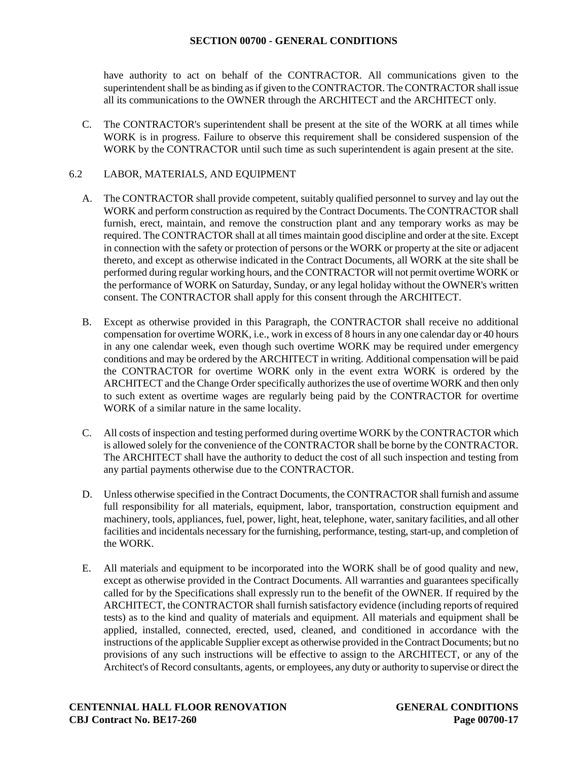have authority to act on behalf of the CONTRACTOR. All communications given to the superintendent shall be as binding as if given to the CONTRACTOR. The CONTRACTOR shall issue all its communications to the OWNER through the ARCHITECT and the ARCHITECT only.

C. The CONTRACTOR's superintendent shall be present at the site of the WORK at all times while WORK is in progress. Failure to observe this requirement shall be considered suspension of the WORK by the CONTRACTOR until such time as such superintendent is again present at the site.

# 6.2 LABOR, MATERIALS, AND EQUIPMENT

- A. The CONTRACTOR shall provide competent, suitably qualified personnel to survey and lay out the WORK and perform construction as required by the Contract Documents. The CONTRACTOR shall furnish, erect, maintain, and remove the construction plant and any temporary works as may be required. The CONTRACTOR shall at all times maintain good discipline and order at the site. Except in connection with the safety or protection of persons or the WORK or property at the site or adjacent thereto, and except as otherwise indicated in the Contract Documents, all WORK at the site shall be performed during regular working hours, and the CONTRACTOR will not permit overtime WORK or the performance of WORK on Saturday, Sunday, or any legal holiday without the OWNER's written consent. The CONTRACTOR shall apply for this consent through the ARCHITECT.
- B. Except as otherwise provided in this Paragraph, the CONTRACTOR shall receive no additional compensation for overtime WORK, i.e., work in excess of 8 hours in any one calendar day or 40 hours in any one calendar week, even though such overtime WORK may be required under emergency conditions and may be ordered by the ARCHITECT in writing. Additional compensation will be paid the CONTRACTOR for overtime WORK only in the event extra WORK is ordered by the ARCHITECT and the Change Order specifically authorizes the use of overtime WORK and then only to such extent as overtime wages are regularly being paid by the CONTRACTOR for overtime WORK of a similar nature in the same locality.
- C. All costs of inspection and testing performed during overtime WORK by the CONTRACTOR which is allowed solely for the convenience of the CONTRACTOR shall be borne by the CONTRACTOR. The ARCHITECT shall have the authority to deduct the cost of all such inspection and testing from any partial payments otherwise due to the CONTRACTOR.
- D. Unless otherwise specified in the Contract Documents, the CONTRACTOR shall furnish and assume full responsibility for all materials, equipment, labor, transportation, construction equipment and machinery, tools, appliances, fuel, power, light, heat, telephone, water, sanitary facilities, and all other facilities and incidentals necessary for the furnishing, performance, testing, start-up, and completion of the WORK.
- E. All materials and equipment to be incorporated into the WORK shall be of good quality and new, except as otherwise provided in the Contract Documents. All warranties and guarantees specifically called for by the Specifications shall expressly run to the benefit of the OWNER. If required by the ARCHITECT, the CONTRACTOR shall furnish satisfactory evidence (including reports of required tests) as to the kind and quality of materials and equipment. All materials and equipment shall be applied, installed, connected, erected, used, cleaned, and conditioned in accordance with the instructions of the applicable Supplier except as otherwise provided in the Contract Documents; but no provisions of any such instructions will be effective to assign to the ARCHITECT, or any of the Architect's of Record consultants, agents, or employees, any duty or authority to supervise or direct the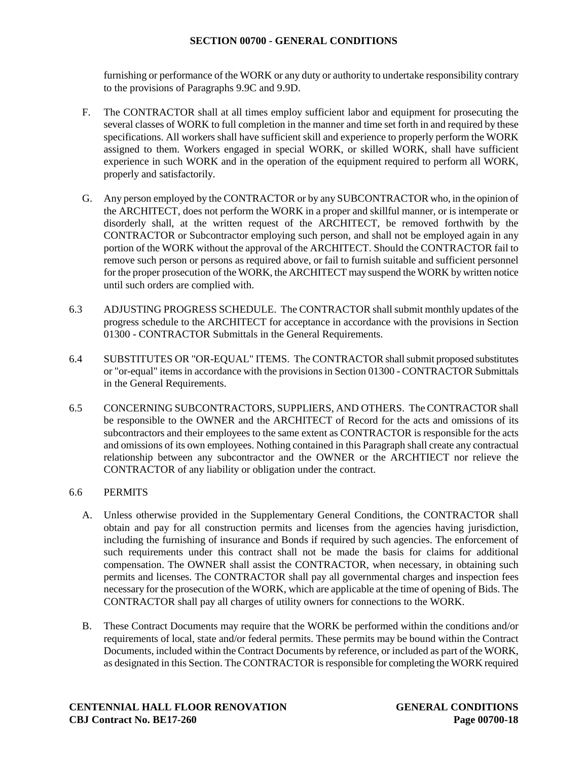furnishing or performance of the WORK or any duty or authority to undertake responsibility contrary to the provisions of Paragraphs 9.9C and 9.9D.

- F. The CONTRACTOR shall at all times employ sufficient labor and equipment for prosecuting the several classes of WORK to full completion in the manner and time set forth in and required by these specifications. All workers shall have sufficient skill and experience to properly perform the WORK assigned to them. Workers engaged in special WORK, or skilled WORK, shall have sufficient experience in such WORK and in the operation of the equipment required to perform all WORK, properly and satisfactorily.
- G. Any person employed by the CONTRACTOR or by any SUBCONTRACTOR who, in the opinion of the ARCHITECT, does not perform the WORK in a proper and skillful manner, or is intemperate or disorderly shall, at the written request of the ARCHITECT, be removed forthwith by the CONTRACTOR or Subcontractor employing such person, and shall not be employed again in any portion of the WORK without the approval of the ARCHITECT. Should the CONTRACTOR fail to remove such person or persons as required above, or fail to furnish suitable and sufficient personnel for the proper prosecution of the WORK, the ARCHITECT may suspend the WORK by written notice until such orders are complied with.
- 6.3 ADJUSTING PROGRESS SCHEDULE. The CONTRACTOR shall submit monthly updates of the progress schedule to the ARCHITECT for acceptance in accordance with the provisions in Section 01300 - CONTRACTOR Submittals in the General Requirements.
- 6.4 SUBSTITUTES OR "OR-EQUAL" ITEMS. The CONTRACTOR shall submit proposed substitutes or "or-equal" items in accordance with the provisions in Section 01300 - CONTRACTOR Submittals in the General Requirements.
- 6.5 CONCERNING SUBCONTRACTORS, SUPPLIERS, AND OTHERS. The CONTRACTOR shall be responsible to the OWNER and the ARCHITECT of Record for the acts and omissions of its subcontractors and their employees to the same extent as CONTRACTOR is responsible for the acts and omissions of its own employees. Nothing contained in this Paragraph shall create any contractual relationship between any subcontractor and the OWNER or the ARCHTIECT nor relieve the CONTRACTOR of any liability or obligation under the contract.

### 6.6 PERMITS

- A. Unless otherwise provided in the Supplementary General Conditions, the CONTRACTOR shall obtain and pay for all construction permits and licenses from the agencies having jurisdiction, including the furnishing of insurance and Bonds if required by such agencies. The enforcement of such requirements under this contract shall not be made the basis for claims for additional compensation. The OWNER shall assist the CONTRACTOR, when necessary, in obtaining such permits and licenses. The CONTRACTOR shall pay all governmental charges and inspection fees necessary for the prosecution of the WORK, which are applicable at the time of opening of Bids. The CONTRACTOR shall pay all charges of utility owners for connections to the WORK.
- B. These Contract Documents may require that the WORK be performed within the conditions and/or requirements of local, state and/or federal permits. These permits may be bound within the Contract Documents, included within the Contract Documents by reference, or included as part of the WORK, as designated in this Section. The CONTRACTOR is responsible for completing the WORK required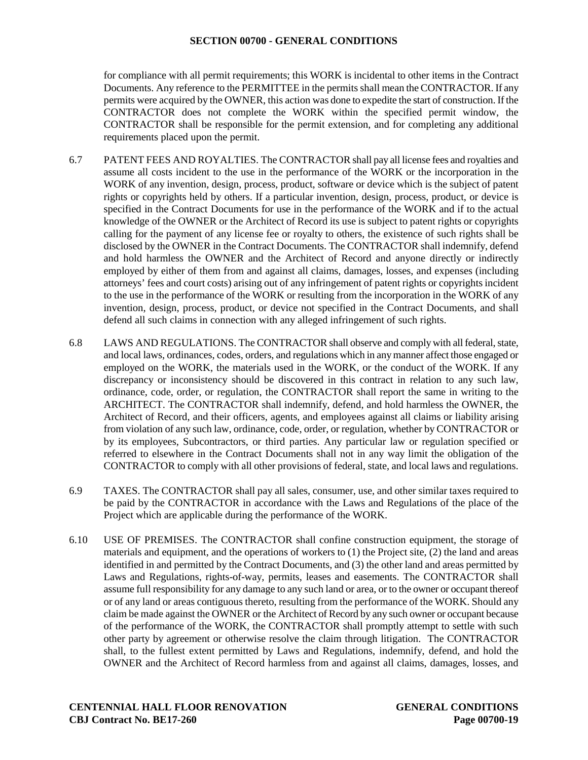for compliance with all permit requirements; this WORK is incidental to other items in the Contract Documents. Any reference to the PERMITTEE in the permits shall mean the CONTRACTOR. If any permits were acquired by the OWNER, this action was done to expedite the start of construction. If the CONTRACTOR does not complete the WORK within the specified permit window, the CONTRACTOR shall be responsible for the permit extension, and for completing any additional requirements placed upon the permit.

- 6.7 PATENT FEES AND ROYALTIES. The CONTRACTOR shall pay all license fees and royalties and assume all costs incident to the use in the performance of the WORK or the incorporation in the WORK of any invention, design, process, product, software or device which is the subject of patent rights or copyrights held by others. If a particular invention, design, process, product, or device is specified in the Contract Documents for use in the performance of the WORK and if to the actual knowledge of the OWNER or the Architect of Record its use is subject to patent rights or copyrights calling for the payment of any license fee or royalty to others, the existence of such rights shall be disclosed by the OWNER in the Contract Documents. The CONTRACTOR shall indemnify, defend and hold harmless the OWNER and the Architect of Record and anyone directly or indirectly employed by either of them from and against all claims, damages, losses, and expenses (including attorneys' fees and court costs) arising out of any infringement of patent rights or copyrights incident to the use in the performance of the WORK or resulting from the incorporation in the WORK of any invention, design, process, product, or device not specified in the Contract Documents, and shall defend all such claims in connection with any alleged infringement of such rights.
- 6.8 LAWS AND REGULATIONS. The CONTRACTOR shall observe and comply with all federal, state, and local laws, ordinances, codes, orders, and regulations which in any manner affect those engaged or employed on the WORK, the materials used in the WORK, or the conduct of the WORK. If any discrepancy or inconsistency should be discovered in this contract in relation to any such law, ordinance, code, order, or regulation, the CONTRACTOR shall report the same in writing to the ARCHITECT. The CONTRACTOR shall indemnify, defend, and hold harmless the OWNER, the Architect of Record, and their officers, agents, and employees against all claims or liability arising from violation of any such law, ordinance, code, order, or regulation, whether by CONTRACTOR or by its employees, Subcontractors, or third parties. Any particular law or regulation specified or referred to elsewhere in the Contract Documents shall not in any way limit the obligation of the CONTRACTOR to comply with all other provisions of federal, state, and local laws and regulations.
- 6.9 TAXES. The CONTRACTOR shall pay all sales, consumer, use, and other similar taxes required to be paid by the CONTRACTOR in accordance with the Laws and Regulations of the place of the Project which are applicable during the performance of the WORK.
- 6.10 USE OF PREMISES. The CONTRACTOR shall confine construction equipment, the storage of materials and equipment, and the operations of workers to (1) the Project site, (2) the land and areas identified in and permitted by the Contract Documents, and (3) the other land and areas permitted by Laws and Regulations, rights-of-way, permits, leases and easements. The CONTRACTOR shall assume full responsibility for any damage to any such land or area, or to the owner or occupant thereof or of any land or areas contiguous thereto, resulting from the performance of the WORK. Should any claim be made against the OWNER or the Architect of Record by any such owner or occupant because of the performance of the WORK, the CONTRACTOR shall promptly attempt to settle with such other party by agreement or otherwise resolve the claim through litigation. The CONTRACTOR shall, to the fullest extent permitted by Laws and Regulations, indemnify, defend, and hold the OWNER and the Architect of Record harmless from and against all claims, damages, losses, and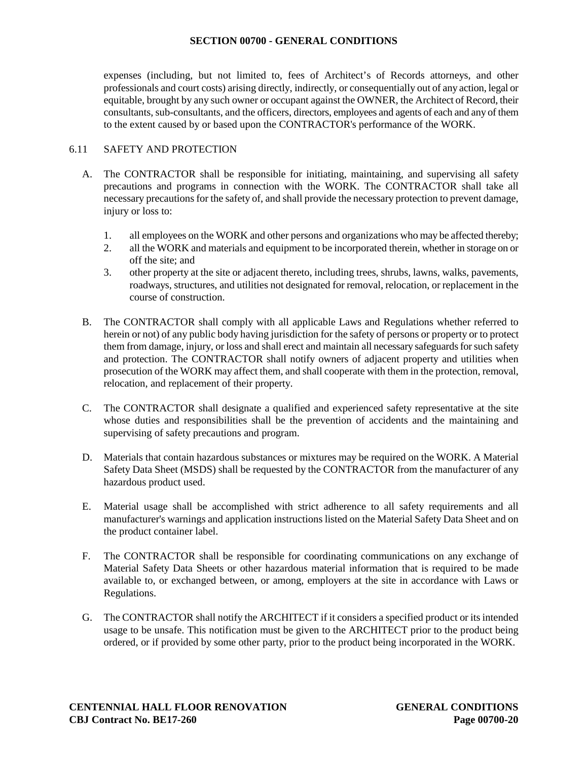expenses (including, but not limited to, fees of Architect's of Records attorneys, and other professionals and court costs) arising directly, indirectly, or consequentially out of any action, legal or equitable, brought by any such owner or occupant against the OWNER, the Architect of Record, their consultants, sub-consultants, and the officers, directors, employees and agents of each and any of them to the extent caused by or based upon the CONTRACTOR's performance of the WORK.

### 6.11 SAFETY AND PROTECTION

- A. The CONTRACTOR shall be responsible for initiating, maintaining, and supervising all safety precautions and programs in connection with the WORK. The CONTRACTOR shall take all necessary precautions for the safety of, and shall provide the necessary protection to prevent damage, injury or loss to:
	- 1. all employees on the WORK and other persons and organizations who may be affected thereby;
	- 2. all the WORK and materials and equipment to be incorporated therein, whether in storage on or off the site; and
	- 3. other property at the site or adjacent thereto, including trees, shrubs, lawns, walks, pavements, roadways, structures, and utilities not designated for removal, relocation, or replacement in the course of construction.
- B. The CONTRACTOR shall comply with all applicable Laws and Regulations whether referred to herein or not) of any public body having jurisdiction for the safety of persons or property or to protect them from damage, injury, or loss and shall erect and maintain all necessary safeguards for such safety and protection. The CONTRACTOR shall notify owners of adjacent property and utilities when prosecution of the WORK may affect them, and shall cooperate with them in the protection, removal, relocation, and replacement of their property.
- C. The CONTRACTOR shall designate a qualified and experienced safety representative at the site whose duties and responsibilities shall be the prevention of accidents and the maintaining and supervising of safety precautions and program.
- D. Materials that contain hazardous substances or mixtures may be required on the WORK. A Material Safety Data Sheet (MSDS) shall be requested by the CONTRACTOR from the manufacturer of any hazardous product used.
- E. Material usage shall be accomplished with strict adherence to all safety requirements and all manufacturer's warnings and application instructions listed on the Material Safety Data Sheet and on the product container label.
- F. The CONTRACTOR shall be responsible for coordinating communications on any exchange of Material Safety Data Sheets or other hazardous material information that is required to be made available to, or exchanged between, or among, employers at the site in accordance with Laws or Regulations.
- G. The CONTRACTOR shall notify the ARCHITECT if it considers a specified product or its intended usage to be unsafe. This notification must be given to the ARCHITECT prior to the product being ordered, or if provided by some other party, prior to the product being incorporated in the WORK.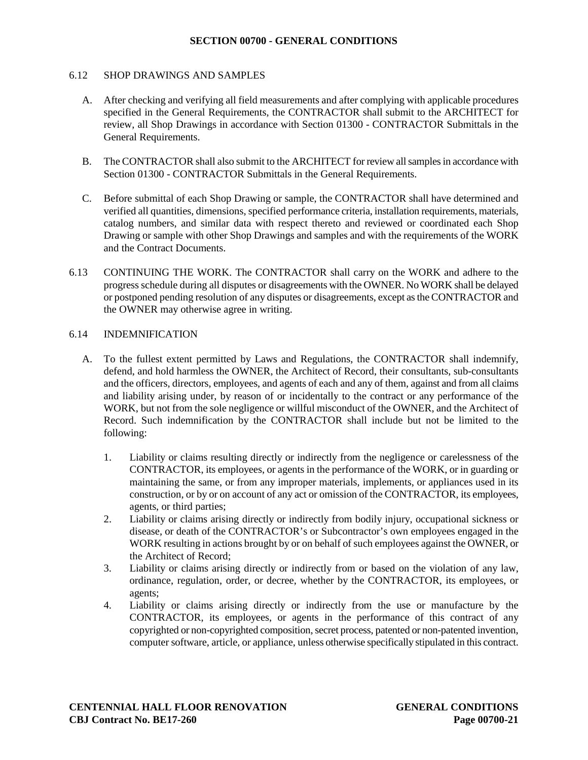#### 6.12 SHOP DRAWINGS AND SAMPLES

- A. After checking and verifying all field measurements and after complying with applicable procedures specified in the General Requirements, the CONTRACTOR shall submit to the ARCHITECT for review, all Shop Drawings in accordance with Section 01300 - CONTRACTOR Submittals in the General Requirements.
- B. The CONTRACTOR shall also submit to the ARCHITECT for review all samples in accordance with Section 01300 - CONTRACTOR Submittals in the General Requirements.
- C. Before submittal of each Shop Drawing or sample, the CONTRACTOR shall have determined and verified all quantities, dimensions, specified performance criteria, installation requirements, materials, catalog numbers, and similar data with respect thereto and reviewed or coordinated each Shop Drawing or sample with other Shop Drawings and samples and with the requirements of the WORK and the Contract Documents.
- 6.13 CONTINUING THE WORK. The CONTRACTOR shall carry on the WORK and adhere to the progress schedule during all disputes or disagreements with the OWNER. No WORK shall be delayed or postponed pending resolution of any disputes or disagreements, except as the CONTRACTOR and the OWNER may otherwise agree in writing.

#### 6.14 INDEMNIFICATION

- A. To the fullest extent permitted by Laws and Regulations, the CONTRACTOR shall indemnify, defend, and hold harmless the OWNER, the Architect of Record, their consultants, sub-consultants and the officers, directors, employees, and agents of each and any of them, against and from all claims and liability arising under, by reason of or incidentally to the contract or any performance of the WORK, but not from the sole negligence or willful misconduct of the OWNER, and the Architect of Record. Such indemnification by the CONTRACTOR shall include but not be limited to the following:
	- 1. Liability or claims resulting directly or indirectly from the negligence or carelessness of the CONTRACTOR, its employees, or agents in the performance of the WORK, or in guarding or maintaining the same, or from any improper materials, implements, or appliances used in its construction, or by or on account of any act or omission of the CONTRACTOR, its employees, agents, or third parties;
	- 2. Liability or claims arising directly or indirectly from bodily injury, occupational sickness or disease, or death of the CONTRACTOR's or Subcontractor's own employees engaged in the WORK resulting in actions brought by or on behalf of such employees against the OWNER, or the Architect of Record;
	- 3. Liability or claims arising directly or indirectly from or based on the violation of any law, ordinance, regulation, order, or decree, whether by the CONTRACTOR, its employees, or agents;
	- 4. Liability or claims arising directly or indirectly from the use or manufacture by the CONTRACTOR, its employees, or agents in the performance of this contract of any copyrighted or non-copyrighted composition, secret process, patented or non-patented invention, computer software, article, or appliance, unless otherwise specifically stipulated in this contract.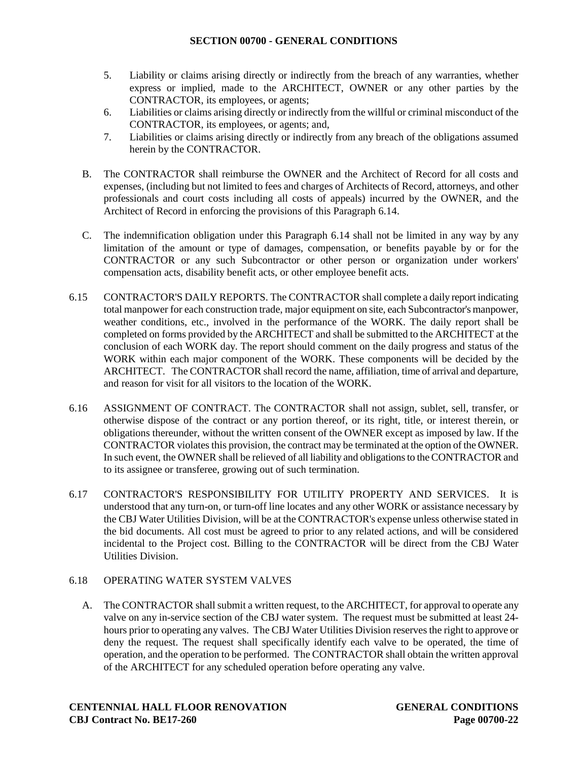- 5. Liability or claims arising directly or indirectly from the breach of any warranties, whether express or implied, made to the ARCHITECT, OWNER or any other parties by the CONTRACTOR, its employees, or agents;
- 6. Liabilities or claims arising directly or indirectly from the willful or criminal misconduct of the CONTRACTOR, its employees, or agents; and,
- 7. Liabilities or claims arising directly or indirectly from any breach of the obligations assumed herein by the CONTRACTOR.
- B. The CONTRACTOR shall reimburse the OWNER and the Architect of Record for all costs and expenses, (including but not limited to fees and charges of Architects of Record, attorneys, and other professionals and court costs including all costs of appeals) incurred by the OWNER, and the Architect of Record in enforcing the provisions of this Paragraph 6.14.
- C. The indemnification obligation under this Paragraph 6.14 shall not be limited in any way by any limitation of the amount or type of damages, compensation, or benefits payable by or for the CONTRACTOR or any such Subcontractor or other person or organization under workers' compensation acts, disability benefit acts, or other employee benefit acts.
- 6.15 CONTRACTOR'S DAILY REPORTS. The CONTRACTOR shall complete a daily report indicating total manpower for each construction trade, major equipment on site, each Subcontractor's manpower, weather conditions, etc., involved in the performance of the WORK. The daily report shall be completed on forms provided by the ARCHITECT and shall be submitted to the ARCHITECT at the conclusion of each WORK day. The report should comment on the daily progress and status of the WORK within each major component of the WORK. These components will be decided by the ARCHITECT. The CONTRACTOR shall record the name, affiliation, time of arrival and departure, and reason for visit for all visitors to the location of the WORK.
- 6.16 ASSIGNMENT OF CONTRACT. The CONTRACTOR shall not assign, sublet, sell, transfer, or otherwise dispose of the contract or any portion thereof, or its right, title, or interest therein, or obligations thereunder, without the written consent of the OWNER except as imposed by law. If the CONTRACTOR violates this provision, the contract may be terminated at the option of the OWNER. In such event, the OWNER shall be relieved of all liability and obligations to the CONTRACTOR and to its assignee or transferee, growing out of such termination.
- 6.17 CONTRACTOR'S RESPONSIBILITY FOR UTILITY PROPERTY AND SERVICES. It is understood that any turn-on, or turn-off line locates and any other WORK or assistance necessary by the CBJ Water Utilities Division, will be at the CONTRACTOR's expense unless otherwise stated in the bid documents. All cost must be agreed to prior to any related actions, and will be considered incidental to the Project cost. Billing to the CONTRACTOR will be direct from the CBJ Water Utilities Division.

# 6.18 OPERATING WATER SYSTEM VALVES

A. The CONTRACTOR shall submit a written request, to the ARCHITECT, for approval to operate any valve on any in-service section of the CBJ water system. The request must be submitted at least 24 hours prior to operating any valves. The CBJ Water Utilities Division reserves the right to approve or deny the request. The request shall specifically identify each valve to be operated, the time of operation, and the operation to be performed. The CONTRACTOR shall obtain the written approval of the ARCHITECT for any scheduled operation before operating any valve.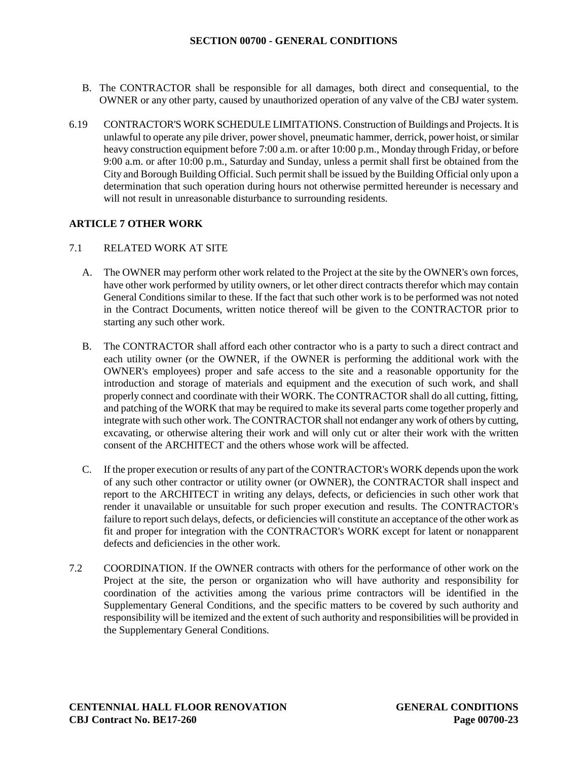- B. The CONTRACTOR shall be responsible for all damages, both direct and consequential, to the OWNER or any other party, caused by unauthorized operation of any valve of the CBJ water system.
- 6.19 CONTRACTOR'S WORK SCHEDULE LIMITATIONS. Construction of Buildings and Projects. It is unlawful to operate any pile driver, power shovel, pneumatic hammer, derrick, power hoist, or similar heavy construction equipment before 7:00 a.m. or after 10:00 p.m., Monday through Friday, or before 9:00 a.m. or after 10:00 p.m., Saturday and Sunday, unless a permit shall first be obtained from the City and Borough Building Official. Such permit shall be issued by the Building Official only upon a determination that such operation during hours not otherwise permitted hereunder is necessary and will not result in unreasonable disturbance to surrounding residents.

### **ARTICLE 7 OTHER WORK**

### 7.1 RELATED WORK AT SITE

- A. The OWNER may perform other work related to the Project at the site by the OWNER's own forces, have other work performed by utility owners, or let other direct contracts therefor which may contain General Conditions similar to these. If the fact that such other work is to be performed was not noted in the Contract Documents, written notice thereof will be given to the CONTRACTOR prior to starting any such other work.
- B. The CONTRACTOR shall afford each other contractor who is a party to such a direct contract and each utility owner (or the OWNER, if the OWNER is performing the additional work with the OWNER's employees) proper and safe access to the site and a reasonable opportunity for the introduction and storage of materials and equipment and the execution of such work, and shall properly connect and coordinate with their WORK. The CONTRACTOR shall do all cutting, fitting, and patching of the WORK that may be required to make its several parts come together properly and integrate with such other work. The CONTRACTOR shall not endanger any work of others by cutting, excavating, or otherwise altering their work and will only cut or alter their work with the written consent of the ARCHITECT and the others whose work will be affected.
- C. If the proper execution or results of any part of the CONTRACTOR's WORK depends upon the work of any such other contractor or utility owner (or OWNER), the CONTRACTOR shall inspect and report to the ARCHITECT in writing any delays, defects, or deficiencies in such other work that render it unavailable or unsuitable for such proper execution and results. The CONTRACTOR's failure to report such delays, defects, or deficiencies will constitute an acceptance of the other work as fit and proper for integration with the CONTRACTOR's WORK except for latent or nonapparent defects and deficiencies in the other work.
- 7.2 COORDINATION. If the OWNER contracts with others for the performance of other work on the Project at the site, the person or organization who will have authority and responsibility for coordination of the activities among the various prime contractors will be identified in the Supplementary General Conditions, and the specific matters to be covered by such authority and responsibility will be itemized and the extent of such authority and responsibilities will be provided in the Supplementary General Conditions.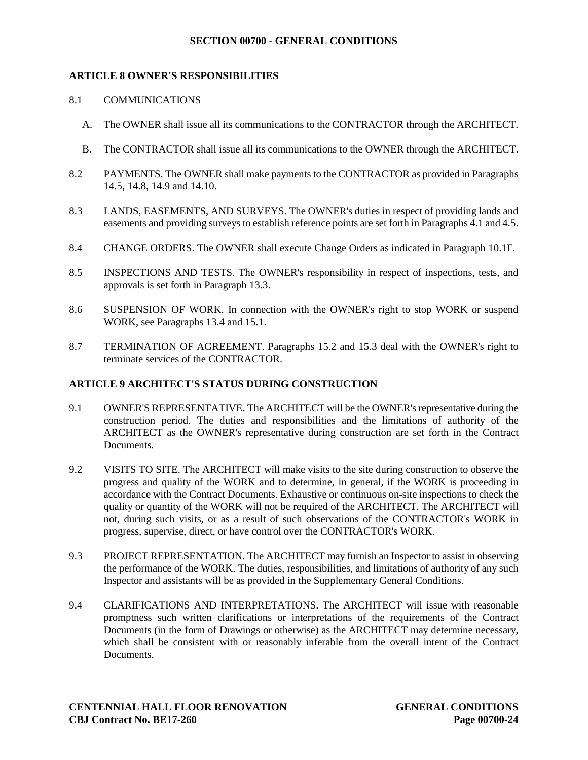### **ARTICLE 8 OWNER'S RESPONSIBILITIES**

#### 8.1 COMMUNICATIONS

- A. The OWNER shall issue all its communications to the CONTRACTOR through the ARCHITECT.
- B. The CONTRACTOR shall issue all its communications to the OWNER through the ARCHITECT.
- 8.2 PAYMENTS. The OWNER shall make payments to the CONTRACTOR as provided in Paragraphs 14.5, 14.8, 14.9 and 14.10.
- 8.3 LANDS, EASEMENTS, AND SURVEYS. The OWNER's duties in respect of providing lands and easements and providing surveys to establish reference points are set forth in Paragraphs 4.1 and 4.5.
- 8.4 CHANGE ORDERS. The OWNER shall execute Change Orders as indicated in Paragraph 10.1F.
- 8.5 INSPECTIONS AND TESTS. The OWNER's responsibility in respect of inspections, tests, and approvals is set forth in Paragraph 13.3.
- 8.6 SUSPENSION OF WORK. In connection with the OWNER's right to stop WORK or suspend WORK, see Paragraphs 13.4 and 15.1.
- 8.7 TERMINATION OF AGREEMENT. Paragraphs 15.2 and 15.3 deal with the OWNER's right to terminate services of the CONTRACTOR.

#### **ARTICLE 9 ARCHITECT'S STATUS DURING CONSTRUCTION**

- 9.1 OWNER'S REPRESENTATIVE. The ARCHITECT will be the OWNER's representative during the construction period. The duties and responsibilities and the limitations of authority of the ARCHITECT as the OWNER's representative during construction are set forth in the Contract Documents.
- 9.2 VISITS TO SITE. The ARCHITECT will make visits to the site during construction to observe the progress and quality of the WORK and to determine, in general, if the WORK is proceeding in accordance with the Contract Documents. Exhaustive or continuous on-site inspections to check the quality or quantity of the WORK will not be required of the ARCHITECT. The ARCHITECT will not, during such visits, or as a result of such observations of the CONTRACTOR's WORK in progress, supervise, direct, or have control over the CONTRACTOR's WORK.
- 9.3 PROJECT REPRESENTATION. The ARCHITECT may furnish an Inspector to assist in observing the performance of the WORK. The duties, responsibilities, and limitations of authority of any such Inspector and assistants will be as provided in the Supplementary General Conditions.
- 9.4 CLARIFICATIONS AND INTERPRETATIONS. The ARCHITECT will issue with reasonable promptness such written clarifications or interpretations of the requirements of the Contract Documents (in the form of Drawings or otherwise) as the ARCHITECT may determine necessary, which shall be consistent with or reasonably inferable from the overall intent of the Contract **Documents**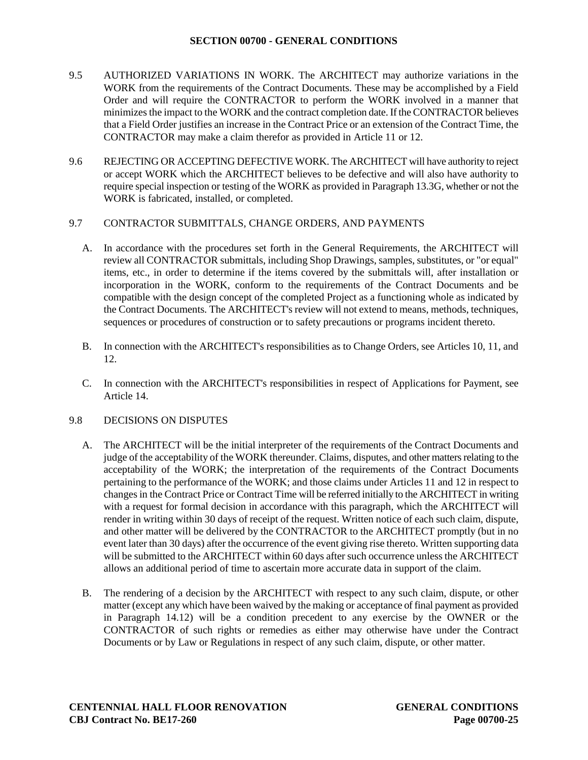- 9.5 AUTHORIZED VARIATIONS IN WORK. The ARCHITECT may authorize variations in the WORK from the requirements of the Contract Documents. These may be accomplished by a Field Order and will require the CONTRACTOR to perform the WORK involved in a manner that minimizes the impact to the WORK and the contract completion date. If the CONTRACTOR believes that a Field Order justifies an increase in the Contract Price or an extension of the Contract Time, the CONTRACTOR may make a claim therefor as provided in Article 11 or 12.
- 9.6 REJECTING OR ACCEPTING DEFECTIVE WORK. The ARCHITECT will have authority to reject or accept WORK which the ARCHITECT believes to be defective and will also have authority to require special inspection or testing of the WORK as provided in Paragraph 13.3G, whether or not the WORK is fabricated, installed, or completed.

### 9.7 CONTRACTOR SUBMITTALS, CHANGE ORDERS, AND PAYMENTS

- A. In accordance with the procedures set forth in the General Requirements, the ARCHITECT will review all CONTRACTOR submittals, including Shop Drawings, samples, substitutes, or "or equal" items, etc., in order to determine if the items covered by the submittals will, after installation or incorporation in the WORK, conform to the requirements of the Contract Documents and be compatible with the design concept of the completed Project as a functioning whole as indicated by the Contract Documents. The ARCHITECT's review will not extend to means, methods, techniques, sequences or procedures of construction or to safety precautions or programs incident thereto.
- B. In connection with the ARCHITECT's responsibilities as to Change Orders, see Articles 10, 11, and 12.
- C. In connection with the ARCHITECT's responsibilities in respect of Applications for Payment, see Article 14.

### 9.8 DECISIONS ON DISPUTES

- A. The ARCHITECT will be the initial interpreter of the requirements of the Contract Documents and judge of the acceptability of the WORK thereunder. Claims, disputes, and other matters relating to the acceptability of the WORK; the interpretation of the requirements of the Contract Documents pertaining to the performance of the WORK; and those claims under Articles 11 and 12 in respect to changes in the Contract Price or Contract Time will be referred initially to the ARCHITECT in writing with a request for formal decision in accordance with this paragraph, which the ARCHITECT will render in writing within 30 days of receipt of the request. Written notice of each such claim, dispute, and other matter will be delivered by the CONTRACTOR to the ARCHITECT promptly (but in no event later than 30 days) after the occurrence of the event giving rise thereto. Written supporting data will be submitted to the ARCHITECT within 60 days after such occurrence unless the ARCHITECT allows an additional period of time to ascertain more accurate data in support of the claim.
- B. The rendering of a decision by the ARCHITECT with respect to any such claim, dispute, or other matter (except any which have been waived by the making or acceptance of final payment as provided in Paragraph 14.12) will be a condition precedent to any exercise by the OWNER or the CONTRACTOR of such rights or remedies as either may otherwise have under the Contract Documents or by Law or Regulations in respect of any such claim, dispute, or other matter.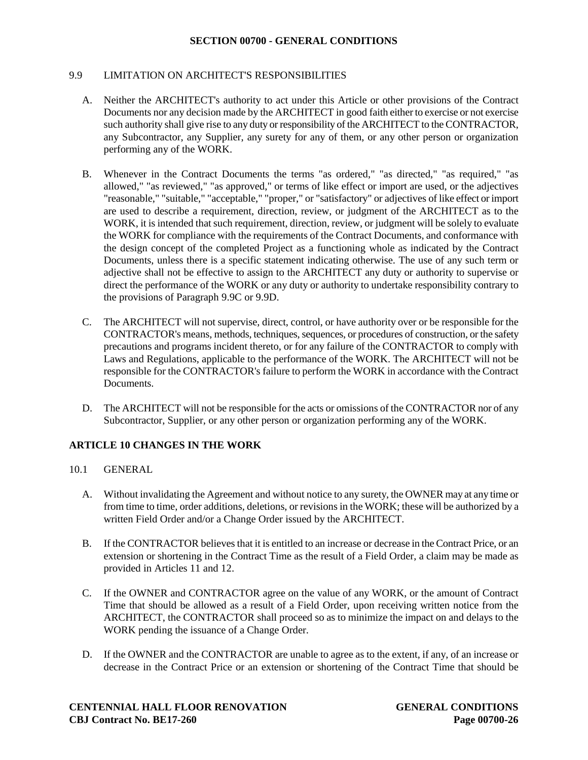### 9.9 LIMITATION ON ARCHITECT'S RESPONSIBILITIES

- A. Neither the ARCHITECT's authority to act under this Article or other provisions of the Contract Documents nor any decision made by the ARCHITECT in good faith either to exercise or not exercise such authority shall give rise to any duty or responsibility of the ARCHITECT to the CONTRACTOR, any Subcontractor, any Supplier, any surety for any of them, or any other person or organization performing any of the WORK.
- B. Whenever in the Contract Documents the terms "as ordered," "as directed," "as required," "as allowed," "as reviewed," "as approved," or terms of like effect or import are used, or the adjectives "reasonable," "suitable," "acceptable," "proper," or "satisfactory" or adjectives of like effect or import are used to describe a requirement, direction, review, or judgment of the ARCHITECT as to the WORK, it is intended that such requirement, direction, review, or judgment will be solely to evaluate the WORK for compliance with the requirements of the Contract Documents, and conformance with the design concept of the completed Project as a functioning whole as indicated by the Contract Documents, unless there is a specific statement indicating otherwise. The use of any such term or adjective shall not be effective to assign to the ARCHITECT any duty or authority to supervise or direct the performance of the WORK or any duty or authority to undertake responsibility contrary to the provisions of Paragraph 9.9C or 9.9D.
- C. The ARCHITECT will not supervise, direct, control, or have authority over or be responsible for the CONTRACTOR's means, methods, techniques, sequences, or procedures of construction, or the safety precautions and programs incident thereto, or for any failure of the CONTRACTOR to comply with Laws and Regulations, applicable to the performance of the WORK. The ARCHITECT will not be responsible for the CONTRACTOR's failure to perform the WORK in accordance with the Contract Documents.
- D. The ARCHITECT will not be responsible for the acts or omissions of the CONTRACTOR nor of any Subcontractor, Supplier, or any other person or organization performing any of the WORK.

# **ARTICLE 10 CHANGES IN THE WORK**

- 10.1 GENERAL
	- A. Without invalidating the Agreement and without notice to any surety, the OWNER may at any time or from time to time, order additions, deletions, or revisions in the WORK; these will be authorized by a written Field Order and/or a Change Order issued by the ARCHITECT.
	- B. If the CONTRACTOR believes that it is entitled to an increase or decrease in the Contract Price, or an extension or shortening in the Contract Time as the result of a Field Order, a claim may be made as provided in Articles 11 and 12.
	- C. If the OWNER and CONTRACTOR agree on the value of any WORK, or the amount of Contract Time that should be allowed as a result of a Field Order, upon receiving written notice from the ARCHITECT, the CONTRACTOR shall proceed so as to minimize the impact on and delays to the WORK pending the issuance of a Change Order.
	- D. If the OWNER and the CONTRACTOR are unable to agree as to the extent, if any, of an increase or decrease in the Contract Price or an extension or shortening of the Contract Time that should be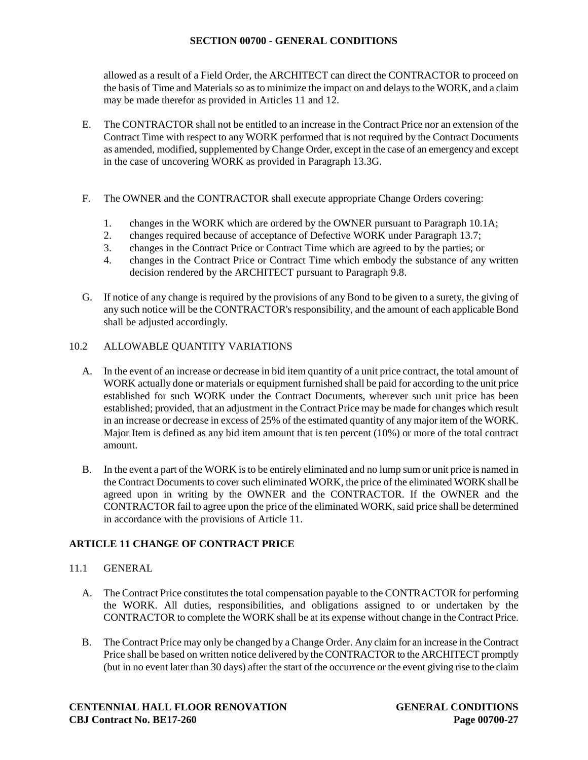allowed as a result of a Field Order, the ARCHITECT can direct the CONTRACTOR to proceed on the basis of Time and Materials so as to minimize the impact on and delays to the WORK, and a claim may be made therefor as provided in Articles 11 and 12.

- E. The CONTRACTOR shall not be entitled to an increase in the Contract Price nor an extension of the Contract Time with respect to any WORK performed that is not required by the Contract Documents as amended, modified, supplemented by Change Order, except in the case of an emergency and except in the case of uncovering WORK as provided in Paragraph 13.3G.
- F. The OWNER and the CONTRACTOR shall execute appropriate Change Orders covering:
	- 1. changes in the WORK which are ordered by the OWNER pursuant to Paragraph 10.1A;
	- 2. changes required because of acceptance of Defective WORK under Paragraph 13.7;
	- 3. changes in the Contract Price or Contract Time which are agreed to by the parties; or
	- 4. changes in the Contract Price or Contract Time which embody the substance of any written decision rendered by the ARCHITECT pursuant to Paragraph 9.8.
- G. If notice of any change is required by the provisions of any Bond to be given to a surety, the giving of any such notice will be the CONTRACTOR's responsibility, and the amount of each applicable Bond shall be adjusted accordingly.

# 10.2 ALLOWABLE QUANTITY VARIATIONS

- A. In the event of an increase or decrease in bid item quantity of a unit price contract, the total amount of WORK actually done or materials or equipment furnished shall be paid for according to the unit price established for such WORK under the Contract Documents, wherever such unit price has been established; provided, that an adjustment in the Contract Price may be made for changes which result in an increase or decrease in excess of 25% of the estimated quantity of any major item of the WORK. Major Item is defined as any bid item amount that is ten percent (10%) or more of the total contract amount.
- B. In the event a part of the WORK is to be entirely eliminated and no lump sum or unit price is named in the Contract Documents to cover such eliminated WORK, the price of the eliminated WORK shall be agreed upon in writing by the OWNER and the CONTRACTOR. If the OWNER and the CONTRACTOR fail to agree upon the price of the eliminated WORK, said price shall be determined in accordance with the provisions of Article 11.

# **ARTICLE 11 CHANGE OF CONTRACT PRICE**

### 11.1 GENERAL

- A. The Contract Price constitutes the total compensation payable to the CONTRACTOR for performing the WORK. All duties, responsibilities, and obligations assigned to or undertaken by the CONTRACTOR to complete the WORK shall be at its expense without change in the Contract Price.
- B. The Contract Price may only be changed by a Change Order. Any claim for an increase in the Contract Price shall be based on written notice delivered by the CONTRACTOR to the ARCHITECT promptly (but in no event later than 30 days) after the start of the occurrence or the event giving rise to the claim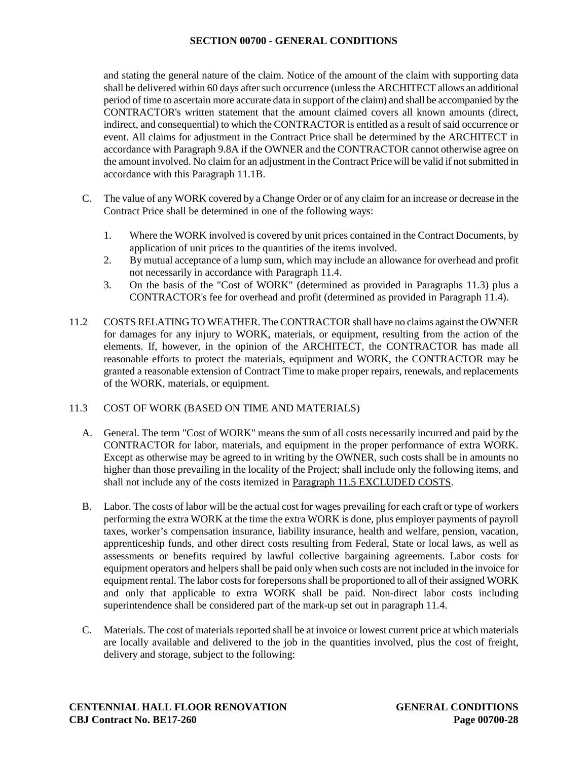and stating the general nature of the claim. Notice of the amount of the claim with supporting data shall be delivered within 60 days after such occurrence (unless the ARCHITECT allows an additional period of time to ascertain more accurate data in support of the claim) and shall be accompanied by the CONTRACTOR's written statement that the amount claimed covers all known amounts (direct, indirect, and consequential) to which the CONTRACTOR is entitled as a result of said occurrence or event. All claims for adjustment in the Contract Price shall be determined by the ARCHITECT in accordance with Paragraph 9.8A if the OWNER and the CONTRACTOR cannot otherwise agree on the amount involved. No claim for an adjustment in the Contract Price will be valid if not submitted in accordance with this Paragraph 11.1B.

- C. The value of any WORK covered by a Change Order or of any claim for an increase or decrease in the Contract Price shall be determined in one of the following ways:
	- 1. Where the WORK involved is covered by unit prices contained in the Contract Documents, by application of unit prices to the quantities of the items involved.
	- 2. By mutual acceptance of a lump sum, which may include an allowance for overhead and profit not necessarily in accordance with Paragraph 11.4.
	- 3. On the basis of the "Cost of WORK" (determined as provided in Paragraphs 11.3) plus a CONTRACTOR's fee for overhead and profit (determined as provided in Paragraph 11.4).
- 11.2 COSTS RELATING TO WEATHER. The CONTRACTOR shall have no claims against the OWNER for damages for any injury to WORK, materials, or equipment, resulting from the action of the elements. If, however, in the opinion of the ARCHITECT, the CONTRACTOR has made all reasonable efforts to protect the materials, equipment and WORK, the CONTRACTOR may be granted a reasonable extension of Contract Time to make proper repairs, renewals, and replacements of the WORK, materials, or equipment.

### 11.3 COST OF WORK (BASED ON TIME AND MATERIALS)

- A. General. The term "Cost of WORK" means the sum of all costs necessarily incurred and paid by the CONTRACTOR for labor, materials, and equipment in the proper performance of extra WORK. Except as otherwise may be agreed to in writing by the OWNER, such costs shall be in amounts no higher than those prevailing in the locality of the Project; shall include only the following items, and shall not include any of the costs itemized in Paragraph 11.5 EXCLUDED COSTS.
- B. Labor. The costs of labor will be the actual cost for wages prevailing for each craft or type of workers performing the extra WORK at the time the extra WORK is done, plus employer payments of payroll taxes, worker's compensation insurance, liability insurance, health and welfare, pension, vacation, apprenticeship funds, and other direct costs resulting from Federal, State or local laws, as well as assessments or benefits required by lawful collective bargaining agreements. Labor costs for equipment operators and helpers shall be paid only when such costs are not included in the invoice for equipment rental. The labor costs for forepersons shall be proportioned to all of their assigned WORK and only that applicable to extra WORK shall be paid. Non-direct labor costs including superintendence shall be considered part of the mark-up set out in paragraph 11.4.
- C. Materials. The cost of materials reported shall be at invoice or lowest current price at which materials are locally available and delivered to the job in the quantities involved, plus the cost of freight, delivery and storage, subject to the following: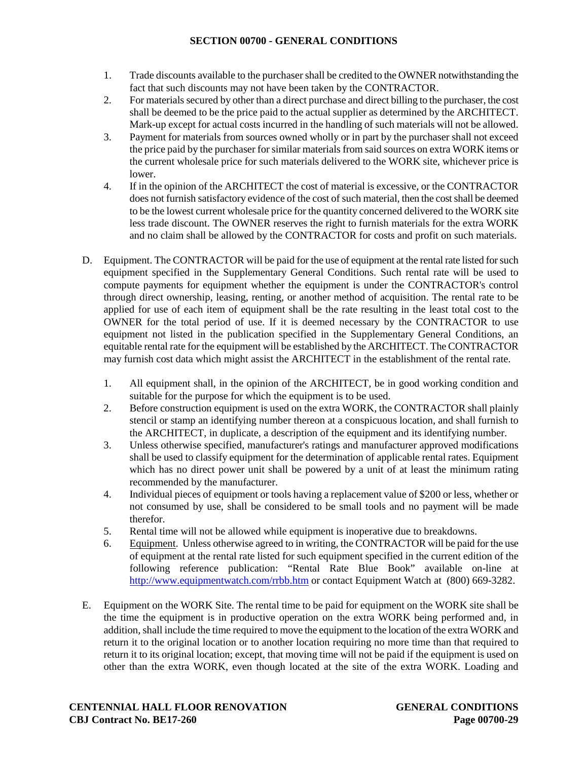- 1. Trade discounts available to the purchaser shall be credited to the OWNER notwithstanding the fact that such discounts may not have been taken by the CONTRACTOR.
- 2. For materials secured by other than a direct purchase and direct billing to the purchaser, the cost shall be deemed to be the price paid to the actual supplier as determined by the ARCHITECT. Mark-up except for actual costs incurred in the handling of such materials will not be allowed.
- 3. Payment for materials from sources owned wholly or in part by the purchaser shall not exceed the price paid by the purchaser for similar materials from said sources on extra WORK items or the current wholesale price for such materials delivered to the WORK site, whichever price is lower.
- 4. If in the opinion of the ARCHITECT the cost of material is excessive, or the CONTRACTOR does not furnish satisfactory evidence of the cost of such material, then the cost shall be deemed to be the lowest current wholesale price for the quantity concerned delivered to the WORK site less trade discount. The OWNER reserves the right to furnish materials for the extra WORK and no claim shall be allowed by the CONTRACTOR for costs and profit on such materials.
- D. Equipment. The CONTRACTOR will be paid for the use of equipment at the rental rate listed for such equipment specified in the Supplementary General Conditions. Such rental rate will be used to compute payments for equipment whether the equipment is under the CONTRACTOR's control through direct ownership, leasing, renting, or another method of acquisition. The rental rate to be applied for use of each item of equipment shall be the rate resulting in the least total cost to the OWNER for the total period of use. If it is deemed necessary by the CONTRACTOR to use equipment not listed in the publication specified in the Supplementary General Conditions, an equitable rental rate for the equipment will be established by the ARCHITECT. The CONTRACTOR may furnish cost data which might assist the ARCHITECT in the establishment of the rental rate.
	- 1. All equipment shall, in the opinion of the ARCHITECT, be in good working condition and suitable for the purpose for which the equipment is to be used.
	- 2. Before construction equipment is used on the extra WORK, the CONTRACTOR shall plainly stencil or stamp an identifying number thereon at a conspicuous location, and shall furnish to the ARCHITECT, in duplicate, a description of the equipment and its identifying number.
	- 3. Unless otherwise specified, manufacturer's ratings and manufacturer approved modifications shall be used to classify equipment for the determination of applicable rental rates. Equipment which has no direct power unit shall be powered by a unit of at least the minimum rating recommended by the manufacturer.
	- 4. Individual pieces of equipment or tools having a replacement value of \$200 or less, whether or not consumed by use, shall be considered to be small tools and no payment will be made therefor.
	- 5. Rental time will not be allowed while equipment is inoperative due to breakdowns.
	- 6. Equipment. Unless otherwise agreed to in writing, the CONTRACTOR will be paid for the use of equipment at the rental rate listed for such equipment specified in the current edition of the following reference publication: "Rental Rate Blue Book" available on-line at <http://www.equipmentwatch.com/rrbb.htm> or contact Equipment Watch at (800) 669-3282.
- E. Equipment on the WORK Site. The rental time to be paid for equipment on the WORK site shall be the time the equipment is in productive operation on the extra WORK being performed and, in addition, shall include the time required to move the equipment to the location of the extra WORK and return it to the original location or to another location requiring no more time than that required to return it to its original location; except, that moving time will not be paid if the equipment is used on other than the extra WORK, even though located at the site of the extra WORK. Loading and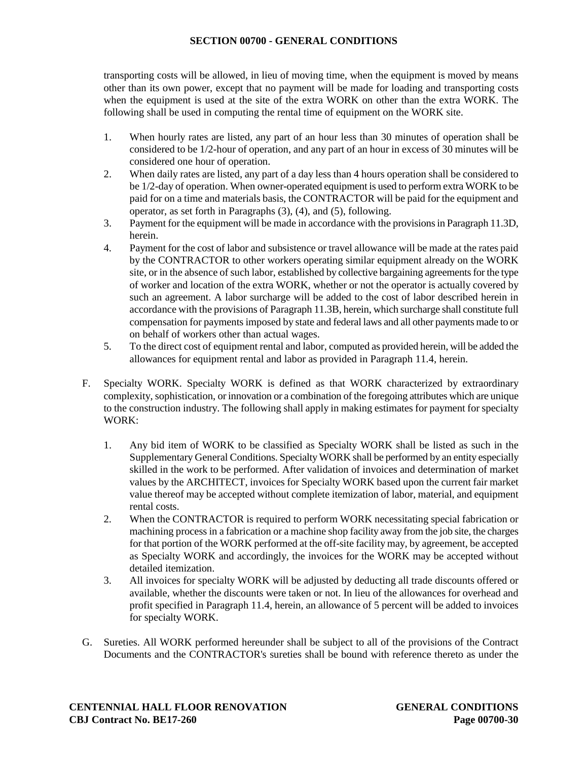transporting costs will be allowed, in lieu of moving time, when the equipment is moved by means other than its own power, except that no payment will be made for loading and transporting costs when the equipment is used at the site of the extra WORK on other than the extra WORK. The following shall be used in computing the rental time of equipment on the WORK site.

- 1. When hourly rates are listed, any part of an hour less than 30 minutes of operation shall be considered to be 1/2-hour of operation, and any part of an hour in excess of 30 minutes will be considered one hour of operation.
- 2. When daily rates are listed, any part of a day less than 4 hours operation shall be considered to be 1/2-day of operation. When owner-operated equipment is used to perform extra WORK to be paid for on a time and materials basis, the CONTRACTOR will be paid for the equipment and operator, as set forth in Paragraphs (3), (4), and (5), following.
- 3. Payment for the equipment will be made in accordance with the provisions in Paragraph 11.3D, herein.
- 4. Payment for the cost of labor and subsistence or travel allowance will be made at the rates paid by the CONTRACTOR to other workers operating similar equipment already on the WORK site, or in the absence of such labor, established by collective bargaining agreements for the type of worker and location of the extra WORK, whether or not the operator is actually covered by such an agreement. A labor surcharge will be added to the cost of labor described herein in accordance with the provisions of Paragraph 11.3B, herein, which surcharge shall constitute full compensation for payments imposed by state and federal laws and all other payments made to or on behalf of workers other than actual wages.
- 5. To the direct cost of equipment rental and labor, computed as provided herein, will be added the allowances for equipment rental and labor as provided in Paragraph 11.4, herein.
- F. Specialty WORK. Specialty WORK is defined as that WORK characterized by extraordinary complexity, sophistication, or innovation or a combination of the foregoing attributes which are unique to the construction industry. The following shall apply in making estimates for payment for specialty WORK:
	- 1. Any bid item of WORK to be classified as Specialty WORK shall be listed as such in the Supplementary General Conditions. Specialty WORK shall be performed by an entity especially skilled in the work to be performed. After validation of invoices and determination of market values by the ARCHITECT, invoices for Specialty WORK based upon the current fair market value thereof may be accepted without complete itemization of labor, material, and equipment rental costs.
	- 2. When the CONTRACTOR is required to perform WORK necessitating special fabrication or machining process in a fabrication or a machine shop facility away from the job site, the charges for that portion of the WORK performed at the off-site facility may, by agreement, be accepted as Specialty WORK and accordingly, the invoices for the WORK may be accepted without detailed itemization.
	- 3. All invoices for specialty WORK will be adjusted by deducting all trade discounts offered or available, whether the discounts were taken or not. In lieu of the allowances for overhead and profit specified in Paragraph 11.4, herein, an allowance of 5 percent will be added to invoices for specialty WORK.
- G. Sureties. All WORK performed hereunder shall be subject to all of the provisions of the Contract Documents and the CONTRACTOR's sureties shall be bound with reference thereto as under the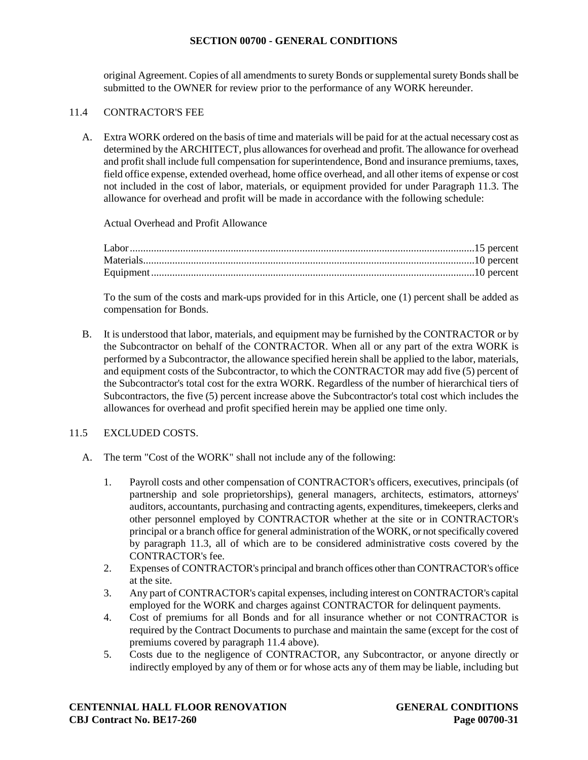original Agreement. Copies of all amendments to surety Bonds or supplemental surety Bonds shall be submitted to the OWNER for review prior to the performance of any WORK hereunder.

### 11.4 CONTRACTOR'S FEE

A. Extra WORK ordered on the basis of time and materials will be paid for at the actual necessary cost as determined by the ARCHITECT, plus allowances for overhead and profit. The allowance for overhead and profit shall include full compensation for superintendence, Bond and insurance premiums, taxes, field office expense, extended overhead, home office overhead, and all other items of expense or cost not included in the cost of labor, materials, or equipment provided for under Paragraph 11.3. The allowance for overhead and profit will be made in accordance with the following schedule:

Actual Overhead and Profit Allowance

To the sum of the costs and mark-ups provided for in this Article, one (1) percent shall be added as compensation for Bonds.

B. It is understood that labor, materials, and equipment may be furnished by the CONTRACTOR or by the Subcontractor on behalf of the CONTRACTOR. When all or any part of the extra WORK is performed by a Subcontractor, the allowance specified herein shall be applied to the labor, materials, and equipment costs of the Subcontractor, to which the CONTRACTOR may add five (5) percent of the Subcontractor's total cost for the extra WORK. Regardless of the number of hierarchical tiers of Subcontractors, the five (5) percent increase above the Subcontractor's total cost which includes the allowances for overhead and profit specified herein may be applied one time only.

# 11.5 EXCLUDED COSTS.

- A. The term "Cost of the WORK" shall not include any of the following:
	- 1. Payroll costs and other compensation of CONTRACTOR's officers, executives, principals (of partnership and sole proprietorships), general managers, architects, estimators, attorneys' auditors, accountants, purchasing and contracting agents, expenditures, timekeepers, clerks and other personnel employed by CONTRACTOR whether at the site or in CONTRACTOR's principal or a branch office for general administration of the WORK, or not specifically covered by paragraph 11.3, all of which are to be considered administrative costs covered by the CONTRACTOR's fee.
	- 2. Expenses of CONTRACTOR's principal and branch offices other than CONTRACTOR's office at the site.
	- 3. Any part of CONTRACTOR's capital expenses, including interest on CONTRACTOR's capital employed for the WORK and charges against CONTRACTOR for delinquent payments.
	- 4. Cost of premiums for all Bonds and for all insurance whether or not CONTRACTOR is required by the Contract Documents to purchase and maintain the same (except for the cost of premiums covered by paragraph 11.4 above).
	- 5. Costs due to the negligence of CONTRACTOR, any Subcontractor, or anyone directly or indirectly employed by any of them or for whose acts any of them may be liable, including but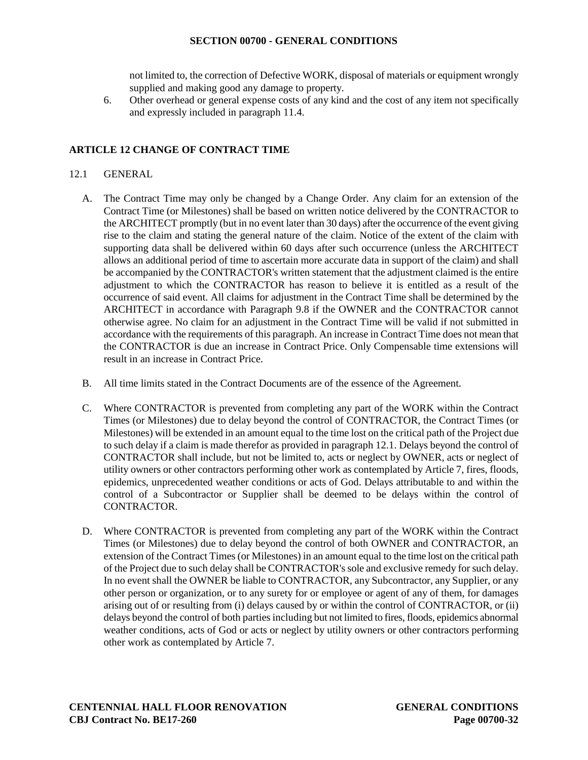not limited to, the correction of Defective WORK, disposal of materials or equipment wrongly supplied and making good any damage to property.

6. Other overhead or general expense costs of any kind and the cost of any item not specifically and expressly included in paragraph 11.4.

### **ARTICLE 12 CHANGE OF CONTRACT TIME**

# 12.1 GENERAL

- A. The Contract Time may only be changed by a Change Order. Any claim for an extension of the Contract Time (or Milestones) shall be based on written notice delivered by the CONTRACTOR to the ARCHITECT promptly (but in no event later than 30 days) after the occurrence of the event giving rise to the claim and stating the general nature of the claim. Notice of the extent of the claim with supporting data shall be delivered within 60 days after such occurrence (unless the ARCHITECT allows an additional period of time to ascertain more accurate data in support of the claim) and shall be accompanied by the CONTRACTOR's written statement that the adjustment claimed is the entire adjustment to which the CONTRACTOR has reason to believe it is entitled as a result of the occurrence of said event. All claims for adjustment in the Contract Time shall be determined by the ARCHITECT in accordance with Paragraph 9.8 if the OWNER and the CONTRACTOR cannot otherwise agree. No claim for an adjustment in the Contract Time will be valid if not submitted in accordance with the requirements of this paragraph. An increase in Contract Time does not mean that the CONTRACTOR is due an increase in Contract Price. Only Compensable time extensions will result in an increase in Contract Price.
- B. All time limits stated in the Contract Documents are of the essence of the Agreement.
- C. Where CONTRACTOR is prevented from completing any part of the WORK within the Contract Times (or Milestones) due to delay beyond the control of CONTRACTOR, the Contract Times (or Milestones) will be extended in an amount equal to the time lost on the critical path of the Project due to such delay if a claim is made therefor as provided in paragraph 12.1. Delays beyond the control of CONTRACTOR shall include, but not be limited to, acts or neglect by OWNER, acts or neglect of utility owners or other contractors performing other work as contemplated by Article 7, fires, floods, epidemics, unprecedented weather conditions or acts of God. Delays attributable to and within the control of a Subcontractor or Supplier shall be deemed to be delays within the control of CONTRACTOR.
- D. Where CONTRACTOR is prevented from completing any part of the WORK within the Contract Times (or Milestones) due to delay beyond the control of both OWNER and CONTRACTOR, an extension of the Contract Times (or Milestones) in an amount equal to the time lost on the critical path of the Project due to such delay shall be CONTRACTOR's sole and exclusive remedy for such delay. In no event shall the OWNER be liable to CONTRACTOR, any Subcontractor, any Supplier, or any other person or organization, or to any surety for or employee or agent of any of them, for damages arising out of or resulting from (i) delays caused by or within the control of CONTRACTOR, or (ii) delays beyond the control of both parties including but not limited to fires, floods, epidemics abnormal weather conditions, acts of God or acts or neglect by utility owners or other contractors performing other work as contemplated by Article 7.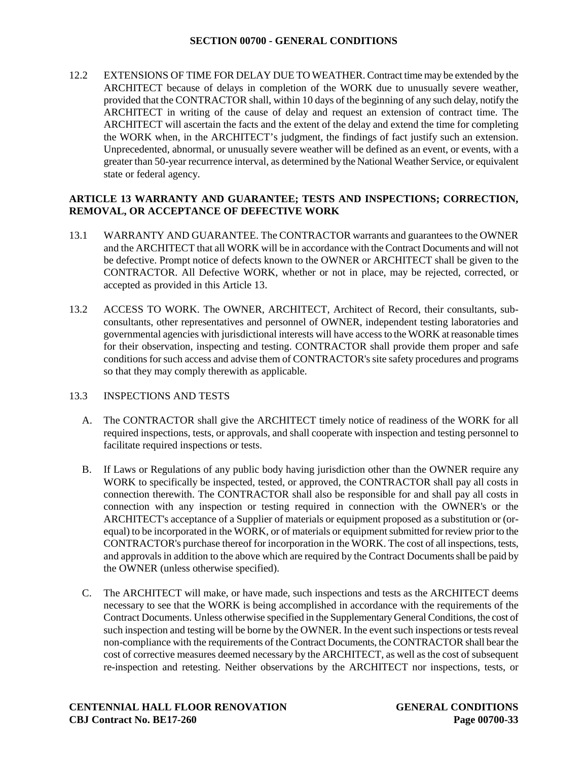12.2 EXTENSIONS OF TIME FOR DELAY DUE TO WEATHER. Contract time may be extended by the ARCHITECT because of delays in completion of the WORK due to unusually severe weather, provided that the CONTRACTOR shall, within 10 days of the beginning of any such delay, notify the ARCHITECT in writing of the cause of delay and request an extension of contract time. The ARCHITECT will ascertain the facts and the extent of the delay and extend the time for completing the WORK when, in the ARCHITECT's judgment, the findings of fact justify such an extension. Unprecedented, abnormal, or unusually severe weather will be defined as an event, or events, with a greater than 50-year recurrence interval, as determined by the National Weather Service, or equivalent state or federal agency.

### **ARTICLE 13 WARRANTY AND GUARANTEE; TESTS AND INSPECTIONS; CORRECTION, REMOVAL, OR ACCEPTANCE OF DEFECTIVE WORK**

- 13.1 WARRANTY AND GUARANTEE. The CONTRACTOR warrants and guarantees to the OWNER and the ARCHITECT that all WORK will be in accordance with the Contract Documents and will not be defective. Prompt notice of defects known to the OWNER or ARCHITECT shall be given to the CONTRACTOR. All Defective WORK, whether or not in place, may be rejected, corrected, or accepted as provided in this Article 13.
- 13.2 ACCESS TO WORK. The OWNER, ARCHITECT, Architect of Record, their consultants, subconsultants, other representatives and personnel of OWNER, independent testing laboratories and governmental agencies with jurisdictional interests will have access to the WORK at reasonable times for their observation, inspecting and testing. CONTRACTOR shall provide them proper and safe conditions for such access and advise them of CONTRACTOR's site safety procedures and programs so that they may comply therewith as applicable.

### 13.3 INSPECTIONS AND TESTS

- A. The CONTRACTOR shall give the ARCHITECT timely notice of readiness of the WORK for all required inspections, tests, or approvals, and shall cooperate with inspection and testing personnel to facilitate required inspections or tests.
- B. If Laws or Regulations of any public body having jurisdiction other than the OWNER require any WORK to specifically be inspected, tested, or approved, the CONTRACTOR shall pay all costs in connection therewith. The CONTRACTOR shall also be responsible for and shall pay all costs in connection with any inspection or testing required in connection with the OWNER's or the ARCHITECT's acceptance of a Supplier of materials or equipment proposed as a substitution or (orequal) to be incorporated in the WORK, or of materials or equipment submitted for review prior to the CONTRACTOR's purchase thereof for incorporation in the WORK. The cost of all inspections, tests, and approvals in addition to the above which are required by the Contract Documents shall be paid by the OWNER (unless otherwise specified).
- C. The ARCHITECT will make, or have made, such inspections and tests as the ARCHITECT deems necessary to see that the WORK is being accomplished in accordance with the requirements of the Contract Documents. Unless otherwise specified in the Supplementary General Conditions, the cost of such inspection and testing will be borne by the OWNER. In the event such inspections or tests reveal non-compliance with the requirements of the Contract Documents, the CONTRACTOR shall bear the cost of corrective measures deemed necessary by the ARCHITECT, as well as the cost of subsequent re-inspection and retesting. Neither observations by the ARCHITECT nor inspections, tests, or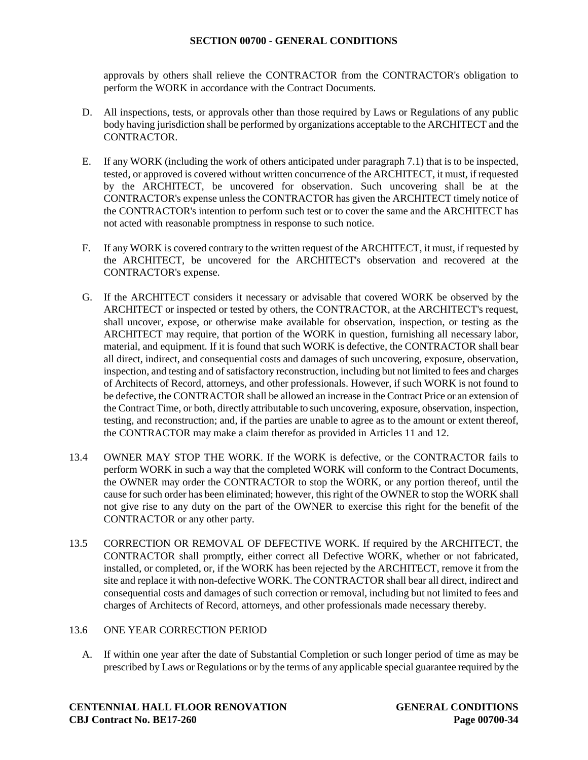approvals by others shall relieve the CONTRACTOR from the CONTRACTOR's obligation to perform the WORK in accordance with the Contract Documents.

- D. All inspections, tests, or approvals other than those required by Laws or Regulations of any public body having jurisdiction shall be performed by organizations acceptable to the ARCHITECT and the CONTRACTOR.
- E. If any WORK (including the work of others anticipated under paragraph 7.1) that is to be inspected, tested, or approved is covered without written concurrence of the ARCHITECT, it must, if requested by the ARCHITECT, be uncovered for observation. Such uncovering shall be at the CONTRACTOR's expense unless the CONTRACTOR has given the ARCHITECT timely notice of the CONTRACTOR's intention to perform such test or to cover the same and the ARCHITECT has not acted with reasonable promptness in response to such notice.
- F. If any WORK is covered contrary to the written request of the ARCHITECT, it must, if requested by the ARCHITECT, be uncovered for the ARCHITECT's observation and recovered at the CONTRACTOR's expense.
- G. If the ARCHITECT considers it necessary or advisable that covered WORK be observed by the ARCHITECT or inspected or tested by others, the CONTRACTOR, at the ARCHITECT's request, shall uncover, expose, or otherwise make available for observation, inspection, or testing as the ARCHITECT may require, that portion of the WORK in question, furnishing all necessary labor, material, and equipment. If it is found that such WORK is defective, the CONTRACTOR shall bear all direct, indirect, and consequential costs and damages of such uncovering, exposure, observation, inspection, and testing and of satisfactory reconstruction, including but not limited to fees and charges of Architects of Record, attorneys, and other professionals. However, if such WORK is not found to be defective, the CONTRACTOR shall be allowed an increase in the Contract Price or an extension of the Contract Time, or both, directly attributable to such uncovering, exposure, observation, inspection, testing, and reconstruction; and, if the parties are unable to agree as to the amount or extent thereof, the CONTRACTOR may make a claim therefor as provided in Articles 11 and 12.
- 13.4 OWNER MAY STOP THE WORK. If the WORK is defective, or the CONTRACTOR fails to perform WORK in such a way that the completed WORK will conform to the Contract Documents, the OWNER may order the CONTRACTOR to stop the WORK, or any portion thereof, until the cause for such order has been eliminated; however, this right of the OWNER to stop the WORK shall not give rise to any duty on the part of the OWNER to exercise this right for the benefit of the CONTRACTOR or any other party.
- 13.5 CORRECTION OR REMOVAL OF DEFECTIVE WORK. If required by the ARCHITECT, the CONTRACTOR shall promptly, either correct all Defective WORK, whether or not fabricated, installed, or completed, or, if the WORK has been rejected by the ARCHITECT, remove it from the site and replace it with non-defective WORK. The CONTRACTOR shall bear all direct, indirect and consequential costs and damages of such correction or removal, including but not limited to fees and charges of Architects of Record, attorneys, and other professionals made necessary thereby.

### 13.6 ONE YEAR CORRECTION PERIOD

A. If within one year after the date of Substantial Completion or such longer period of time as may be prescribed by Laws or Regulations or by the terms of any applicable special guarantee required by the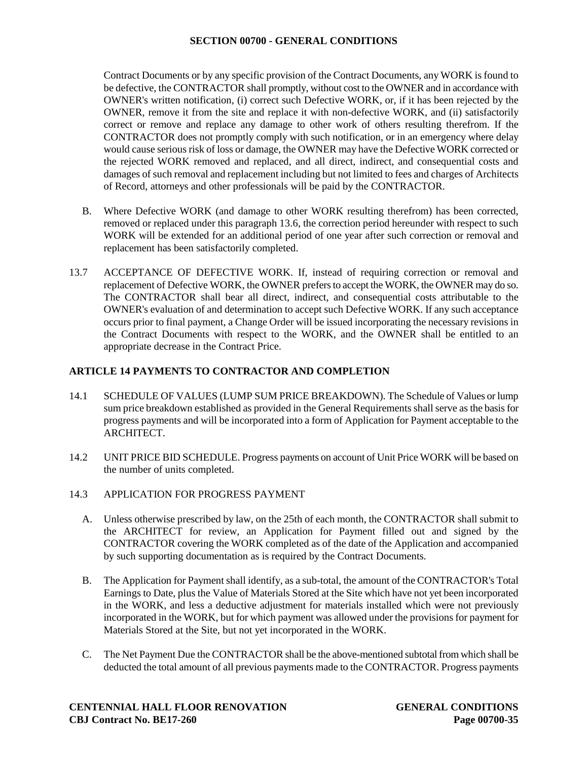Contract Documents or by any specific provision of the Contract Documents, any WORK is found to be defective, the CONTRACTOR shall promptly, without cost to the OWNER and in accordance with OWNER's written notification, (i) correct such Defective WORK, or, if it has been rejected by the OWNER, remove it from the site and replace it with non-defective WORK, and (ii) satisfactorily correct or remove and replace any damage to other work of others resulting therefrom. If the CONTRACTOR does not promptly comply with such notification, or in an emergency where delay would cause serious risk of loss or damage, the OWNER may have the Defective WORK corrected or the rejected WORK removed and replaced, and all direct, indirect, and consequential costs and damages of such removal and replacement including but not limited to fees and charges of Architects of Record, attorneys and other professionals will be paid by the CONTRACTOR.

- B. Where Defective WORK (and damage to other WORK resulting therefrom) has been corrected, removed or replaced under this paragraph 13.6, the correction period hereunder with respect to such WORK will be extended for an additional period of one year after such correction or removal and replacement has been satisfactorily completed.
- 13.7 ACCEPTANCE OF DEFECTIVE WORK. If, instead of requiring correction or removal and replacement of Defective WORK, the OWNER prefers to accept the WORK, the OWNER may do so. The CONTRACTOR shall bear all direct, indirect, and consequential costs attributable to the OWNER's evaluation of and determination to accept such Defective WORK. If any such acceptance occurs prior to final payment, a Change Order will be issued incorporating the necessary revisions in the Contract Documents with respect to the WORK, and the OWNER shall be entitled to an appropriate decrease in the Contract Price.

# **ARTICLE 14 PAYMENTS TO CONTRACTOR AND COMPLETION**

- 14.1 SCHEDULE OF VALUES (LUMP SUM PRICE BREAKDOWN). The Schedule of Values or lump sum price breakdown established as provided in the General Requirements shall serve as the basis for progress payments and will be incorporated into a form of Application for Payment acceptable to the ARCHITECT.
- 14.2 UNIT PRICE BID SCHEDULE. Progress payments on account of Unit Price WORK will be based on the number of units completed.
- 14.3 APPLICATION FOR PROGRESS PAYMENT
	- A. Unless otherwise prescribed by law, on the 25th of each month, the CONTRACTOR shall submit to the ARCHITECT for review, an Application for Payment filled out and signed by the CONTRACTOR covering the WORK completed as of the date of the Application and accompanied by such supporting documentation as is required by the Contract Documents.
	- B. The Application for Payment shall identify, as a sub-total, the amount of the CONTRACTOR's Total Earnings to Date, plus the Value of Materials Stored at the Site which have not yet been incorporated in the WORK, and less a deductive adjustment for materials installed which were not previously incorporated in the WORK, but for which payment was allowed under the provisions for payment for Materials Stored at the Site, but not yet incorporated in the WORK.
	- C. The Net Payment Due the CONTRACTOR shall be the above-mentioned subtotal from which shall be deducted the total amount of all previous payments made to the CONTRACTOR. Progress payments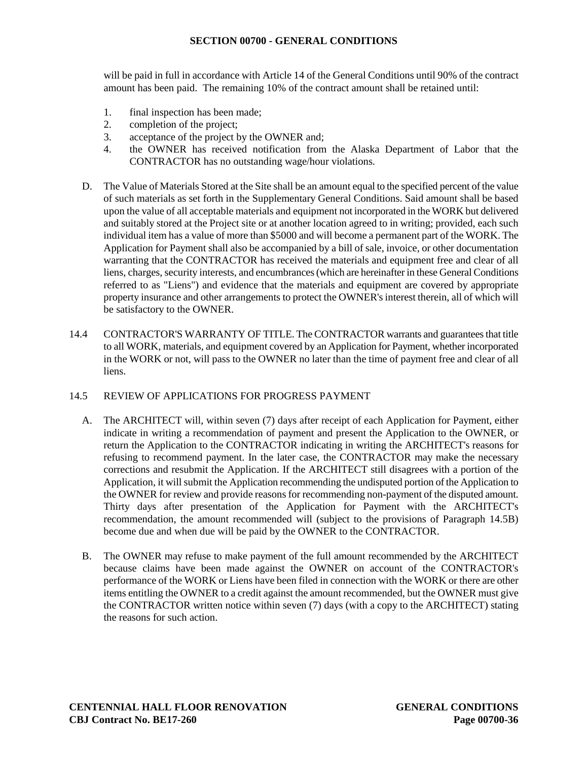will be paid in full in accordance with Article 14 of the General Conditions until 90% of the contract amount has been paid. The remaining 10% of the contract amount shall be retained until:

- 1. final inspection has been made;
- 2. completion of the project;
- 3. acceptance of the project by the OWNER and;
- 4. the OWNER has received notification from the Alaska Department of Labor that the CONTRACTOR has no outstanding wage/hour violations.
- D. The Value of Materials Stored at the Site shall be an amount equal to the specified percent of the value of such materials as set forth in the Supplementary General Conditions. Said amount shall be based upon the value of all acceptable materials and equipment not incorporated in the WORK but delivered and suitably stored at the Project site or at another location agreed to in writing; provided, each such individual item has a value of more than \$5000 and will become a permanent part of the WORK. The Application for Payment shall also be accompanied by a bill of sale, invoice, or other documentation warranting that the CONTRACTOR has received the materials and equipment free and clear of all liens, charges, security interests, and encumbrances (which are hereinafter in these General Conditions referred to as "Liens") and evidence that the materials and equipment are covered by appropriate property insurance and other arrangements to protect the OWNER's interest therein, all of which will be satisfactory to the OWNER.
- 14.4 CONTRACTOR'S WARRANTY OF TITLE. The CONTRACTOR warrants and guarantees that title to all WORK, materials, and equipment covered by an Application for Payment, whether incorporated in the WORK or not, will pass to the OWNER no later than the time of payment free and clear of all liens.
- 14.5 REVIEW OF APPLICATIONS FOR PROGRESS PAYMENT
	- A. The ARCHITECT will, within seven (7) days after receipt of each Application for Payment, either indicate in writing a recommendation of payment and present the Application to the OWNER, or return the Application to the CONTRACTOR indicating in writing the ARCHITECT's reasons for refusing to recommend payment. In the later case, the CONTRACTOR may make the necessary corrections and resubmit the Application. If the ARCHITECT still disagrees with a portion of the Application, it will submit the Application recommending the undisputed portion of the Application to the OWNER for review and provide reasons for recommending non-payment of the disputed amount. Thirty days after presentation of the Application for Payment with the ARCHITECT's recommendation, the amount recommended will (subject to the provisions of Paragraph 14.5B) become due and when due will be paid by the OWNER to the CONTRACTOR.
	- B. The OWNER may refuse to make payment of the full amount recommended by the ARCHITECT because claims have been made against the OWNER on account of the CONTRACTOR's performance of the WORK or Liens have been filed in connection with the WORK or there are other items entitling the OWNER to a credit against the amount recommended, but the OWNER must give the CONTRACTOR written notice within seven (7) days (with a copy to the ARCHITECT) stating the reasons for such action.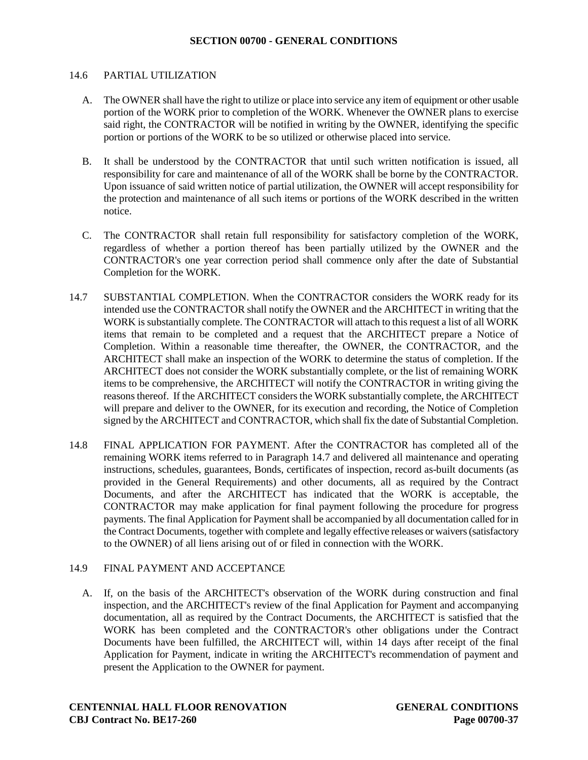#### 14.6 PARTIAL UTILIZATION

- A. The OWNER shall have the right to utilize or place into service any item of equipment or other usable portion of the WORK prior to completion of the WORK. Whenever the OWNER plans to exercise said right, the CONTRACTOR will be notified in writing by the OWNER, identifying the specific portion or portions of the WORK to be so utilized or otherwise placed into service.
- B. It shall be understood by the CONTRACTOR that until such written notification is issued, all responsibility for care and maintenance of all of the WORK shall be borne by the CONTRACTOR. Upon issuance of said written notice of partial utilization, the OWNER will accept responsibility for the protection and maintenance of all such items or portions of the WORK described in the written notice.
- C. The CONTRACTOR shall retain full responsibility for satisfactory completion of the WORK, regardless of whether a portion thereof has been partially utilized by the OWNER and the CONTRACTOR's one year correction period shall commence only after the date of Substantial Completion for the WORK.
- 14.7 SUBSTANTIAL COMPLETION. When the CONTRACTOR considers the WORK ready for its intended use the CONTRACTOR shall notify the OWNER and the ARCHITECT in writing that the WORK is substantially complete. The CONTRACTOR will attach to this request a list of all WORK items that remain to be completed and a request that the ARCHITECT prepare a Notice of Completion. Within a reasonable time thereafter, the OWNER, the CONTRACTOR, and the ARCHITECT shall make an inspection of the WORK to determine the status of completion. If the ARCHITECT does not consider the WORK substantially complete, or the list of remaining WORK items to be comprehensive, the ARCHITECT will notify the CONTRACTOR in writing giving the reasons thereof. If the ARCHITECT considers the WORK substantially complete, the ARCHITECT will prepare and deliver to the OWNER, for its execution and recording, the Notice of Completion signed by the ARCHITECT and CONTRACTOR, which shall fix the date of Substantial Completion.
- 14.8 FINAL APPLICATION FOR PAYMENT. After the CONTRACTOR has completed all of the remaining WORK items referred to in Paragraph 14.7 and delivered all maintenance and operating instructions, schedules, guarantees, Bonds, certificates of inspection, record as-built documents (as provided in the General Requirements) and other documents, all as required by the Contract Documents, and after the ARCHITECT has indicated that the WORK is acceptable, the CONTRACTOR may make application for final payment following the procedure for progress payments. The final Application for Payment shall be accompanied by all documentation called for in the Contract Documents, together with complete and legally effective releases or waivers (satisfactory to the OWNER) of all liens arising out of or filed in connection with the WORK.

### 14.9 FINAL PAYMENT AND ACCEPTANCE

A. If, on the basis of the ARCHITECT's observation of the WORK during construction and final inspection, and the ARCHITECT's review of the final Application for Payment and accompanying documentation, all as required by the Contract Documents, the ARCHITECT is satisfied that the WORK has been completed and the CONTRACTOR's other obligations under the Contract Documents have been fulfilled, the ARCHITECT will, within 14 days after receipt of the final Application for Payment, indicate in writing the ARCHITECT's recommendation of payment and present the Application to the OWNER for payment.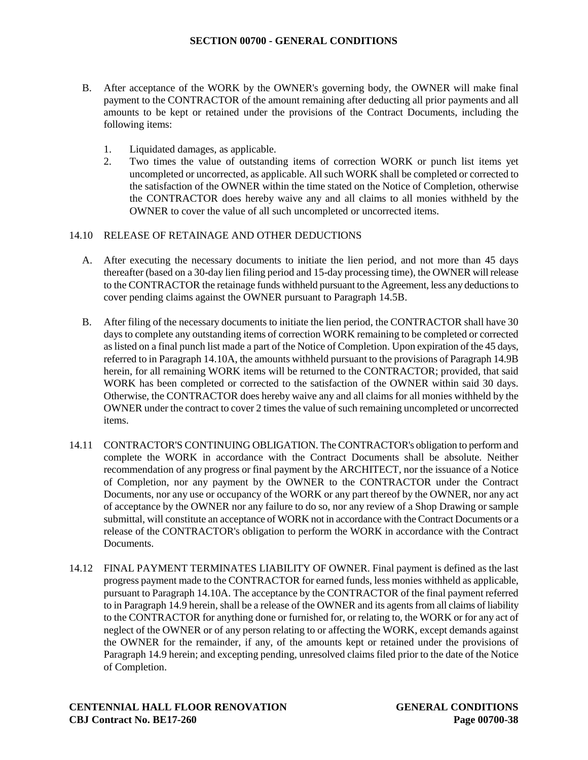- B. After acceptance of the WORK by the OWNER's governing body, the OWNER will make final payment to the CONTRACTOR of the amount remaining after deducting all prior payments and all amounts to be kept or retained under the provisions of the Contract Documents, including the following items:
	- 1. Liquidated damages, as applicable.
	- 2. Two times the value of outstanding items of correction WORK or punch list items yet uncompleted or uncorrected, as applicable. All such WORK shall be completed or corrected to the satisfaction of the OWNER within the time stated on the Notice of Completion, otherwise the CONTRACTOR does hereby waive any and all claims to all monies withheld by the OWNER to cover the value of all such uncompleted or uncorrected items.

### 14.10 RELEASE OF RETAINAGE AND OTHER DEDUCTIONS

- A. After executing the necessary documents to initiate the lien period, and not more than 45 days thereafter (based on a 30-day lien filing period and 15-day processing time), the OWNER will release to the CONTRACTOR the retainage funds withheld pursuant to the Agreement, less any deductions to cover pending claims against the OWNER pursuant to Paragraph 14.5B.
- B. After filing of the necessary documents to initiate the lien period, the CONTRACTOR shall have 30 days to complete any outstanding items of correction WORK remaining to be completed or corrected as listed on a final punch list made a part of the Notice of Completion. Upon expiration of the 45 days, referred to in Paragraph 14.10A, the amounts withheld pursuant to the provisions of Paragraph 14.9B herein, for all remaining WORK items will be returned to the CONTRACTOR; provided, that said WORK has been completed or corrected to the satisfaction of the OWNER within said 30 days. Otherwise, the CONTRACTOR does hereby waive any and all claims for all monies withheld by the OWNER under the contract to cover 2 times the value of such remaining uncompleted or uncorrected items.
- 14.11 CONTRACTOR'S CONTINUING OBLIGATION. The CONTRACTOR's obligation to perform and complete the WORK in accordance with the Contract Documents shall be absolute. Neither recommendation of any progress or final payment by the ARCHITECT, nor the issuance of a Notice of Completion, nor any payment by the OWNER to the CONTRACTOR under the Contract Documents, nor any use or occupancy of the WORK or any part thereof by the OWNER, nor any act of acceptance by the OWNER nor any failure to do so, nor any review of a Shop Drawing or sample submittal, will constitute an acceptance of WORK not in accordance with the Contract Documents or a release of the CONTRACTOR's obligation to perform the WORK in accordance with the Contract **Documents**
- 14.12 FINAL PAYMENT TERMINATES LIABILITY OF OWNER. Final payment is defined as the last progress payment made to the CONTRACTOR for earned funds, less monies withheld as applicable, pursuant to Paragraph 14.10A. The acceptance by the CONTRACTOR of the final payment referred to in Paragraph 14.9 herein, shall be a release of the OWNER and its agents from all claims of liability to the CONTRACTOR for anything done or furnished for, or relating to, the WORK or for any act of neglect of the OWNER or of any person relating to or affecting the WORK, except demands against the OWNER for the remainder, if any, of the amounts kept or retained under the provisions of Paragraph 14.9 herein; and excepting pending, unresolved claims filed prior to the date of the Notice of Completion.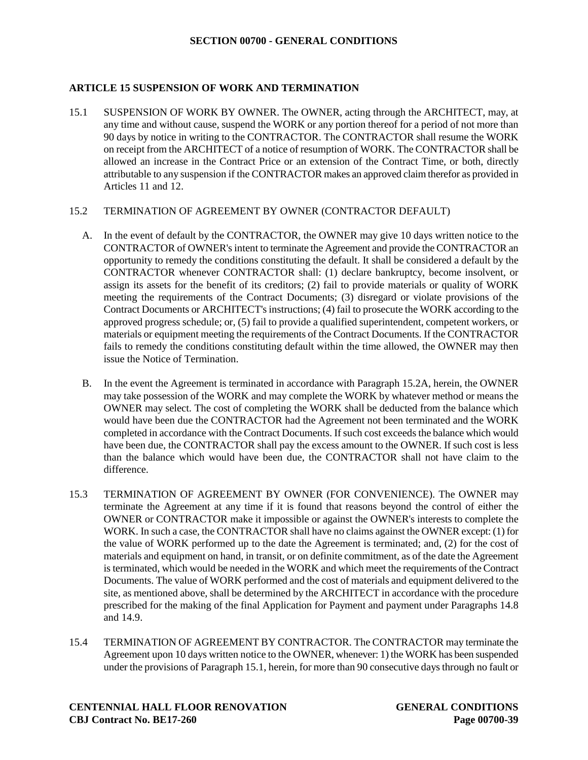### **ARTICLE 15 SUSPENSION OF WORK AND TERMINATION**

15.1 SUSPENSION OF WORK BY OWNER. The OWNER, acting through the ARCHITECT, may, at any time and without cause, suspend the WORK or any portion thereof for a period of not more than 90 days by notice in writing to the CONTRACTOR. The CONTRACTOR shall resume the WORK on receipt from the ARCHITECT of a notice of resumption of WORK. The CONTRACTOR shall be allowed an increase in the Contract Price or an extension of the Contract Time, or both, directly attributable to any suspension if the CONTRACTOR makes an approved claim therefor as provided in Articles 11 and 12.

### 15.2 TERMINATION OF AGREEMENT BY OWNER (CONTRACTOR DEFAULT)

- A. In the event of default by the CONTRACTOR, the OWNER may give 10 days written notice to the CONTRACTOR of OWNER's intent to terminate the Agreement and provide the CONTRACTOR an opportunity to remedy the conditions constituting the default. It shall be considered a default by the CONTRACTOR whenever CONTRACTOR shall: (1) declare bankruptcy, become insolvent, or assign its assets for the benefit of its creditors; (2) fail to provide materials or quality of WORK meeting the requirements of the Contract Documents; (3) disregard or violate provisions of the Contract Documents or ARCHITECT's instructions; (4) fail to prosecute the WORK according to the approved progress schedule; or, (5) fail to provide a qualified superintendent, competent workers, or materials or equipment meeting the requirements of the Contract Documents. If the CONTRACTOR fails to remedy the conditions constituting default within the time allowed, the OWNER may then issue the Notice of Termination.
- B. In the event the Agreement is terminated in accordance with Paragraph 15.2A, herein, the OWNER may take possession of the WORK and may complete the WORK by whatever method or means the OWNER may select. The cost of completing the WORK shall be deducted from the balance which would have been due the CONTRACTOR had the Agreement not been terminated and the WORK completed in accordance with the Contract Documents. If such cost exceeds the balance which would have been due, the CONTRACTOR shall pay the excess amount to the OWNER. If such cost is less than the balance which would have been due, the CONTRACTOR shall not have claim to the difference.
- 15.3 TERMINATION OF AGREEMENT BY OWNER (FOR CONVENIENCE). The OWNER may terminate the Agreement at any time if it is found that reasons beyond the control of either the OWNER or CONTRACTOR make it impossible or against the OWNER's interests to complete the WORK. In such a case, the CONTRACTOR shall have no claims against the OWNER except: (1) for the value of WORK performed up to the date the Agreement is terminated; and, (2) for the cost of materials and equipment on hand, in transit, or on definite commitment, as of the date the Agreement is terminated, which would be needed in the WORK and which meet the requirements of the Contract Documents. The value of WORK performed and the cost of materials and equipment delivered to the site, as mentioned above, shall be determined by the ARCHITECT in accordance with the procedure prescribed for the making of the final Application for Payment and payment under Paragraphs 14.8 and 14.9.
- 15.4 TERMINATION OF AGREEMENT BY CONTRACTOR. The CONTRACTOR may terminate the Agreement upon 10 days written notice to the OWNER, whenever: 1) the WORK has been suspended under the provisions of Paragraph 15.1, herein, for more than 90 consecutive days through no fault or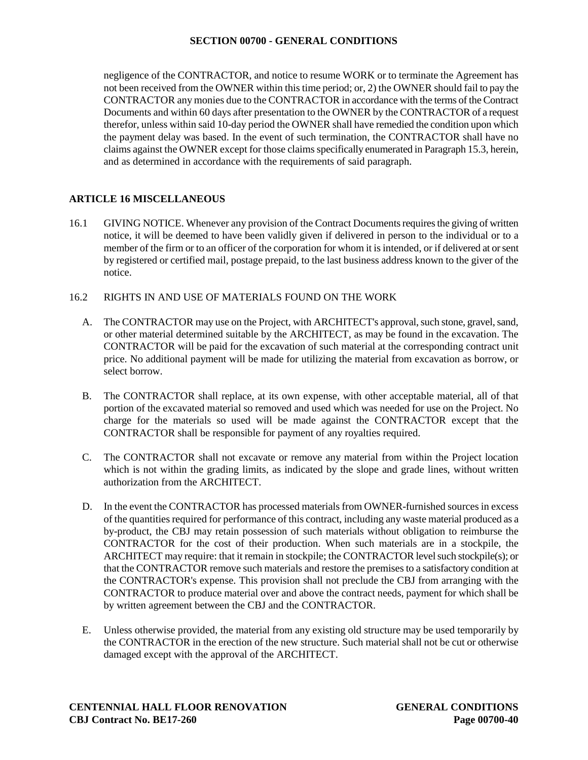negligence of the CONTRACTOR, and notice to resume WORK or to terminate the Agreement has not been received from the OWNER within this time period; or, 2) the OWNER should fail to pay the CONTRACTOR any monies due to the CONTRACTOR in accordance with the terms of the Contract Documents and within 60 days after presentation to the OWNER by the CONTRACTOR of a request therefor, unless within said 10-day period the OWNER shall have remedied the condition upon which the payment delay was based. In the event of such termination, the CONTRACTOR shall have no claims against the OWNER except for those claims specifically enumerated in Paragraph 15.3, herein, and as determined in accordance with the requirements of said paragraph.

# **ARTICLE 16 MISCELLANEOUS**

16.1 GIVING NOTICE. Whenever any provision of the Contract Documents requires the giving of written notice, it will be deemed to have been validly given if delivered in person to the individual or to a member of the firm or to an officer of the corporation for whom it is intended, or if delivered at or sent by registered or certified mail, postage prepaid, to the last business address known to the giver of the notice.

### 16.2 RIGHTS IN AND USE OF MATERIALS FOUND ON THE WORK

- A. The CONTRACTOR may use on the Project, with ARCHITECT's approval, such stone, gravel, sand, or other material determined suitable by the ARCHITECT, as may be found in the excavation. The CONTRACTOR will be paid for the excavation of such material at the corresponding contract unit price. No additional payment will be made for utilizing the material from excavation as borrow, or select borrow.
- B. The CONTRACTOR shall replace, at its own expense, with other acceptable material, all of that portion of the excavated material so removed and used which was needed for use on the Project. No charge for the materials so used will be made against the CONTRACTOR except that the CONTRACTOR shall be responsible for payment of any royalties required.
- C. The CONTRACTOR shall not excavate or remove any material from within the Project location which is not within the grading limits, as indicated by the slope and grade lines, without written authorization from the ARCHITECT.
- D. In the event the CONTRACTOR has processed materials from OWNER-furnished sources in excess of the quantities required for performance of this contract, including any waste material produced as a by-product, the CBJ may retain possession of such materials without obligation to reimburse the CONTRACTOR for the cost of their production. When such materials are in a stockpile, the ARCHITECT may require: that it remain in stockpile; the CONTRACTOR level such stockpile(s); or that the CONTRACTOR remove such materials and restore the premises to a satisfactory condition at the CONTRACTOR's expense. This provision shall not preclude the CBJ from arranging with the CONTRACTOR to produce material over and above the contract needs, payment for which shall be by written agreement between the CBJ and the CONTRACTOR.
- E. Unless otherwise provided, the material from any existing old structure may be used temporarily by the CONTRACTOR in the erection of the new structure. Such material shall not be cut or otherwise damaged except with the approval of the ARCHITECT.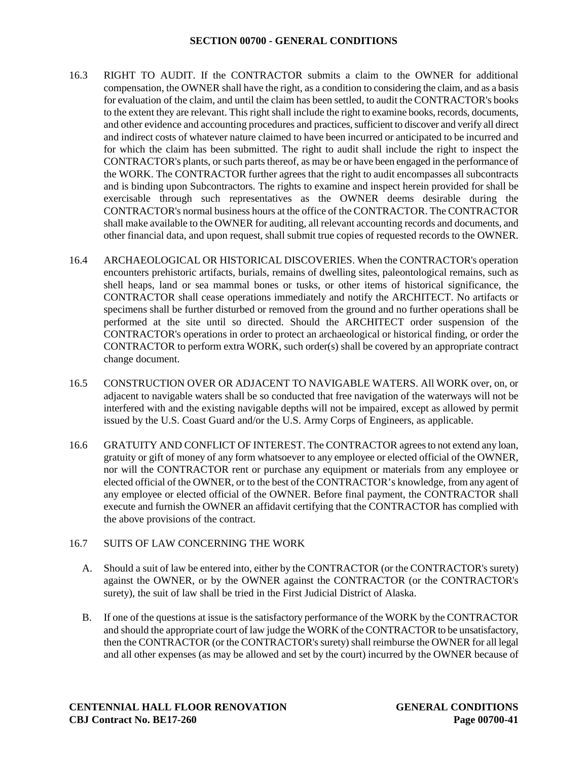- 16.3 RIGHT TO AUDIT. If the CONTRACTOR submits a claim to the OWNER for additional compensation, the OWNER shall have the right, as a condition to considering the claim, and as a basis for evaluation of the claim, and until the claim has been settled, to audit the CONTRACTOR's books to the extent they are relevant. This right shall include the right to examine books, records, documents, and other evidence and accounting procedures and practices, sufficient to discover and verify all direct and indirect costs of whatever nature claimed to have been incurred or anticipated to be incurred and for which the claim has been submitted. The right to audit shall include the right to inspect the CONTRACTOR's plants, or such parts thereof, as may be or have been engaged in the performance of the WORK. The CONTRACTOR further agrees that the right to audit encompasses all subcontracts and is binding upon Subcontractors. The rights to examine and inspect herein provided for shall be exercisable through such representatives as the OWNER deems desirable during the CONTRACTOR's normal business hours at the office of the CONTRACTOR. The CONTRACTOR shall make available to the OWNER for auditing, all relevant accounting records and documents, and other financial data, and upon request, shall submit true copies of requested records to the OWNER.
- 16.4 ARCHAEOLOGICAL OR HISTORICAL DISCOVERIES. When the CONTRACTOR's operation encounters prehistoric artifacts, burials, remains of dwelling sites, paleontological remains, such as shell heaps, land or sea mammal bones or tusks, or other items of historical significance, the CONTRACTOR shall cease operations immediately and notify the ARCHITECT. No artifacts or specimens shall be further disturbed or removed from the ground and no further operations shall be performed at the site until so directed. Should the ARCHITECT order suspension of the CONTRACTOR's operations in order to protect an archaeological or historical finding, or order the CONTRACTOR to perform extra WORK, such order(s) shall be covered by an appropriate contract change document.
- 16.5 CONSTRUCTION OVER OR ADJACENT TO NAVIGABLE WATERS. All WORK over, on, or adjacent to navigable waters shall be so conducted that free navigation of the waterways will not be interfered with and the existing navigable depths will not be impaired, except as allowed by permit issued by the U.S. Coast Guard and/or the U.S. Army Corps of Engineers, as applicable.
- 16.6 GRATUITY AND CONFLICT OF INTEREST. The CONTRACTOR agrees to not extend any loan, gratuity or gift of money of any form whatsoever to any employee or elected official of the OWNER, nor will the CONTRACTOR rent or purchase any equipment or materials from any employee or elected official of the OWNER, or to the best of the CONTRACTOR's knowledge, from any agent of any employee or elected official of the OWNER. Before final payment, the CONTRACTOR shall execute and furnish the OWNER an affidavit certifying that the CONTRACTOR has complied with the above provisions of the contract.

# 16.7 SUITS OF LAW CONCERNING THE WORK

- A. Should a suit of law be entered into, either by the CONTRACTOR (or the CONTRACTOR's surety) against the OWNER, or by the OWNER against the CONTRACTOR (or the CONTRACTOR's surety), the suit of law shall be tried in the First Judicial District of Alaska.
- B. If one of the questions at issue is the satisfactory performance of the WORK by the CONTRACTOR and should the appropriate court of law judge the WORK of the CONTRACTOR to be unsatisfactory, then the CONTRACTOR (or the CONTRACTOR's surety) shall reimburse the OWNER for all legal and all other expenses (as may be allowed and set by the court) incurred by the OWNER because of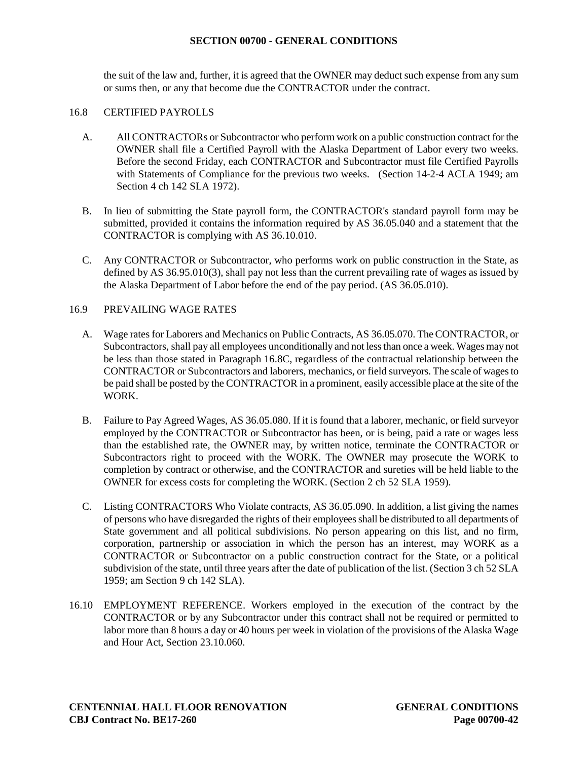the suit of the law and, further, it is agreed that the OWNER may deduct such expense from any sum or sums then, or any that become due the CONTRACTOR under the contract.

### 16.8 CERTIFIED PAYROLLS

- A. All CONTRACTORs or Subcontractor who perform work on a public construction contract for the OWNER shall file a Certified Payroll with the Alaska Department of Labor every two weeks. Before the second Friday, each CONTRACTOR and Subcontractor must file Certified Payrolls with Statements of Compliance for the previous two weeks. (Section 14-2-4 ACLA 1949; am Section 4 ch 142 SLA 1972).
- B. In lieu of submitting the State payroll form, the CONTRACTOR's standard payroll form may be submitted, provided it contains the information required by AS 36.05.040 and a statement that the CONTRACTOR is complying with AS 36.10.010.
- C. Any CONTRACTOR or Subcontractor, who performs work on public construction in the State, as defined by AS 36.95.010(3), shall pay not less than the current prevailing rate of wages as issued by the Alaska Department of Labor before the end of the pay period. (AS 36.05.010).

### 16.9 PREVAILING WAGE RATES

- A. Wage rates for Laborers and Mechanics on Public Contracts, AS 36.05.070. The CONTRACTOR, or Subcontractors, shall pay all employees unconditionally and not less than once a week. Wages may not be less than those stated in Paragraph 16.8C, regardless of the contractual relationship between the CONTRACTOR or Subcontractors and laborers, mechanics, or field surveyors. The scale of wages to be paid shall be posted by the CONTRACTOR in a prominent, easily accessible place at the site of the WORK.
- B. Failure to Pay Agreed Wages, AS 36.05.080. If it is found that a laborer, mechanic, or field surveyor employed by the CONTRACTOR or Subcontractor has been, or is being, paid a rate or wages less than the established rate, the OWNER may, by written notice, terminate the CONTRACTOR or Subcontractors right to proceed with the WORK. The OWNER may prosecute the WORK to completion by contract or otherwise, and the CONTRACTOR and sureties will be held liable to the OWNER for excess costs for completing the WORK. (Section 2 ch 52 SLA 1959).
- C. Listing CONTRACTORS Who Violate contracts, AS 36.05.090. In addition, a list giving the names of persons who have disregarded the rights of their employees shall be distributed to all departments of State government and all political subdivisions. No person appearing on this list, and no firm, corporation, partnership or association in which the person has an interest, may WORK as a CONTRACTOR or Subcontractor on a public construction contract for the State, or a political subdivision of the state, until three years after the date of publication of the list. (Section 3 ch 52 SLA 1959; am Section 9 ch 142 SLA).
- 16.10 EMPLOYMENT REFERENCE. Workers employed in the execution of the contract by the CONTRACTOR or by any Subcontractor under this contract shall not be required or permitted to labor more than 8 hours a day or 40 hours per week in violation of the provisions of the Alaska Wage and Hour Act, Section 23.10.060.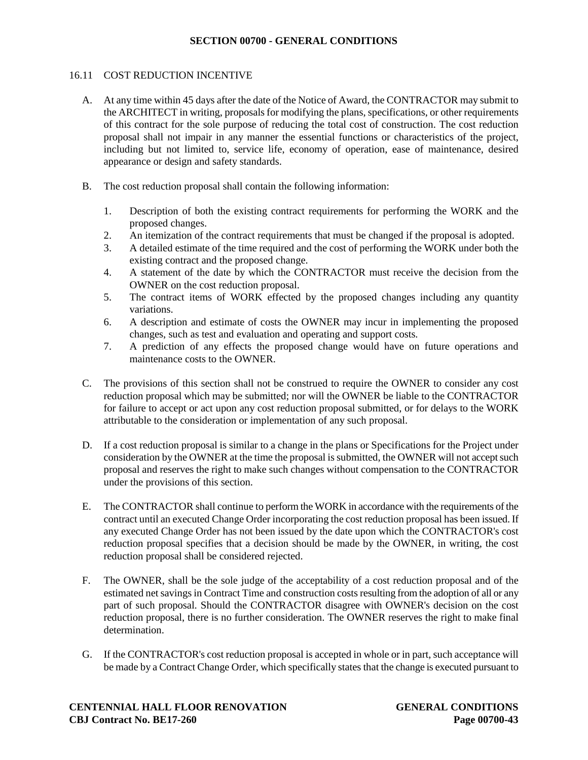### **SECTION 00700 - GENERAL CONDITIONS**

### 16.11 COST REDUCTION INCENTIVE

- A. At any time within 45 days after the date of the Notice of Award, the CONTRACTOR may submit to the ARCHITECT in writing, proposals for modifying the plans, specifications, or other requirements of this contract for the sole purpose of reducing the total cost of construction. The cost reduction proposal shall not impair in any manner the essential functions or characteristics of the project, including but not limited to, service life, economy of operation, ease of maintenance, desired appearance or design and safety standards.
- B. The cost reduction proposal shall contain the following information:
	- 1. Description of both the existing contract requirements for performing the WORK and the proposed changes.
	- 2. An itemization of the contract requirements that must be changed if the proposal is adopted.
	- 3. A detailed estimate of the time required and the cost of performing the WORK under both the existing contract and the proposed change.
	- 4. A statement of the date by which the CONTRACTOR must receive the decision from the OWNER on the cost reduction proposal.
	- 5. The contract items of WORK effected by the proposed changes including any quantity variations.
	- 6. A description and estimate of costs the OWNER may incur in implementing the proposed changes, such as test and evaluation and operating and support costs.
	- 7. A prediction of any effects the proposed change would have on future operations and maintenance costs to the OWNER.
- C. The provisions of this section shall not be construed to require the OWNER to consider any cost reduction proposal which may be submitted; nor will the OWNER be liable to the CONTRACTOR for failure to accept or act upon any cost reduction proposal submitted, or for delays to the WORK attributable to the consideration or implementation of any such proposal.
- D. If a cost reduction proposal is similar to a change in the plans or Specifications for the Project under consideration by the OWNER at the time the proposal is submitted, the OWNER will not accept such proposal and reserves the right to make such changes without compensation to the CONTRACTOR under the provisions of this section.
- E. The CONTRACTOR shall continue to perform the WORK in accordance with the requirements of the contract until an executed Change Order incorporating the cost reduction proposal has been issued. If any executed Change Order has not been issued by the date upon which the CONTRACTOR's cost reduction proposal specifies that a decision should be made by the OWNER, in writing, the cost reduction proposal shall be considered rejected.
- F. The OWNER, shall be the sole judge of the acceptability of a cost reduction proposal and of the estimated net savings in Contract Time and construction costs resulting from the adoption of all or any part of such proposal. Should the CONTRACTOR disagree with OWNER's decision on the cost reduction proposal, there is no further consideration. The OWNER reserves the right to make final determination.
- G. If the CONTRACTOR's cost reduction proposal is accepted in whole or in part, such acceptance will be made by a Contract Change Order, which specifically states that the change is executed pursuant to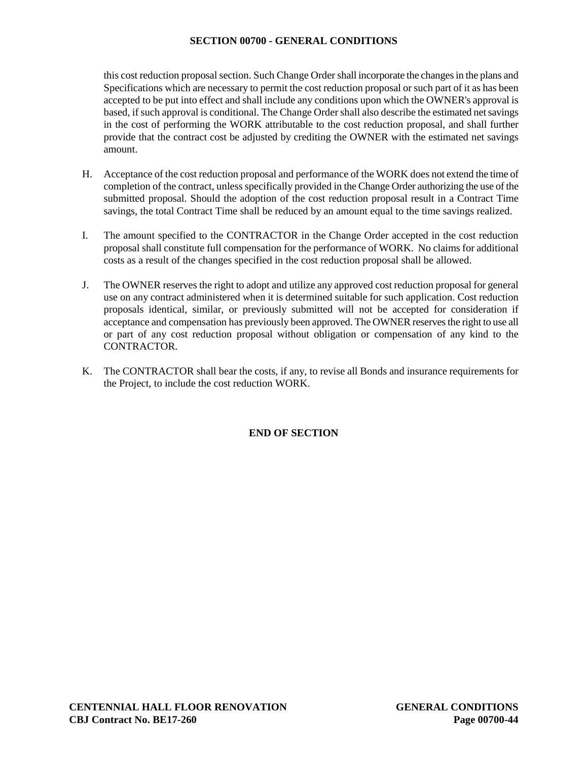## **SECTION 00700 - GENERAL CONDITIONS**

this cost reduction proposal section. Such Change Order shall incorporate the changes in the plans and Specifications which are necessary to permit the cost reduction proposal or such part of it as has been accepted to be put into effect and shall include any conditions upon which the OWNER's approval is based, if such approval is conditional. The Change Order shall also describe the estimated net savings in the cost of performing the WORK attributable to the cost reduction proposal, and shall further provide that the contract cost be adjusted by crediting the OWNER with the estimated net savings amount.

- H. Acceptance of the cost reduction proposal and performance of the WORK does not extend the time of completion of the contract, unless specifically provided in the Change Order authorizing the use of the submitted proposal. Should the adoption of the cost reduction proposal result in a Contract Time savings, the total Contract Time shall be reduced by an amount equal to the time savings realized.
- I. The amount specified to the CONTRACTOR in the Change Order accepted in the cost reduction proposal shall constitute full compensation for the performance of WORK. No claims for additional costs as a result of the changes specified in the cost reduction proposal shall be allowed.
- J. The OWNER reserves the right to adopt and utilize any approved cost reduction proposal for general use on any contract administered when it is determined suitable for such application. Cost reduction proposals identical, similar, or previously submitted will not be accepted for consideration if acceptance and compensation has previously been approved. The OWNER reserves the right to use all or part of any cost reduction proposal without obligation or compensation of any kind to the CONTRACTOR.
- K. The CONTRACTOR shall bear the costs, if any, to revise all Bonds and insurance requirements for the Project, to include the cost reduction WORK.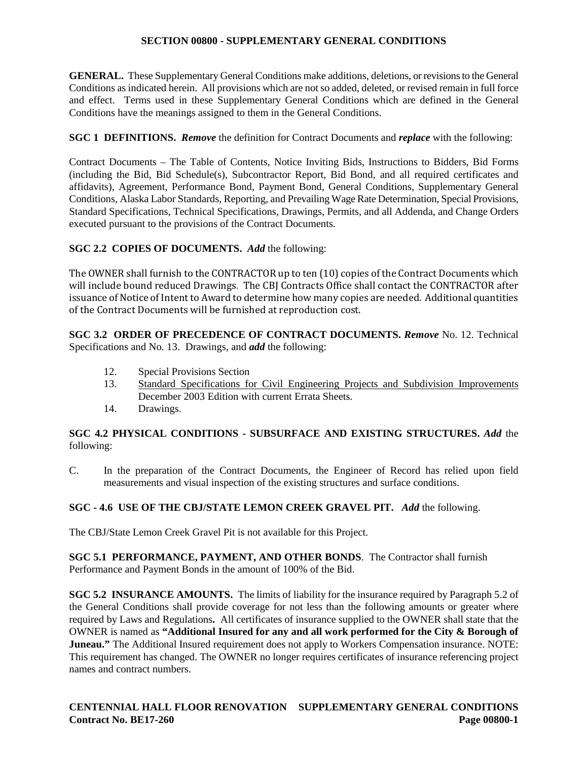**GENERAL.** These Supplementary General Conditions make additions, deletions, or revisions to the General Conditions as indicated herein. All provisions which are not so added, deleted, or revised remain in full force and effect. Terms used in these Supplementary General Conditions which are defined in the General Conditions have the meanings assigned to them in the General Conditions.

**SGC 1 DEFINITIONS.** *Remove* the definition for Contract Documents and *replace* with the following:

Contract Documents – The Table of Contents, Notice Inviting Bids, Instructions to Bidders, Bid Forms (including the Bid, Bid Schedule(s), Subcontractor Report, Bid Bond, and all required certificates and affidavits), Agreement, Performance Bond, Payment Bond, General Conditions, Supplementary General Conditions, Alaska Labor Standards, Reporting, and Prevailing Wage Rate Determination, Special Provisions, Standard Specifications, Technical Specifications, Drawings, Permits, and all Addenda, and Change Orders executed pursuant to the provisions of the Contract Documents.

# **SGC 2.2 COPIES OF DOCUMENTS.** *Add* the following:

The OWNER shall furnish to the CONTRACTOR up to ten (10) copies of the Contract Documents which will include bound reduced Drawings. The CBJ Contracts Office shall contact the CONTRACTOR after issuance of Notice of Intent to Award to determine how many copies are needed. Additional quantities of the Contract Documents will be furnished at reproduction cost.

**SGC 3.2 ORDER OF PRECEDENCE OF CONTRACT DOCUMENTS.** *Remove* No. 12. Technical Specifications and No. 13. Drawings, and *add* the following:

- 12. Special Provisions Section
- 13. Standard Specifications for Civil Engineering Projects and Subdivision Improvements December 2003 Edition with current Errata Sheets.
- 14. Drawings.

# **SGC 4.2 PHYSICAL CONDITIONS - SUBSURFACE AND EXISTING STRUCTURES.** *Add* the following:

C. In the preparation of the Contract Documents, the Engineer of Record has relied upon field measurements and visual inspection of the existing structures and surface conditions.

# **SGC - 4.6 USE OF THE CBJ/STATE LEMON CREEK GRAVEL PIT.** *Add* the following.

The CBJ/State Lemon Creek Gravel Pit is not available for this Project.

**SGC 5.1 PERFORMANCE, PAYMENT, AND OTHER BONDS**. The Contractor shall furnish Performance and Payment Bonds in the amount of 100% of the Bid.

**SGC 5.2 INSURANCE AMOUNTS.** The limits of liability for the insurance required by Paragraph 5.2 of the General Conditions shall provide coverage for not less than the following amounts or greater where required by Laws and Regulations**.** All certificates of insurance supplied to the OWNER shall state that the OWNER is named as **"Additional Insured for any and all work performed for the City & Borough of Juneau."** The Additional Insured requirement does not apply to Workers Compensation insurance. NOTE: This requirement has changed. The OWNER no longer requires certificates of insurance referencing project names and contract numbers.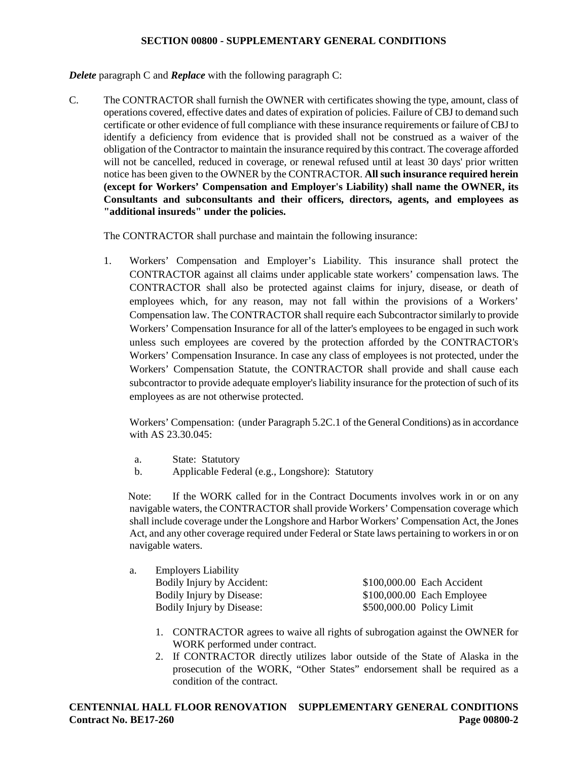*Delete* paragraph C and *Replace* with the following paragraph C:

C. The CONTRACTOR shall furnish the OWNER with certificates showing the type, amount, class of operations covered, effective dates and dates of expiration of policies. Failure of CBJ to demand such certificate or other evidence of full compliance with these insurance requirements or failure of CBJ to identify a deficiency from evidence that is provided shall not be construed as a waiver of the obligation of the Contractor to maintain the insurance required by this contract. The coverage afforded will not be cancelled, reduced in coverage, or renewal refused until at least 30 days' prior written notice has been given to the OWNER by the CONTRACTOR. **All such insurance required herein (except for Workers' Compensation and Employer's Liability) shall name the OWNER, its Consultants and subconsultants and their officers, directors, agents, and employees as "additional insureds" under the policies.** 

The CONTRACTOR shall purchase and maintain the following insurance:

1. Workers' Compensation and Employer's Liability. This insurance shall protect the CONTRACTOR against all claims under applicable state workers' compensation laws. The CONTRACTOR shall also be protected against claims for injury, disease, or death of employees which, for any reason, may not fall within the provisions of a Workers' Compensation law. The CONTRACTOR shall require each Subcontractor similarly to provide Workers' Compensation Insurance for all of the latter's employees to be engaged in such work unless such employees are covered by the protection afforded by the CONTRACTOR's Workers' Compensation Insurance. In case any class of employees is not protected, under the Workers' Compensation Statute, the CONTRACTOR shall provide and shall cause each subcontractor to provide adequate employer's liability insurance for the protection of such of its employees as are not otherwise protected.

Workers' Compensation: (under Paragraph 5.2C.1 of the General Conditions) as in accordance with AS 23.30.045:

- a. State: Statutory
- b. Applicable Federal (e.g., Longshore): Statutory

Note: If the WORK called for in the Contract Documents involves work in or on any navigable waters, the CONTRACTOR shall provide Workers' Compensation coverage which shall include coverage under the Longshore and Harbor Workers' Compensation Act, the Jones Act, and any other coverage required under Federal or State laws pertaining to workers in or on navigable waters.

| <b>Employers Liability</b> |                           |                             |
|----------------------------|---------------------------|-----------------------------|
| Bodily Injury by Accident: |                           | \$100,000.00 Each Accident  |
| Bodily Injury by Disease:  |                           | $$100,000.00$ Each Employee |
|                            |                           |                             |
|                            | Bodily Injury by Disease: | \$500,000.00 Policy Limit   |

- 1. CONTRACTOR agrees to waive all rights of subrogation against the OWNER for WORK performed under contract.
- 2. If CONTRACTOR directly utilizes labor outside of the State of Alaska in the prosecution of the WORK, "Other States" endorsement shall be required as a condition of the contract.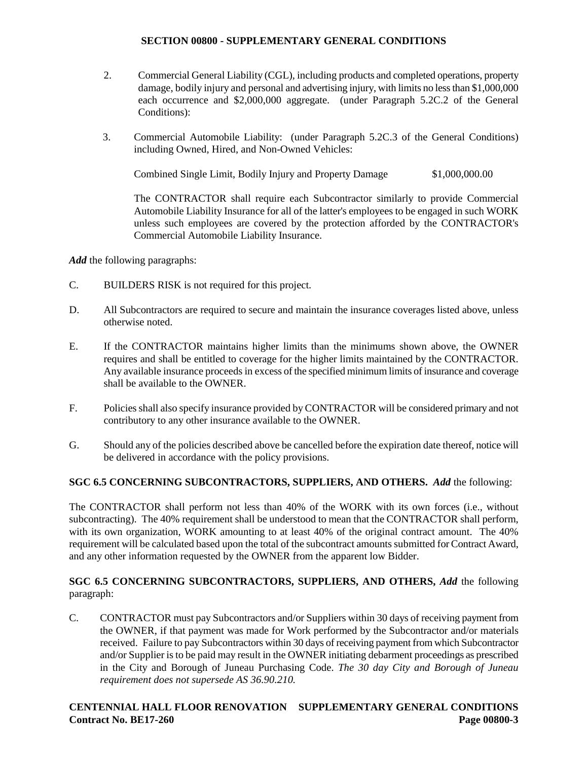- 2. Commercial General Liability (CGL), including products and completed operations, property damage, bodily injury and personal and advertising injury, with limits no less than \$1,000,000 each occurrence and \$2,000,000 aggregate. (under Paragraph 5.2C.2 of the General Conditions):
- 3. Commercial Automobile Liability: (under Paragraph 5.2C.3 of the General Conditions) including Owned, Hired, and Non-Owned Vehicles:

Combined Single Limit, Bodily Injury and Property Damage \$1,000,000.00

The CONTRACTOR shall require each Subcontractor similarly to provide Commercial Automobile Liability Insurance for all of the latter's employees to be engaged in such WORK unless such employees are covered by the protection afforded by the CONTRACTOR's Commercial Automobile Liability Insurance.

*Add* the following paragraphs:

- C. BUILDERS RISK is not required for this project.
- D. All Subcontractors are required to secure and maintain the insurance coverages listed above, unless otherwise noted.
- E. If the CONTRACTOR maintains higher limits than the minimums shown above, the OWNER requires and shall be entitled to coverage for the higher limits maintained by the CONTRACTOR. Any available insurance proceeds in excess of the specified minimum limits of insurance and coverage shall be available to the OWNER.
- F. Policies shall also specify insurance provided by CONTRACTOR will be considered primary and not contributory to any other insurance available to the OWNER.
- G. Should any of the policies described above be cancelled before the expiration date thereof, notice will be delivered in accordance with the policy provisions.

# **SGC 6.5 CONCERNING SUBCONTRACTORS, SUPPLIERS, AND OTHERS.** *Add* the following:

The CONTRACTOR shall perform not less than 40% of the WORK with its own forces (i.e., without subcontracting). The 40% requirement shall be understood to mean that the CONTRACTOR shall perform, with its own organization, WORK amounting to at least 40% of the original contract amount. The 40% requirement will be calculated based upon the total of the subcontract amounts submitted for Contract Award, and any other information requested by the OWNER from the apparent low Bidder.

# **SGC 6.5 CONCERNING SUBCONTRACTORS, SUPPLIERS, AND OTHERS,** *Add* the following paragraph:

C. CONTRACTOR must pay Subcontractors and/or Suppliers within 30 days of receiving payment from the OWNER, if that payment was made for Work performed by the Subcontractor and/or materials received. Failure to pay Subcontractors within 30 days of receiving payment from which Subcontractor and/or Supplier is to be paid may result in the OWNER initiating debarment proceedings as prescribed in the City and Borough of Juneau Purchasing Code. *The 30 day City and Borough of Juneau requirement does not supersede AS 36.90.210.*

# **CENTENNIAL HALL FLOOR RENOVATION SUPPLEMENTARY GENERAL CONDITIONS Contract No. BE17-260 Page 00800-3**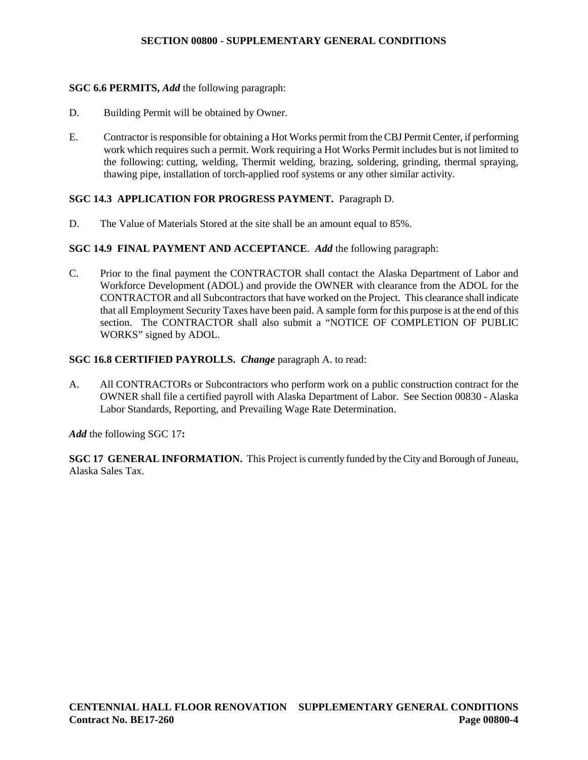### **SGC 6.6 PERMITS,** *Add* the following paragraph:

- D. Building Permit will be obtained by Owner.
- E. Contractor is responsible for obtaining a Hot Works permit from the CBJ Permit Center, if performing work which requires such a permit. Work requiring a Hot Works Permit includes but is not limited to the following: cutting, welding, Thermit welding, brazing, soldering, grinding, thermal spraying, thawing pipe, installation of torch-applied roof systems or any other similar activity.

### **SGC 14.3 APPLICATION FOR PROGRESS PAYMENT.** Paragraph D.

D. The Value of Materials Stored at the site shall be an amount equal to 85%.

### **SGC 14.9 FINAL PAYMENT AND ACCEPTANCE**. *Add* the following paragraph:

C. Prior to the final payment the CONTRACTOR shall contact the Alaska Department of Labor and Workforce Development (ADOL) and provide the OWNER with clearance from the ADOL for the CONTRACTOR and all Subcontractors that have worked on the Project. This clearance shall indicate that all Employment Security Taxes have been paid. A sample form for this purpose is at the end of this section. The CONTRACTOR shall also submit a "NOTICE OF COMPLETION OF PUBLIC WORKS" signed by ADOL.

### **SGC 16.8 CERTIFIED PAYROLLS.** *Change* paragraph A. to read:

A. All CONTRACTORs or Subcontractors who perform work on a public construction contract for the OWNER shall file a certified payroll with Alaska Department of Labor. See Section 00830 - Alaska Labor Standards, Reporting, and Prevailing Wage Rate Determination.

*Add* the following SGC 17**:**

**SGC 17 GENERAL INFORMATION.** This Project is currently funded by the City and Borough of Juneau, Alaska Sales Tax.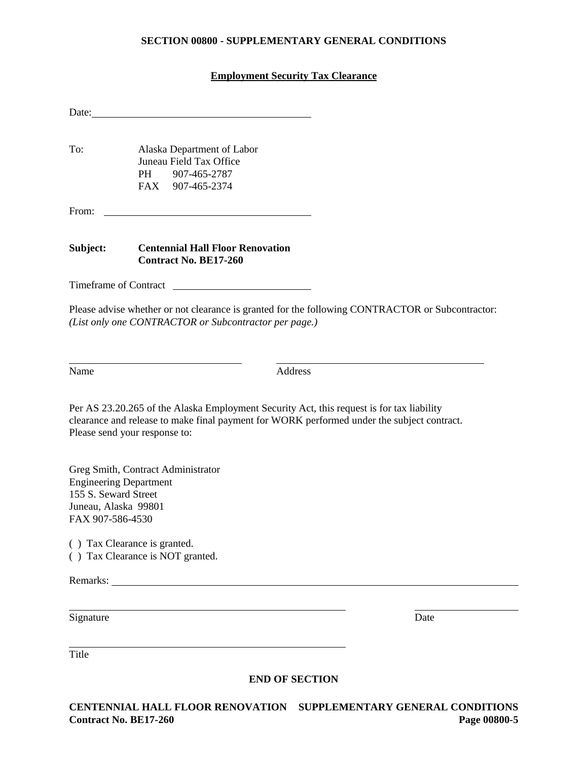# **Employment Security Tax Clearance**

| Date:                                                                                             |                                                                                                                                                                                                                          |         |      |
|---------------------------------------------------------------------------------------------------|--------------------------------------------------------------------------------------------------------------------------------------------------------------------------------------------------------------------------|---------|------|
| To:                                                                                               | Alaska Department of Labor<br>Juneau Field Tax Office<br>PH 907-465-2787<br>FAX 907-465-2374                                                                                                                             |         |      |
| From:                                                                                             |                                                                                                                                                                                                                          |         |      |
| Subject:                                                                                          | <b>Centennial Hall Floor Renovation</b><br><b>Contract No. BE17-260</b>                                                                                                                                                  |         |      |
| Timeframe of Contract                                                                             |                                                                                                                                                                                                                          |         |      |
|                                                                                                   | Please advise whether or not clearance is granted for the following CONTRACTOR or Subcontractor:<br>(List only one CONTRACTOR or Subcontractor per page.)                                                                |         |      |
| Name                                                                                              |                                                                                                                                                                                                                          | Address |      |
|                                                                                                   | Per AS 23.20.265 of the Alaska Employment Security Act, this request is for tax liability<br>clearance and release to make final payment for WORK performed under the subject contract.<br>Please send your response to: |         |      |
| <b>Engineering Department</b><br>155 S. Seward Street<br>Juneau, Alaska 99801<br>FAX 907-586-4530 | Greg Smith, Contract Administrator                                                                                                                                                                                       |         |      |
|                                                                                                   | () Tax Clearance is granted.<br>() Tax Clearance is NOT granted.                                                                                                                                                         |         |      |
| Remarks:                                                                                          |                                                                                                                                                                                                                          |         |      |
| Signature                                                                                         |                                                                                                                                                                                                                          |         | Date |

Title

### **END OF SECTION**

**CENTENNIAL HALL FLOOR RENOVATION SUPPLEMENTARY GENERAL CONDITIONS Contract No. BE17-260**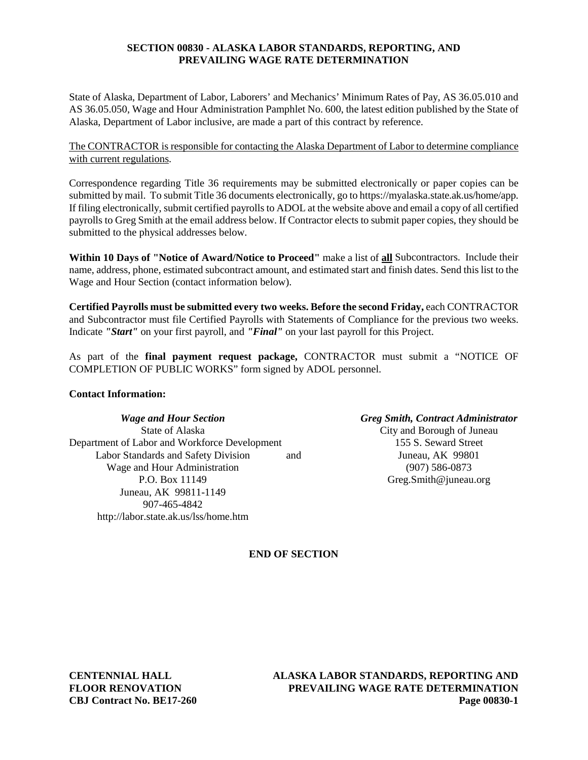## **SECTION 00830 - ALASKA LABOR STANDARDS, REPORTING, AND PREVAILING WAGE RATE DETERMINATION**

State of Alaska, Department of Labor, Laborers' and Mechanics' Minimum Rates of Pay, AS 36.05.010 and AS 36.05.050, Wage and Hour Administration Pamphlet No. 600, the latest edition published by the State of Alaska, Department of Labor inclusive, are made a part of this contract by reference.

## The CONTRACTOR is responsible for contacting the Alaska Department of Labor to determine compliance with current regulations.

Correspondence regarding Title 36 requirements may be submitted electronically or paper copies can be submitted by mail. To submit Title 36 documents electronically, go t[o https://myalaska.state.ak.us/home/app.](https://myalaska.state.ak.us/home/app) If filing electronically, submit certified payrolls to ADOL at the website above and email a copy of all certified payrolls to Greg Smith at the email address below. If Contractor elects to submit paper copies, they should be submitted to the physical addresses below.

**Within 10 Days of "Notice of Award/Notice to Proceed"** make a list of **all** Subcontractors. Include their name, address, phone, estimated subcontract amount, and estimated start and finish dates. Send this list to the Wage and Hour Section (contact information below).

**Certified Payrolls must be submitted every two weeks. Before the second Friday,** each CONTRACTOR and Subcontractor must file Certified Payrolls with Statements of Compliance for the previous two weeks. Indicate *"Start"* on your first payroll, and *"Final"* on your last payroll for this Project.

As part of the **final payment request package,** CONTRACTOR must submit a "NOTICE OF COMPLETION OF PUBLIC WORKS" form signed by ADOL personnel.

### **Contact Information:**

*Wage and Hour Section Greg Smith, Contract Administrator* State of Alaska City and Borough of Juneau Department of Labor and Workforce Development 155 S. Seward Street Labor Standards and Safety Division and Juneau, AK 99801 Wage and Hour Administration (907) 586-0873 P.O. Box 11149 Greg.Smith@juneau.org Juneau, AK 99811-1149 907-465-4842 http://labor.state.ak.us/lss/home.htm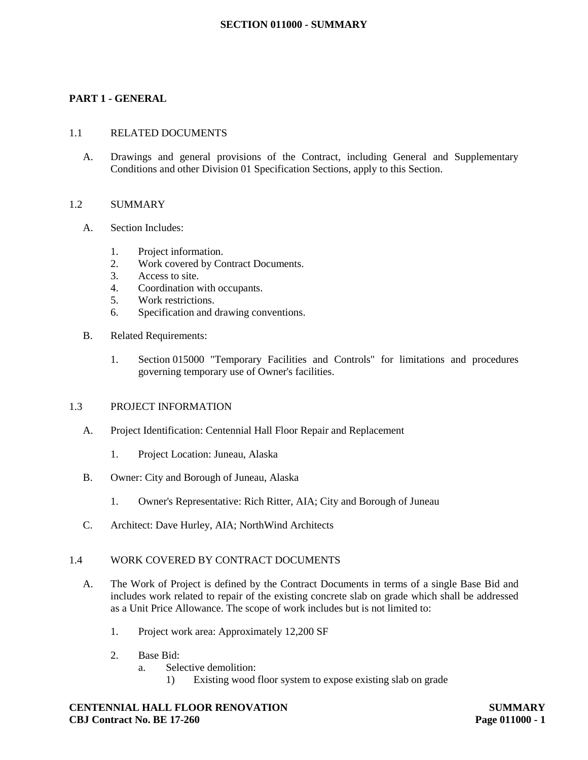### **SECTION 011000 - SUMMARY**

### **PART 1 - GENERAL**

#### 1.1 RELATED DOCUMENTS

A. Drawings and general provisions of the Contract, including General and Supplementary Conditions and other Division 01 Specification Sections, apply to this Section.

### 1.2 SUMMARY

- A. Section Includes:
	- 1. Project information.
		- 2. Work covered by Contract Documents.
		- 3. Access to site.
		- 4. Coordination with occupants.
		- 5. Work restrictions.
		- 6. Specification and drawing conventions.
- B. Related Requirements:
	- 1. Section 015000 "Temporary Facilities and Controls" for limitations and procedures governing temporary use of Owner's facilities.

#### 1.3 PROJECT INFORMATION

- A. Project Identification: Centennial Hall Floor Repair and Replacement
	- 1. Project Location: Juneau, Alaska
- B. Owner: City and Borough of Juneau, Alaska
	- 1. Owner's Representative: Rich Ritter, AIA; City and Borough of Juneau
- C. Architect: Dave Hurley, AIA; NorthWind Architects

### 1.4 WORK COVERED BY CONTRACT DOCUMENTS

- A. The Work of Project is defined by the Contract Documents in terms of a single Base Bid and includes work related to repair of the existing concrete slab on grade which shall be addressed as a Unit Price Allowance. The scope of work includes but is not limited to:
	- 1. Project work area: Approximately 12,200 SF
	- 2. Base Bid:
		- a. Selective demolition:
			- 1) Existing wood floor system to expose existing slab on grade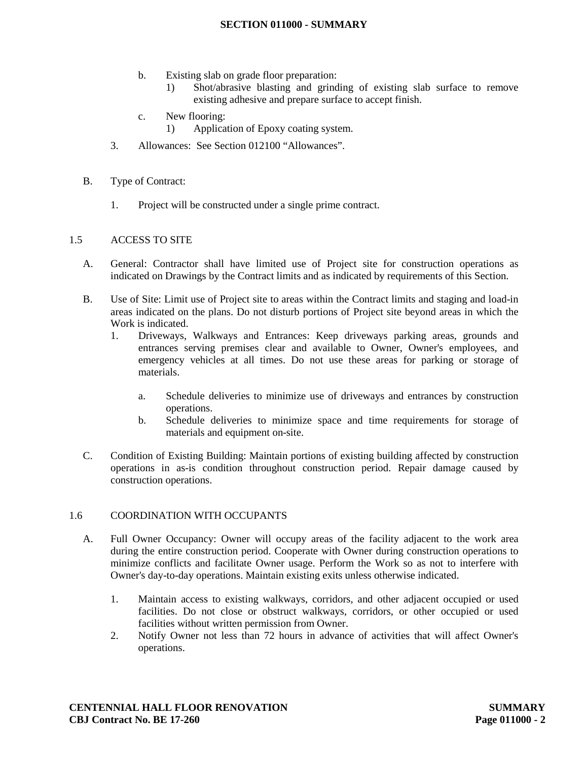### **SECTION 011000 - SUMMARY**

- b. Existing slab on grade floor preparation:
	- 1) Shot/abrasive blasting and grinding of existing slab surface to remove existing adhesive and prepare surface to accept finish.
- c. New flooring:
	- 1) Application of Epoxy coating system.
- 3. Allowances: See Section 012100 "Allowances".
- B. Type of Contract:
	- 1. Project will be constructed under a single prime contract.

### 1.5 ACCESS TO SITE

- A. General: Contractor shall have limited use of Project site for construction operations as indicated on Drawings by the Contract limits and as indicated by requirements of this Section.
- B. Use of Site: Limit use of Project site to areas within the Contract limits and staging and load-in areas indicated on the plans. Do not disturb portions of Project site beyond areas in which the Work is indicated.
	- 1. Driveways, Walkways and Entrances: Keep driveways parking areas, grounds and entrances serving premises clear and available to Owner, Owner's employees, and emergency vehicles at all times. Do not use these areas for parking or storage of materials.
		- a. Schedule deliveries to minimize use of driveways and entrances by construction operations.
		- b. Schedule deliveries to minimize space and time requirements for storage of materials and equipment on-site.
- C. Condition of Existing Building: Maintain portions of existing building affected by construction operations in as-is condition throughout construction period. Repair damage caused by construction operations.

### 1.6 COORDINATION WITH OCCUPANTS

- A. Full Owner Occupancy: Owner will occupy areas of the facility adjacent to the work area during the entire construction period. Cooperate with Owner during construction operations to minimize conflicts and facilitate Owner usage. Perform the Work so as not to interfere with Owner's day-to-day operations. Maintain existing exits unless otherwise indicated.
	- 1. Maintain access to existing walkways, corridors, and other adjacent occupied or used facilities. Do not close or obstruct walkways, corridors, or other occupied or used facilities without written permission from Owner.
	- 2. Notify Owner not less than 72 hours in advance of activities that will affect Owner's operations.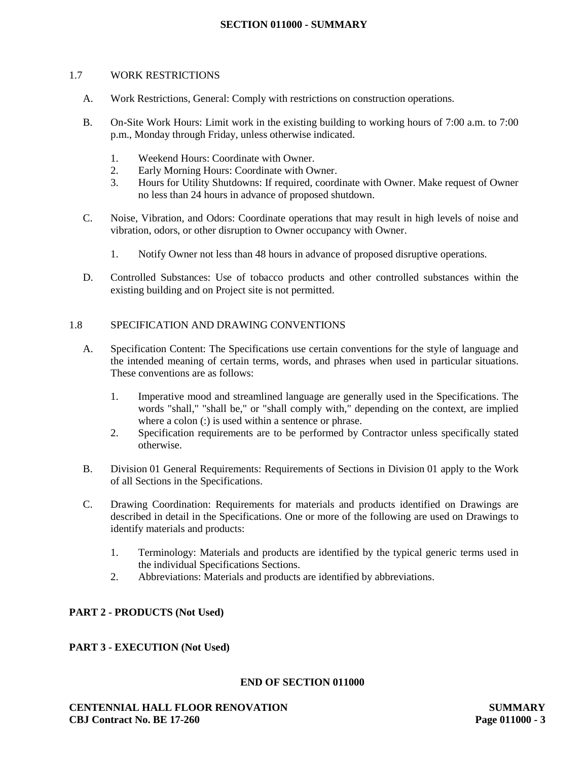### **SECTION 011000 - SUMMARY**

#### 1.7 WORK RESTRICTIONS

- A. Work Restrictions, General: Comply with restrictions on construction operations.
- B. On-Site Work Hours: Limit work in the existing building to working hours of 7:00 a.m. to 7:00 p.m., Monday through Friday, unless otherwise indicated.
	- 1. Weekend Hours: Coordinate with Owner.
	- 2. Early Morning Hours: Coordinate with Owner.
	- 3. Hours for Utility Shutdowns: If required, coordinate with Owner. Make request of Owner no less than 24 hours in advance of proposed shutdown.
- C. Noise, Vibration, and Odors: Coordinate operations that may result in high levels of noise and vibration, odors, or other disruption to Owner occupancy with Owner.
	- 1. Notify Owner not less than 48 hours in advance of proposed disruptive operations.
- D. Controlled Substances: Use of tobacco products and other controlled substances within the existing building and on Project site is not permitted.

### 1.8 SPECIFICATION AND DRAWING CONVENTIONS

- A. Specification Content: The Specifications use certain conventions for the style of language and the intended meaning of certain terms, words, and phrases when used in particular situations. These conventions are as follows:
	- 1. Imperative mood and streamlined language are generally used in the Specifications. The words "shall," "shall be," or "shall comply with," depending on the context, are implied where a colon (:) is used within a sentence or phrase.
	- 2. Specification requirements are to be performed by Contractor unless specifically stated otherwise.
- B. Division 01 General Requirements: Requirements of Sections in Division 01 apply to the Work of all Sections in the Specifications.
- C. Drawing Coordination: Requirements for materials and products identified on Drawings are described in detail in the Specifications. One or more of the following are used on Drawings to identify materials and products:
	- 1. Terminology: Materials and products are identified by the typical generic terms used in the individual Specifications Sections.
	- 2. Abbreviations: Materials and products are identified by abbreviations.

### **PART 2 - PRODUCTS (Not Used)**

### **PART 3 - EXECUTION (Not Used)**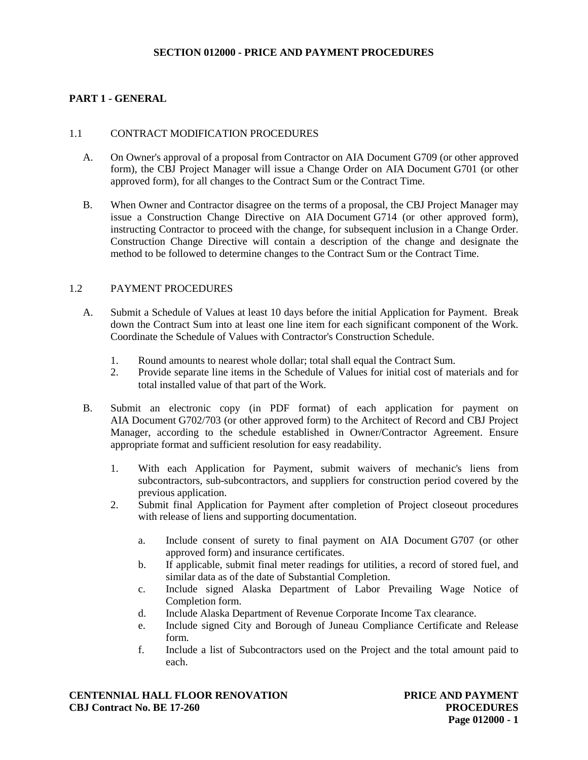## **SECTION 012000 - PRICE AND PAYMENT PROCEDURES**

# **PART 1 - GENERAL**

### 1.1 CONTRACT MODIFICATION PROCEDURES

- A. On Owner's approval of a proposal from Contractor on AIA Document G709 (or other approved form), the CBJ Project Manager will issue a Change Order on AIA Document G701 (or other approved form), for all changes to the Contract Sum or the Contract Time.
- B. When Owner and Contractor disagree on the terms of a proposal, the CBJ Project Manager may issue a Construction Change Directive on AIA Document G714 (or other approved form), instructing Contractor to proceed with the change, for subsequent inclusion in a Change Order. Construction Change Directive will contain a description of the change and designate the method to be followed to determine changes to the Contract Sum or the Contract Time.

### 1.2 PAYMENT PROCEDURES

- A. Submit a Schedule of Values at least 10 days before the initial Application for Payment. Break down the Contract Sum into at least one line item for each significant component of the Work. Coordinate the Schedule of Values with Contractor's Construction Schedule.
	- 1. Round amounts to nearest whole dollar; total shall equal the Contract Sum.
	- 2. Provide separate line items in the Schedule of Values for initial cost of materials and for total installed value of that part of the Work.
- B. Submit an electronic copy (in PDF format) of each application for payment on AIA Document G702/703 (or other approved form) to the Architect of Record and CBJ Project Manager, according to the schedule established in Owner/Contractor Agreement. Ensure appropriate format and sufficient resolution for easy readability.
	- 1. With each Application for Payment, submit waivers of mechanic's liens from subcontractors, sub-subcontractors, and suppliers for construction period covered by the previous application.
	- 2. Submit final Application for Payment after completion of Project closeout procedures with release of liens and supporting documentation.
		- a. Include consent of surety to final payment on AIA Document G707 (or other approved form) and insurance certificates.
		- b. If applicable, submit final meter readings for utilities, a record of stored fuel, and similar data as of the date of Substantial Completion.
		- c. Include signed Alaska Department of Labor Prevailing Wage Notice of Completion form.
		- d. Include Alaska Department of Revenue Corporate Income Tax clearance.
		- e. Include signed City and Borough of Juneau Compliance Certificate and Release form.
		- f. Include a list of Subcontractors used on the Project and the total amount paid to each.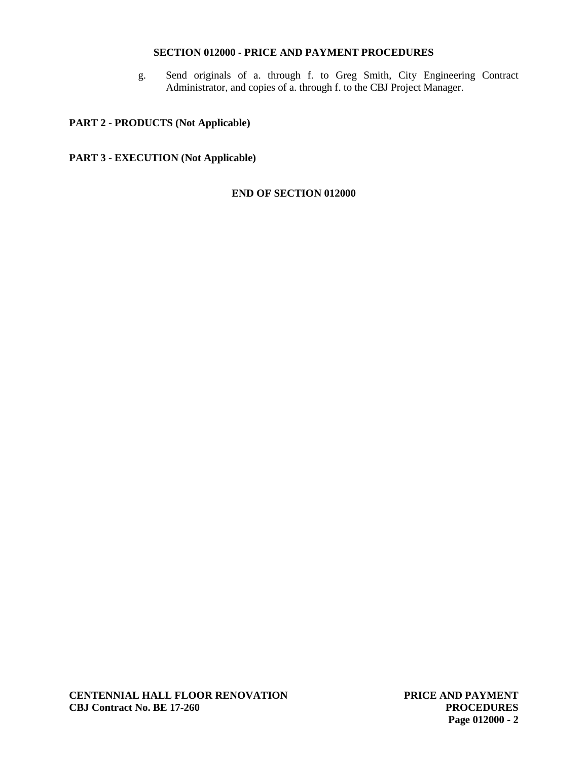# **SECTION 012000 - PRICE AND PAYMENT PROCEDURES**

g. Send originals of a. through f. to Greg Smith, City Engineering Contract Administrator, and copies of a. through f. to the CBJ Project Manager.

# **PART 2 - PRODUCTS (Not Applicable)**

# **PART 3 - EXECUTION (Not Applicable)**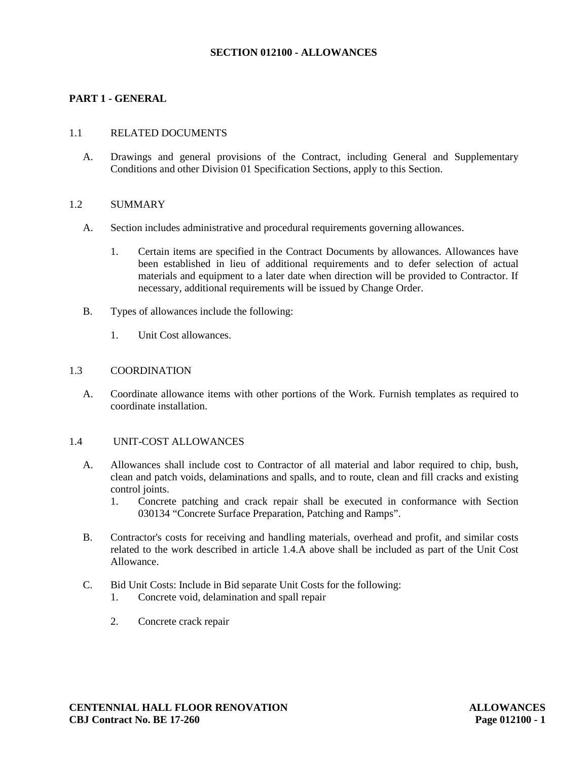## **SECTION 012100 - ALLOWANCES**

## **PART 1 - GENERAL**

### 1.1 RELATED DOCUMENTS

A. Drawings and general provisions of the Contract, including General and Supplementary Conditions and other Division 01 Specification Sections, apply to this Section.

### 1.2 SUMMARY

- A. Section includes administrative and procedural requirements governing allowances.
	- 1. Certain items are specified in the Contract Documents by allowances. Allowances have been established in lieu of additional requirements and to defer selection of actual materials and equipment to a later date when direction will be provided to Contractor. If necessary, additional requirements will be issued by Change Order.
- B. Types of allowances include the following:
	- 1. Unit Cost allowances.

### 1.3 COORDINATION

A. Coordinate allowance items with other portions of the Work. Furnish templates as required to coordinate installation.

#### 1.4 UNIT-COST ALLOWANCES

- A. Allowances shall include cost to Contractor of all material and labor required to chip, bush, clean and patch voids, delaminations and spalls, and to route, clean and fill cracks and existing control joints.<br>1. Concret
	- 1. Concrete patching and crack repair shall be executed in conformance with Section 030134 "Concrete Surface Preparation, Patching and Ramps".
- B. Contractor's costs for receiving and handling materials, overhead and profit, and similar costs related to the work described in article 1.4.A above shall be included as part of the Unit Cost Allowance.
- C. Bid Unit Costs: Include in Bid separate Unit Costs for the following:
	- 1. Concrete void, delamination and spall repair
	- 2. Concrete crack repair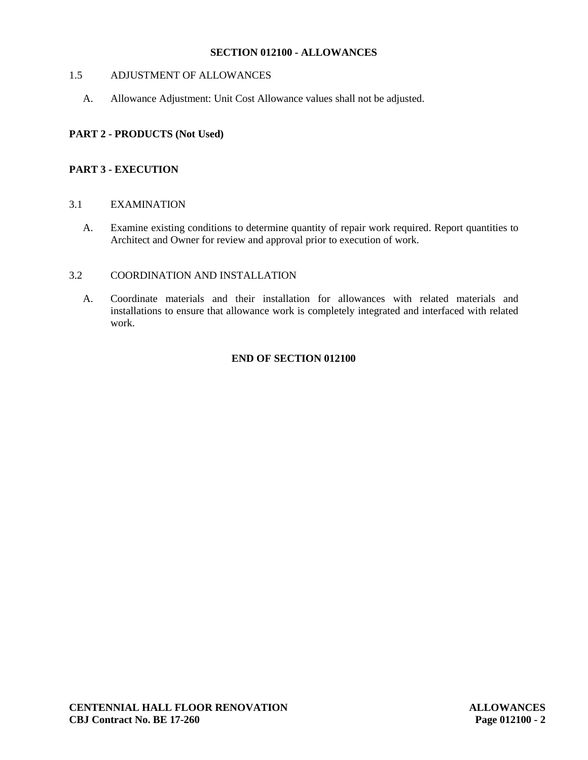# **SECTION 012100 - ALLOWANCES**

# 1.5 ADJUSTMENT OF ALLOWANCES

A. Allowance Adjustment: Unit Cost Allowance values shall not be adjusted.

# **PART 2 - PRODUCTS (Not Used)**

# **PART 3 - EXECUTION**

## 3.1 EXAMINATION

A. Examine existing conditions to determine quantity of repair work required. Report quantities to Architect and Owner for review and approval prior to execution of work.

# 3.2 COORDINATION AND INSTALLATION

A. Coordinate materials and their installation for allowances with related materials and installations to ensure that allowance work is completely integrated and interfaced with related work.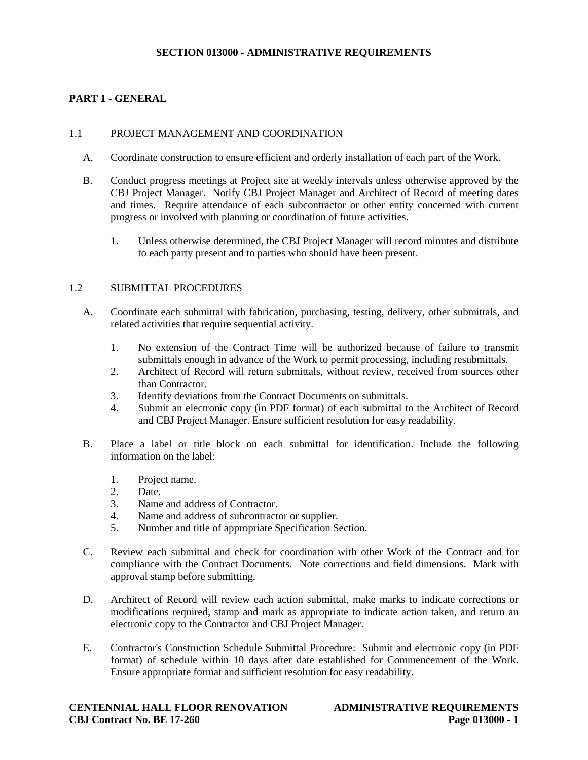# **SECTION 013000 - ADMINISTRATIVE REQUIREMENTS**

# **PART 1 - GENERAL**

### 1.1 PROJECT MANAGEMENT AND COORDINATION

- A. Coordinate construction to ensure efficient and orderly installation of each part of the Work.
- B. Conduct progress meetings at Project site at weekly intervals unless otherwise approved by the CBJ Project Manager. Notify CBJ Project Manager and Architect of Record of meeting dates and times. Require attendance of each subcontractor or other entity concerned with current progress or involved with planning or coordination of future activities.
	- 1. Unless otherwise determined, the CBJ Project Manager will record minutes and distribute to each party present and to parties who should have been present.

### 1.2 SUBMITTAL PROCEDURES

- A. Coordinate each submittal with fabrication, purchasing, testing, delivery, other submittals, and related activities that require sequential activity.
	- 1. No extension of the Contract Time will be authorized because of failure to transmit submittals enough in advance of the Work to permit processing, including resubmittals.
	- 2. Architect of Record will return submittals, without review, received from sources other than Contractor.
	- 3. Identify deviations from the Contract Documents on submittals.
	- 4. Submit an electronic copy (in PDF format) of each submittal to the Architect of Record and CBJ Project Manager. Ensure sufficient resolution for easy readability.
- B. Place a label or title block on each submittal for identification. Include the following information on the label:
	- 1. Project name.<br>2. Date.
	- Date.
	- 3. Name and address of Contractor.
	- 4. Name and address of subcontractor or supplier.
	- 5. Number and title of appropriate Specification Section.
- C. Review each submittal and check for coordination with other Work of the Contract and for compliance with the Contract Documents. Note corrections and field dimensions. Mark with approval stamp before submitting.
- D. Architect of Record will review each action submittal, make marks to indicate corrections or modifications required, stamp and mark as appropriate to indicate action taken, and return an electronic copy to the Contractor and CBJ Project Manager.
- E. Contractor's Construction Schedule Submittal Procedure: Submit and electronic copy (in PDF format) of schedule within 10 days after date established for Commencement of the Work. Ensure appropriate format and sufficient resolution for easy readability.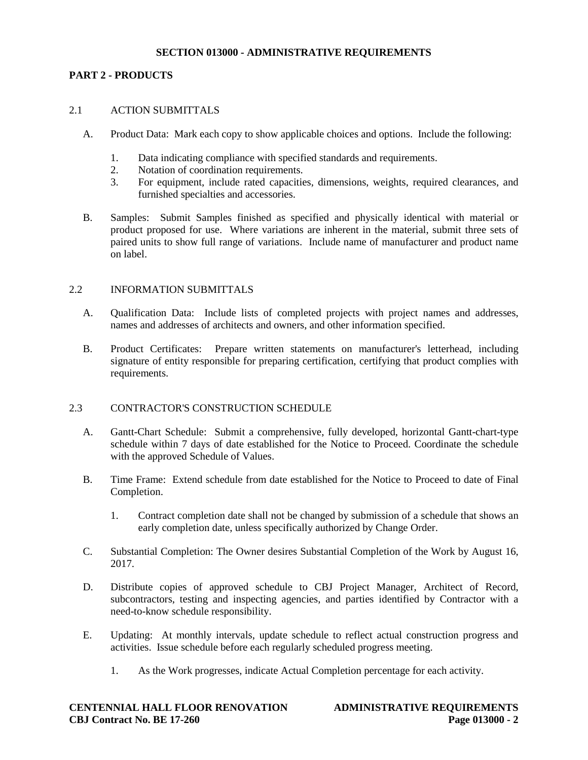## **SECTION 013000 - ADMINISTRATIVE REQUIREMENTS**

## **PART 2 - PRODUCTS**

## 2.1 ACTION SUBMITTALS

- A. Product Data: Mark each copy to show applicable choices and options. Include the following:
	- 1. Data indicating compliance with specified standards and requirements.
	- 2. Notation of coordination requirements.
	- 3. For equipment, include rated capacities, dimensions, weights, required clearances, and furnished specialties and accessories.
- B. Samples: Submit Samples finished as specified and physically identical with material or product proposed for use. Where variations are inherent in the material, submit three sets of paired units to show full range of variations. Include name of manufacturer and product name on label.

### 2.2 INFORMATION SUBMITTALS

- A. Qualification Data: Include lists of completed projects with project names and addresses, names and addresses of architects and owners, and other information specified.
- B. Product Certificates: Prepare written statements on manufacturer's letterhead, including signature of entity responsible for preparing certification, certifying that product complies with requirements.

### 2.3 CONTRACTOR'S CONSTRUCTION SCHEDULE

- A. Gantt-Chart Schedule: Submit a comprehensive, fully developed, horizontal Gantt-chart-type schedule within 7 days of date established for the Notice to Proceed. Coordinate the schedule with the approved Schedule of Values.
- B. Time Frame: Extend schedule from date established for the Notice to Proceed to date of Final Completion.
	- 1. Contract completion date shall not be changed by submission of a schedule that shows an early completion date, unless specifically authorized by Change Order.
- C. Substantial Completion: The Owner desires Substantial Completion of the Work by August 16, 2017.
- D. Distribute copies of approved schedule to CBJ Project Manager, Architect of Record, subcontractors, testing and inspecting agencies, and parties identified by Contractor with a need-to-know schedule responsibility.
- E. Updating: At monthly intervals, update schedule to reflect actual construction progress and activities. Issue schedule before each regularly scheduled progress meeting.
	- 1. As the Work progresses, indicate Actual Completion percentage for each activity.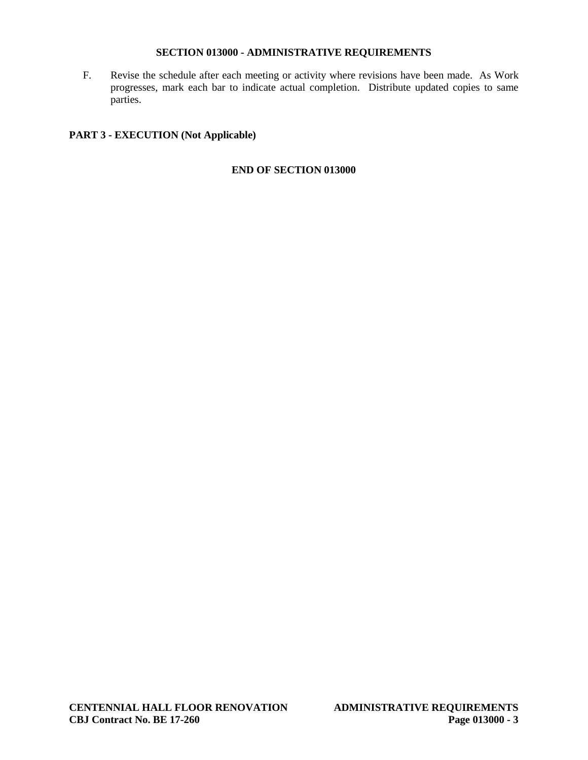## **SECTION 013000 - ADMINISTRATIVE REQUIREMENTS**

F. Revise the schedule after each meeting or activity where revisions have been made. As Work progresses, mark each bar to indicate actual completion. Distribute updated copies to same parties.

# **PART 3 - EXECUTION (Not Applicable)**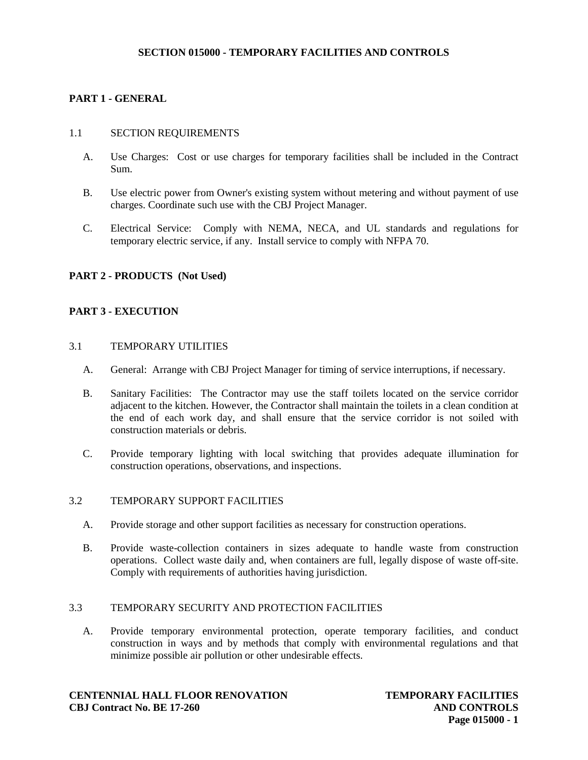# **SECTION 015000 - TEMPORARY FACILITIES AND CONTROLS**

# **PART 1 - GENERAL**

### 1.1 SECTION REQUIREMENTS

- A. Use Charges: Cost or use charges for temporary facilities shall be included in the Contract Sum.
- B. Use electric power from Owner's existing system without metering and without payment of use charges. Coordinate such use with the CBJ Project Manager.
- C. Electrical Service: Comply with NEMA, NECA, and UL standards and regulations for temporary electric service, if any. Install service to comply with NFPA 70.

### **PART 2 - PRODUCTS (Not Used)**

## **PART 3 - EXECUTION**

### 3.1 TEMPORARY UTILITIES

- A. General: Arrange with CBJ Project Manager for timing of service interruptions, if necessary.
- B. Sanitary Facilities: The Contractor may use the staff toilets located on the service corridor adjacent to the kitchen. However, the Contractor shall maintain the toilets in a clean condition at the end of each work day, and shall ensure that the service corridor is not soiled with construction materials or debris.
- C. Provide temporary lighting with local switching that provides adequate illumination for construction operations, observations, and inspections.

### 3.2 TEMPORARY SUPPORT FACILITIES

- A. Provide storage and other support facilities as necessary for construction operations.
- B. Provide waste-collection containers in sizes adequate to handle waste from construction operations. Collect waste daily and, when containers are full, legally dispose of waste off-site. Comply with requirements of authorities having jurisdiction.

# 3.3 TEMPORARY SECURITY AND PROTECTION FACILITIES

A. Provide temporary environmental protection, operate temporary facilities, and conduct construction in ways and by methods that comply with environmental regulations and that minimize possible air pollution or other undesirable effects.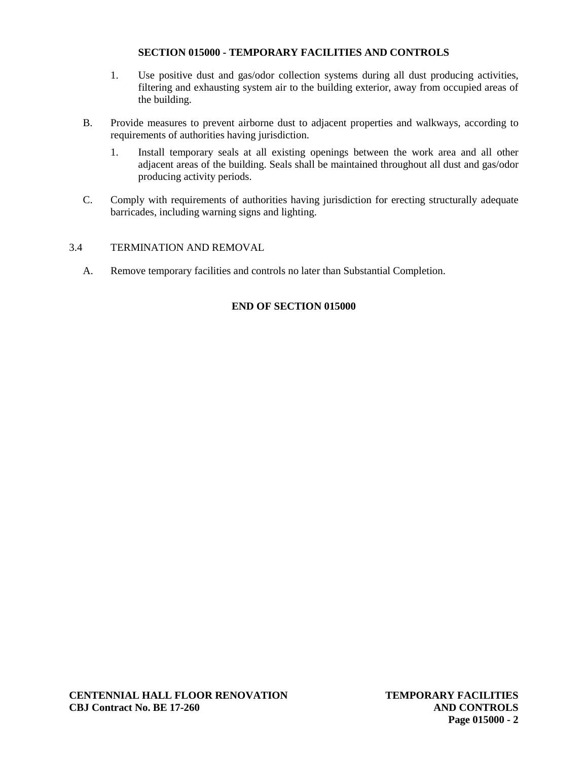# **SECTION 015000 - TEMPORARY FACILITIES AND CONTROLS**

- 1. Use positive dust and gas/odor collection systems during all dust producing activities, filtering and exhausting system air to the building exterior, away from occupied areas of the building.
- B. Provide measures to prevent airborne dust to adjacent properties and walkways, according to requirements of authorities having jurisdiction.
	- 1. Install temporary seals at all existing openings between the work area and all other adjacent areas of the building. Seals shall be maintained throughout all dust and gas/odor producing activity periods.
- C. Comply with requirements of authorities having jurisdiction for erecting structurally adequate barricades, including warning signs and lighting.

## 3.4 TERMINATION AND REMOVAL

A. Remove temporary facilities and controls no later than Substantial Completion.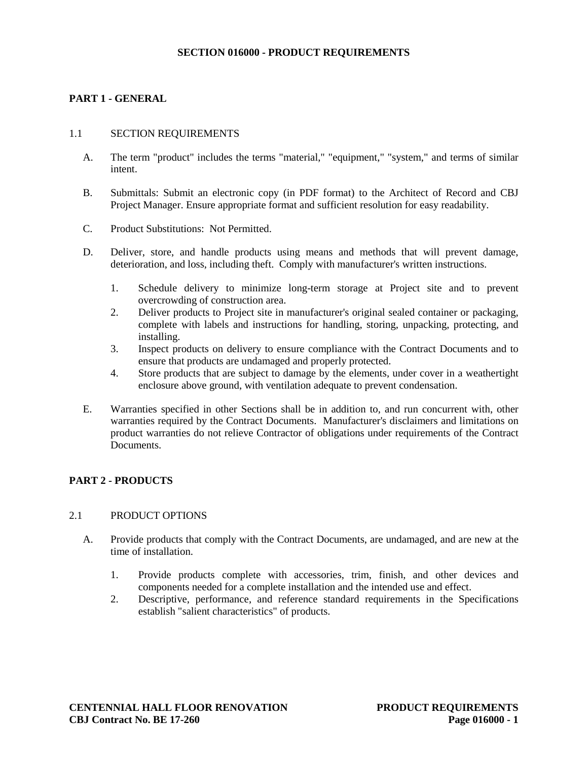# **SECTION 016000 - PRODUCT REQUIREMENTS**

## **PART 1 - GENERAL**

### 1.1 SECTION REQUIREMENTS

- A. The term "product" includes the terms "material," "equipment," "system," and terms of similar intent.
- B. Submittals: Submit an electronic copy (in PDF format) to the Architect of Record and CBJ Project Manager. Ensure appropriate format and sufficient resolution for easy readability.
- C. Product Substitutions: Not Permitted.
- D. Deliver, store, and handle products using means and methods that will prevent damage, deterioration, and loss, including theft. Comply with manufacturer's written instructions.
	- 1. Schedule delivery to minimize long-term storage at Project site and to prevent overcrowding of construction area.
	- 2. Deliver products to Project site in manufacturer's original sealed container or packaging, complete with labels and instructions for handling, storing, unpacking, protecting, and installing.
	- 3. Inspect products on delivery to ensure compliance with the Contract Documents and to ensure that products are undamaged and properly protected.
	- 4. Store products that are subject to damage by the elements, under cover in a weathertight enclosure above ground, with ventilation adequate to prevent condensation.
- E. Warranties specified in other Sections shall be in addition to, and run concurrent with, other warranties required by the Contract Documents. Manufacturer's disclaimers and limitations on product warranties do not relieve Contractor of obligations under requirements of the Contract Documents.

# **PART 2 - PRODUCTS**

### 2.1 PRODUCT OPTIONS

- A. Provide products that comply with the Contract Documents, are undamaged, and are new at the time of installation.
	- 1. Provide products complete with accessories, trim, finish, and other devices and components needed for a complete installation and the intended use and effect.
	- 2. Descriptive, performance, and reference standard requirements in the Specifications establish "salient characteristics" of products.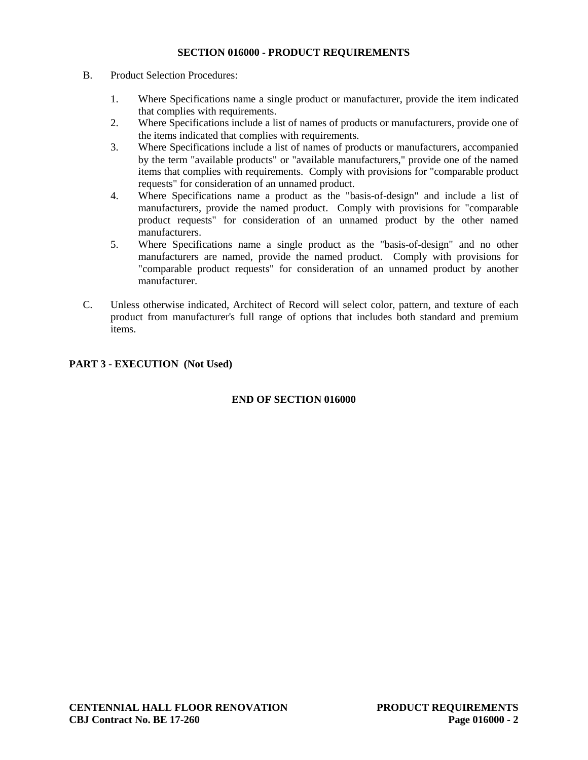# **SECTION 016000 - PRODUCT REQUIREMENTS**

- B. Product Selection Procedures:
	- 1. Where Specifications name a single product or manufacturer, provide the item indicated that complies with requirements.
	- 2. Where Specifications include a list of names of products or manufacturers, provide one of the items indicated that complies with requirements.
	- 3. Where Specifications include a list of names of products or manufacturers, accompanied by the term "available products" or "available manufacturers," provide one of the named items that complies with requirements. Comply with provisions for "comparable product requests" for consideration of an unnamed product.
	- 4. Where Specifications name a product as the "basis-of-design" and include a list of manufacturers, provide the named product. Comply with provisions for "comparable product requests" for consideration of an unnamed product by the other named manufacturers.
	- 5. Where Specifications name a single product as the "basis-of-design" and no other manufacturers are named, provide the named product. Comply with provisions for "comparable product requests" for consideration of an unnamed product by another manufacturer.
- C. Unless otherwise indicated, Architect of Record will select color, pattern, and texture of each product from manufacturer's full range of options that includes both standard and premium items.

## **PART 3 - EXECUTION (Not Used)**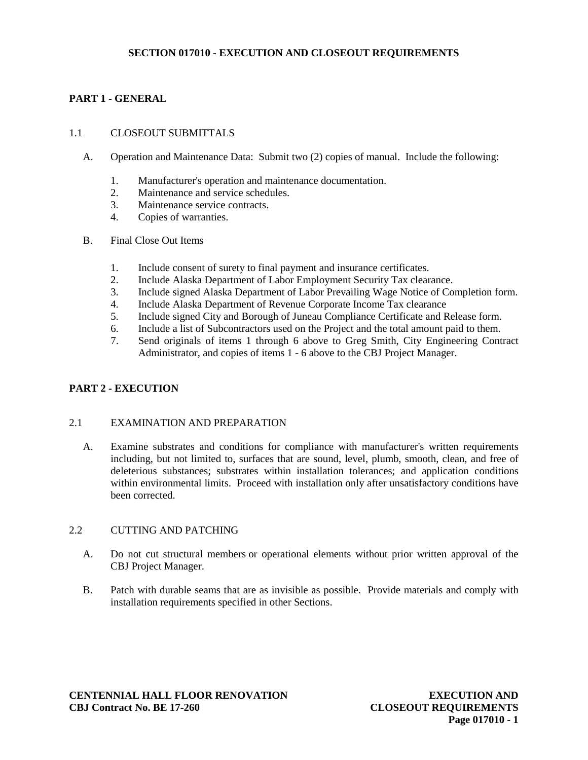# **SECTION 017010 - EXECUTION AND CLOSEOUT REQUIREMENTS**

# **PART 1 - GENERAL**

### 1.1 CLOSEOUT SUBMITTALS

- A. Operation and Maintenance Data: Submit two (2) copies of manual. Include the following:
	- 1. Manufacturer's operation and maintenance documentation.
	- 2. Maintenance and service schedules.
	- 3. Maintenance service contracts.<br>4 Conjes of warranties
	- Copies of warranties.
- B. Final Close Out Items
	- 1. Include consent of surety to final payment and insurance certificates.
	- 2. Include Alaska Department of Labor Employment Security Tax clearance.
	- 3. Include signed Alaska Department of Labor Prevailing Wage Notice of Completion form.
	- 4. Include Alaska Department of Revenue Corporate Income Tax clearance<br>5. Include signed City and Borough of Juneau Compliance Certificate and R
	- 5. Include signed City and Borough of Juneau Compliance Certificate and Release form.
	- 6. Include a list of Subcontractors used on the Project and the total amount paid to them.
	- 7. Send originals of items 1 through 6 above to Greg Smith, City Engineering Contract Administrator, and copies of items 1 - 6 above to the CBJ Project Manager.

### **PART 2 - EXECUTION**

### 2.1 EXAMINATION AND PREPARATION

A. Examine substrates and conditions for compliance with manufacturer's written requirements including, but not limited to, surfaces that are sound, level, plumb, smooth, clean, and free of deleterious substances; substrates within installation tolerances; and application conditions within environmental limits. Proceed with installation only after unsatisfactory conditions have been corrected.

### 2.2 CUTTING AND PATCHING

- A. Do not cut structural members or operational elements without prior written approval of the CBJ Project Manager.
- B. Patch with durable seams that are as invisible as possible. Provide materials and comply with installation requirements specified in other Sections.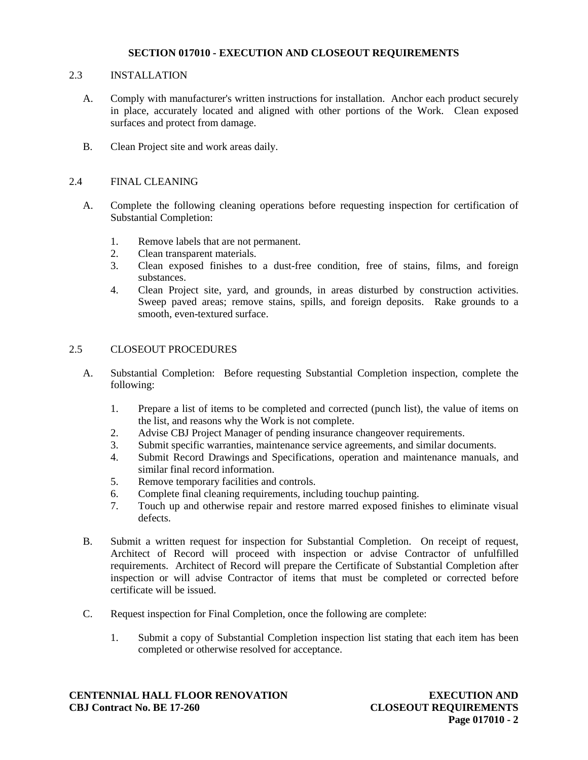## **SECTION 017010 - EXECUTION AND CLOSEOUT REQUIREMENTS**

### 2.3 INSTALLATION

- A. Comply with manufacturer's written instructions for installation. Anchor each product securely in place, accurately located and aligned with other portions of the Work. Clean exposed surfaces and protect from damage.
- B. Clean Project site and work areas daily.

## 2.4 FINAL CLEANING

- A. Complete the following cleaning operations before requesting inspection for certification of Substantial Completion:
	- 1. Remove labels that are not permanent.
	- 2. Clean transparent materials.
	- 3. Clean exposed finishes to a dust-free condition, free of stains, films, and foreign substances.
	- 4. Clean Project site, yard, and grounds, in areas disturbed by construction activities. Sweep paved areas; remove stains, spills, and foreign deposits. Rake grounds to a smooth, even-textured surface.

# 2.5 CLOSEOUT PROCEDURES

- A. Substantial Completion: Before requesting Substantial Completion inspection, complete the following:
	- 1. Prepare a list of items to be completed and corrected (punch list), the value of items on the list, and reasons why the Work is not complete.
	- 2. Advise CBJ Project Manager of pending insurance changeover requirements.
	- 3. Submit specific warranties, maintenance service agreements, and similar documents.
	- 4. Submit Record Drawings and Specifications, operation and maintenance manuals, and similar final record information.
	- 5. Remove temporary facilities and controls.
	- 6. Complete final cleaning requirements, including touchup painting.
	- 7. Touch up and otherwise repair and restore marred exposed finishes to eliminate visual defects.
- B. Submit a written request for inspection for Substantial Completion. On receipt of request, Architect of Record will proceed with inspection or advise Contractor of unfulfilled requirements. Architect of Record will prepare the Certificate of Substantial Completion after inspection or will advise Contractor of items that must be completed or corrected before certificate will be issued.
- C. Request inspection for Final Completion, once the following are complete:
	- 1. Submit a copy of Substantial Completion inspection list stating that each item has been completed or otherwise resolved for acceptance.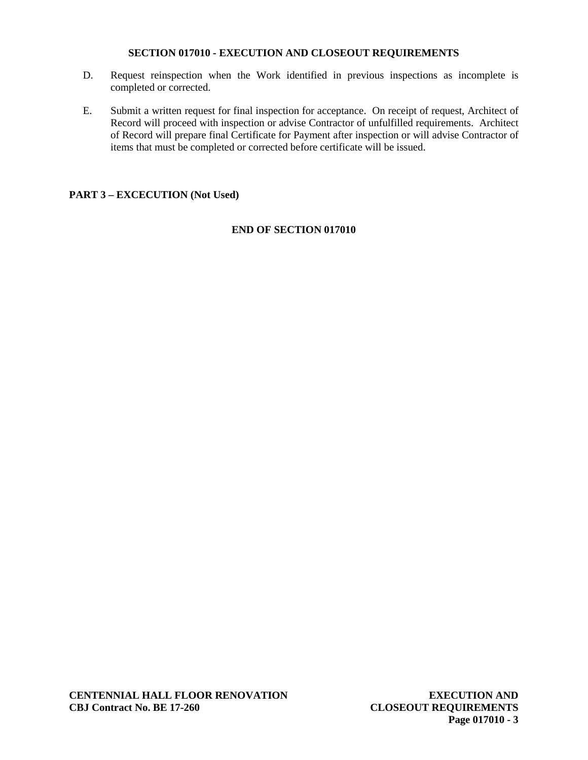## **SECTION 017010 - EXECUTION AND CLOSEOUT REQUIREMENTS**

- D. Request reinspection when the Work identified in previous inspections as incomplete is completed or corrected.
- E. Submit a written request for final inspection for acceptance. On receipt of request, Architect of Record will proceed with inspection or advise Contractor of unfulfilled requirements. Architect of Record will prepare final Certificate for Payment after inspection or will advise Contractor of items that must be completed or corrected before certificate will be issued.

# **PART 3 – EXCECUTION (Not Used)**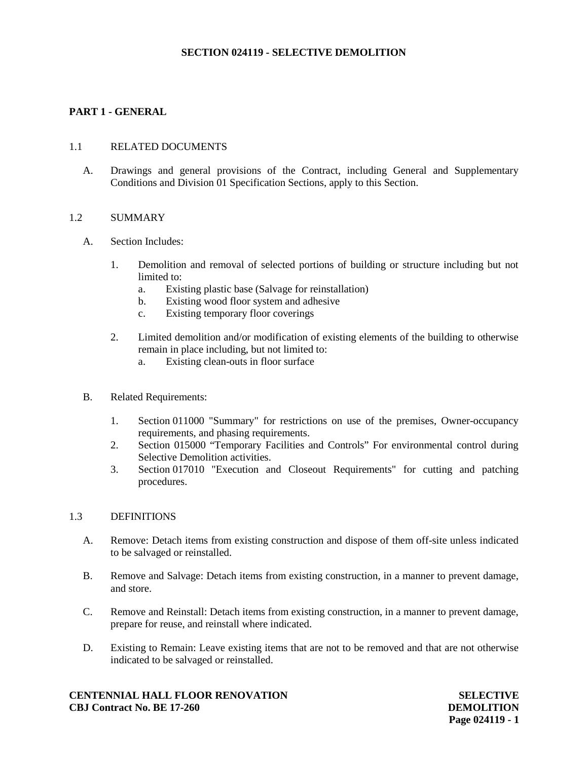# **PART 1 - GENERAL**

### 1.1 RELATED DOCUMENTS

A. Drawings and general provisions of the Contract, including General and Supplementary Conditions and Division 01 Specification Sections, apply to this Section.

### 1.2 SUMMARY

- A. Section Includes:
	- 1. Demolition and removal of selected portions of building or structure including but not limited to:
		- a. Existing plastic base (Salvage for reinstallation)
		- b. Existing wood floor system and adhesive
		- c. Existing temporary floor coverings
	- 2. Limited demolition and/or modification of existing elements of the building to otherwise remain in place including, but not limited to:
		- a. Existing clean-outs in floor surface
- B. Related Requirements:
	- 1. Section 011000 "Summary" for restrictions on use of the premises, Owner-occupancy requirements, and phasing requirements.
	- 2. Section 015000 "Temporary Facilities and Controls" For environmental control during Selective Demolition activities.
	- 3. Section 017010 "Execution and Closeout Requirements" for cutting and patching procedures.

#### 1.3 DEFINITIONS

- A. Remove: Detach items from existing construction and dispose of them off-site unless indicated to be salvaged or reinstalled.
- B. Remove and Salvage: Detach items from existing construction, in a manner to prevent damage, and store.
- C. Remove and Reinstall: Detach items from existing construction, in a manner to prevent damage, prepare for reuse, and reinstall where indicated.
- D. Existing to Remain: Leave existing items that are not to be removed and that are not otherwise indicated to be salvaged or reinstalled.

### **CENTENNIAL HALL FLOOR RENOVATION CBJ Contract No. BE 17-260**

**SELECTIVE DEMOLITION Page 024119 - 1**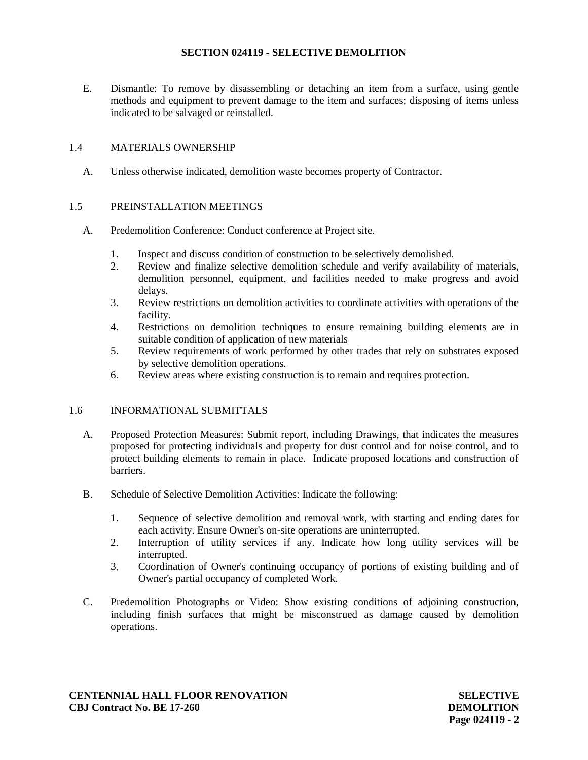E. Dismantle: To remove by disassembling or detaching an item from a surface, using gentle methods and equipment to prevent damage to the item and surfaces; disposing of items unless indicated to be salvaged or reinstalled.

## 1.4 MATERIALS OWNERSHIP

A. Unless otherwise indicated, demolition waste becomes property of Contractor.

## 1.5 PREINSTALLATION MEETINGS

- A. Predemolition Conference: Conduct conference at Project site.
	- 1. Inspect and discuss condition of construction to be selectively demolished.
	- 2. Review and finalize selective demolition schedule and verify availability of materials, demolition personnel, equipment, and facilities needed to make progress and avoid delays.
	- 3. Review restrictions on demolition activities to coordinate activities with operations of the facility.
	- 4. Restrictions on demolition techniques to ensure remaining building elements are in suitable condition of application of new materials
	- 5. Review requirements of work performed by other trades that rely on substrates exposed by selective demolition operations.
	- 6. Review areas where existing construction is to remain and requires protection.

### 1.6 INFORMATIONAL SUBMITTALS

- A. Proposed Protection Measures: Submit report, including Drawings, that indicates the measures proposed for protecting individuals and property for dust control and for noise control, and to protect building elements to remain in place. Indicate proposed locations and construction of barriers.
- B. Schedule of Selective Demolition Activities: Indicate the following:
	- 1. Sequence of selective demolition and removal work, with starting and ending dates for each activity. Ensure Owner's on-site operations are uninterrupted.
	- 2. Interruption of utility services if any. Indicate how long utility services will be interrupted.
	- 3. Coordination of Owner's continuing occupancy of portions of existing building and of Owner's partial occupancy of completed Work.
- C. Predemolition Photographs or Video: Show existing conditions of adjoining construction, including finish surfaces that might be misconstrued as damage caused by demolition operations.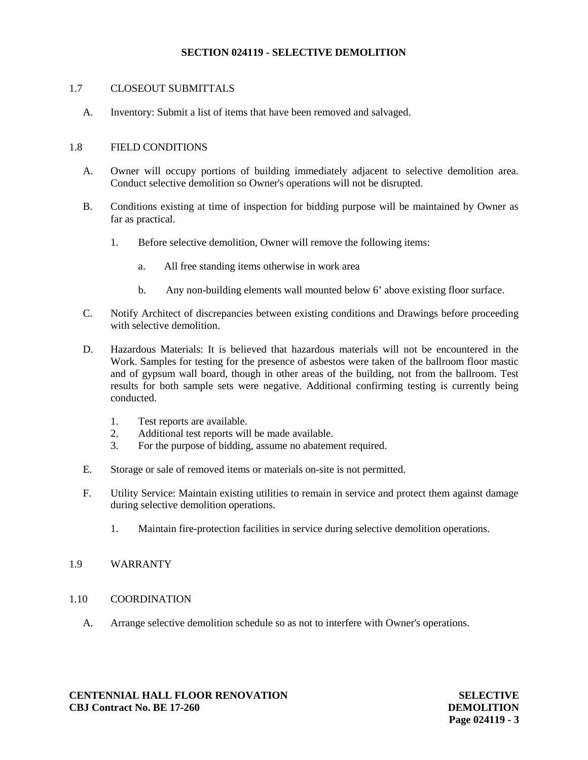## 1.7 CLOSEOUT SUBMITTALS

A. Inventory: Submit a list of items that have been removed and salvaged.

### 1.8 FIELD CONDITIONS

- A. Owner will occupy portions of building immediately adjacent to selective demolition area. Conduct selective demolition so Owner's operations will not be disrupted.
- B. Conditions existing at time of inspection for bidding purpose will be maintained by Owner as far as practical.
	- 1. Before selective demolition, Owner will remove the following items:
		- a. All free standing items otherwise in work area
		- b. Any non-building elements wall mounted below 6' above existing floor surface.
- C. Notify Architect of discrepancies between existing conditions and Drawings before proceeding with selective demolition
- D. Hazardous Materials: It is believed that hazardous materials will not be encountered in the Work. Samples for testing for the presence of asbestos were taken of the ballroom floor mastic and of gypsum wall board, though in other areas of the building, not from the ballroom. Test results for both sample sets were negative. Additional confirming testing is currently being conducted.
	- 1. Test reports are available.
	- 2. Additional test reports will be made available.
	- 3. For the purpose of bidding, assume no abatement required.
- E. Storage or sale of removed items or materials on-site is not permitted.
- F. Utility Service: Maintain existing utilities to remain in service and protect them against damage during selective demolition operations.
	- 1. Maintain fire-protection facilities in service during selective demolition operations.

### 1.9 WARRANTY

- 1.10 COORDINATION
	- A. Arrange selective demolition schedule so as not to interfere with Owner's operations.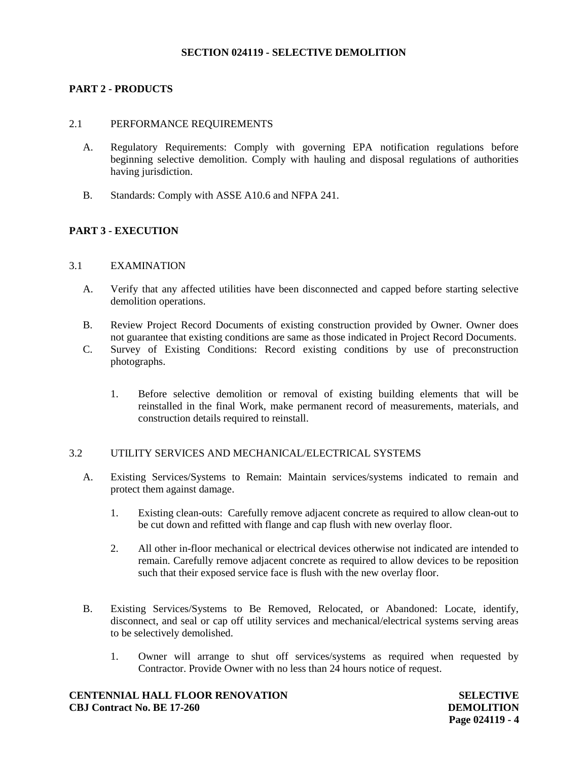## **PART 2 - PRODUCTS**

### 2.1 PERFORMANCE REQUIREMENTS

- A. Regulatory Requirements: Comply with governing EPA notification regulations before beginning selective demolition. Comply with hauling and disposal regulations of authorities having jurisdiction.
- B. Standards: Comply with ASSE A10.6 and NFPA 241.

## **PART 3 - EXECUTION**

### 3.1 EXAMINATION

- A. Verify that any affected utilities have been disconnected and capped before starting selective demolition operations.
- B. Review Project Record Documents of existing construction provided by Owner. Owner does not guarantee that existing conditions are same as those indicated in Project Record Documents.
- C. Survey of Existing Conditions: Record existing conditions by use of preconstruction photographs.
	- 1. Before selective demolition or removal of existing building elements that will be reinstalled in the final Work, make permanent record of measurements, materials, and construction details required to reinstall.

### 3.2 UTILITY SERVICES AND MECHANICAL/ELECTRICAL SYSTEMS

- A. Existing Services/Systems to Remain: Maintain services/systems indicated to remain and protect them against damage.
	- 1. Existing clean-outs: Carefully remove adjacent concrete as required to allow clean-out to be cut down and refitted with flange and cap flush with new overlay floor.
	- 2. All other in-floor mechanical or electrical devices otherwise not indicated are intended to remain. Carefully remove adjacent concrete as required to allow devices to be reposition such that their exposed service face is flush with the new overlay floor.
- B. Existing Services/Systems to Be Removed, Relocated, or Abandoned: Locate, identify, disconnect, and seal or cap off utility services and mechanical/electrical systems serving areas to be selectively demolished.
	- 1. Owner will arrange to shut off services/systems as required when requested by Contractor. Provide Owner with no less than 24 hours notice of request.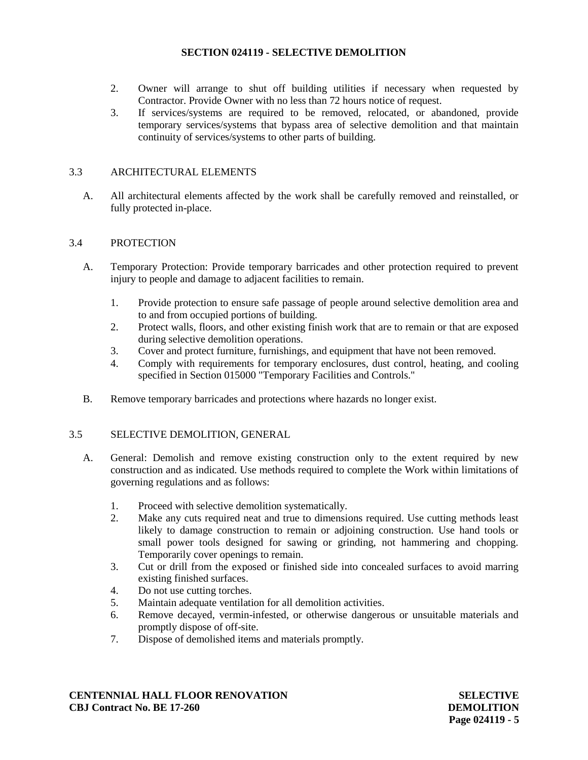- 2. Owner will arrange to shut off building utilities if necessary when requested by Contractor. Provide Owner with no less than 72 hours notice of request.
- 3. If services/systems are required to be removed, relocated, or abandoned, provide temporary services/systems that bypass area of selective demolition and that maintain continuity of services/systems to other parts of building.

# 3.3 ARCHITECTURAL ELEMENTS

A. All architectural elements affected by the work shall be carefully removed and reinstalled, or fully protected in-place.

## 3.4 PROTECTION

- A. Temporary Protection: Provide temporary barricades and other protection required to prevent injury to people and damage to adjacent facilities to remain.
	- 1. Provide protection to ensure safe passage of people around selective demolition area and to and from occupied portions of building.
	- 2. Protect walls, floors, and other existing finish work that are to remain or that are exposed during selective demolition operations.
	- 3. Cover and protect furniture, furnishings, and equipment that have not been removed.
	- 4. Comply with requirements for temporary enclosures, dust control, heating, and cooling specified in Section 015000 "Temporary Facilities and Controls."
- B. Remove temporary barricades and protections where hazards no longer exist.

### 3.5 SELECTIVE DEMOLITION, GENERAL

- A. General: Demolish and remove existing construction only to the extent required by new construction and as indicated. Use methods required to complete the Work within limitations of governing regulations and as follows:
	- 1. Proceed with selective demolition systematically.
	- 2. Make any cuts required neat and true to dimensions required. Use cutting methods least likely to damage construction to remain or adjoining construction. Use hand tools or small power tools designed for sawing or grinding, not hammering and chopping. Temporarily cover openings to remain.
	- 3. Cut or drill from the exposed or finished side into concealed surfaces to avoid marring existing finished surfaces.
	- 4. Do not use cutting torches.
	- 5. Maintain adequate ventilation for all demolition activities.
	- 6. Remove decayed, vermin-infested, or otherwise dangerous or unsuitable materials and promptly dispose of off-site.
	- 7. Dispose of demolished items and materials promptly.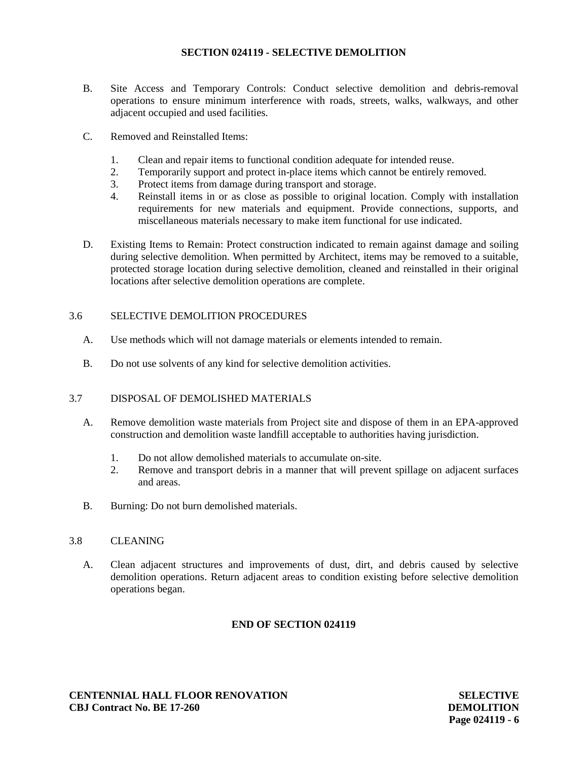- B. Site Access and Temporary Controls: Conduct selective demolition and debris-removal operations to ensure minimum interference with roads, streets, walks, walkways, and other adjacent occupied and used facilities.
- C. Removed and Reinstalled Items:
	- 1. Clean and repair items to functional condition adequate for intended reuse.
	- 2. Temporarily support and protect in-place items which cannot be entirely removed.
	- 3. Protect items from damage during transport and storage.
	- 4. Reinstall items in or as close as possible to original location. Comply with installation requirements for new materials and equipment. Provide connections, supports, and miscellaneous materials necessary to make item functional for use indicated.
- D. Existing Items to Remain: Protect construction indicated to remain against damage and soiling during selective demolition. When permitted by Architect, items may be removed to a suitable, protected storage location during selective demolition, cleaned and reinstalled in their original locations after selective demolition operations are complete.

## 3.6 SELECTIVE DEMOLITION PROCEDURES

- A. Use methods which will not damage materials or elements intended to remain.
- B. Do not use solvents of any kind for selective demolition activities.

# 3.7 DISPOSAL OF DEMOLISHED MATERIALS

- A. Remove demolition waste materials from Project site and dispose of them in an EPA-approved construction and demolition waste landfill acceptable to authorities having jurisdiction.
	- 1. Do not allow demolished materials to accumulate on-site.
	- 2. Remove and transport debris in a manner that will prevent spillage on adjacent surfaces and areas.
- B. Burning: Do not burn demolished materials.

# 3.8 CLEANING

A. Clean adjacent structures and improvements of dust, dirt, and debris caused by selective demolition operations. Return adjacent areas to condition existing before selective demolition operations began.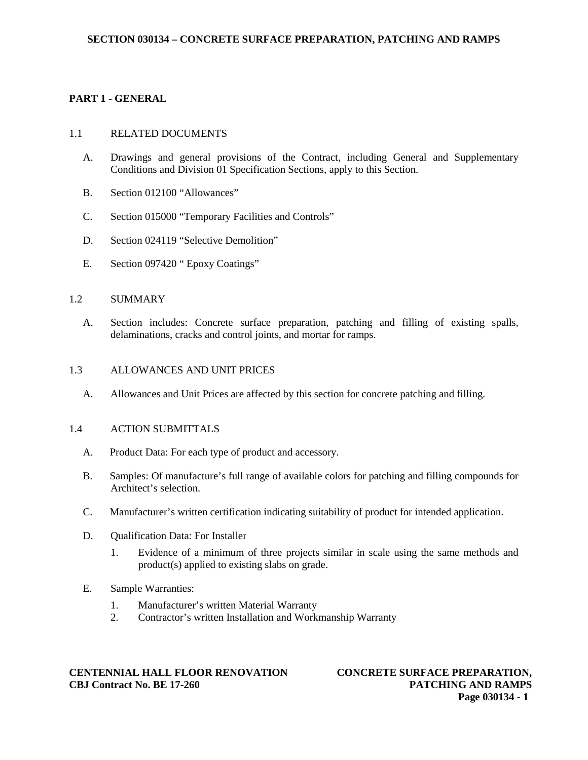# **PART 1 - GENERAL**

### 1.1 RELATED DOCUMENTS

- A. Drawings and general provisions of the Contract, including General and Supplementary Conditions and Division 01 Specification Sections, apply to this Section.
- B. Section 012100 "Allowances"
- C. Section 015000 "Temporary Facilities and Controls"
- D. Section 024119 "Selective Demolition"
- E. Section 097420 " Epoxy Coatings"

### 1.2 SUMMARY

A. Section includes: Concrete surface preparation, patching and filling of existing spalls, delaminations, cracks and control joints, and mortar for ramps.

### 1.3 ALLOWANCES AND UNIT PRICES

A. Allowances and Unit Prices are affected by this section for concrete patching and filling.

#### 1.4 ACTION SUBMITTALS

- A. Product Data: For each type of product and accessory.
- B. Samples: Of manufacture's full range of available colors for patching and filling compounds for Architect's selection.
- C. Manufacturer's written certification indicating suitability of product for intended application.
- D. Oualification Data: For Installer
	- 1. Evidence of a minimum of three projects similar in scale using the same methods and product(s) applied to existing slabs on grade.
- E. Sample Warranties:
	- 1. Manufacturer's written Material Warranty
	- 2. Contractor's written Installation and Workmanship Warranty

### **CENTENNIAL HALL FLOOR RENOVATION CBJ Contract No. BE 17-260**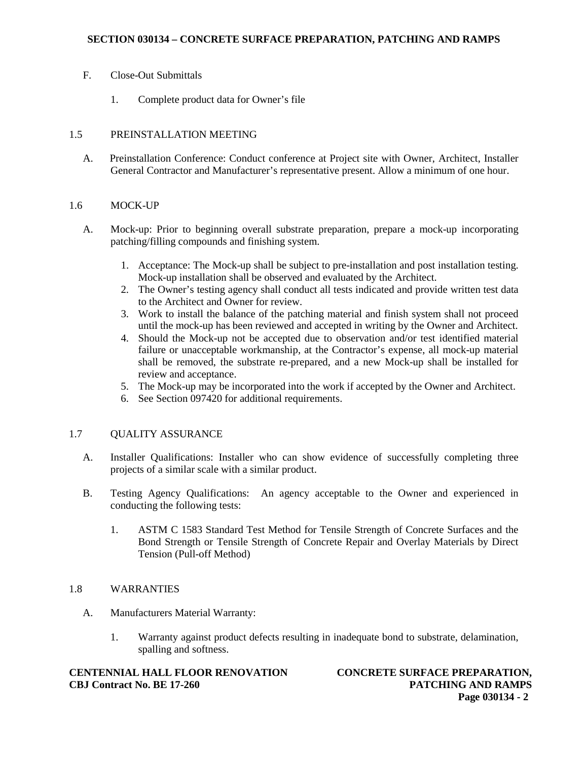- F. Close-Out Submittals
	- 1. Complete product data for Owner's file

# 1.5 PREINSTALLATION MEETING

A. Preinstallation Conference: Conduct conference at Project site with Owner, Architect, Installer General Contractor and Manufacturer's representative present. Allow a minimum of one hour.

## 1.6 MOCK-UP

- A. Mock-up: Prior to beginning overall substrate preparation, prepare a mock-up incorporating patching/filling compounds and finishing system.
	- 1. Acceptance: The Mock-up shall be subject to pre-installation and post installation testing. Mock-up installation shall be observed and evaluated by the Architect.
	- 2. The Owner's testing agency shall conduct all tests indicated and provide written test data to the Architect and Owner for review.
	- 3. Work to install the balance of the patching material and finish system shall not proceed until the mock-up has been reviewed and accepted in writing by the Owner and Architect.
	- 4. Should the Mock-up not be accepted due to observation and/or test identified material failure or unacceptable workmanship, at the Contractor's expense, all mock-up material shall be removed, the substrate re-prepared, and a new Mock-up shall be installed for review and acceptance.
	- 5. The Mock-up may be incorporated into the work if accepted by the Owner and Architect.
	- 6. See Section 097420 for additional requirements.

### 1.7 QUALITY ASSURANCE

- A. Installer Qualifications: Installer who can show evidence of successfully completing three projects of a similar scale with a similar product.
- B. Testing Agency Qualifications: An agency acceptable to the Owner and experienced in conducting the following tests:
	- 1. ASTM C 1583 Standard Test Method for Tensile Strength of Concrete Surfaces and the Bond Strength or Tensile Strength of Concrete Repair and Overlay Materials by Direct Tension (Pull-off Method)

# 1.8 WARRANTIES

- A. Manufacturers Material Warranty:
	- 1. Warranty against product defects resulting in inadequate bond to substrate, delamination, spalling and softness.

### **CENTENNIAL HALL FLOOR RENOVATION CBJ Contract No. BE 17-260**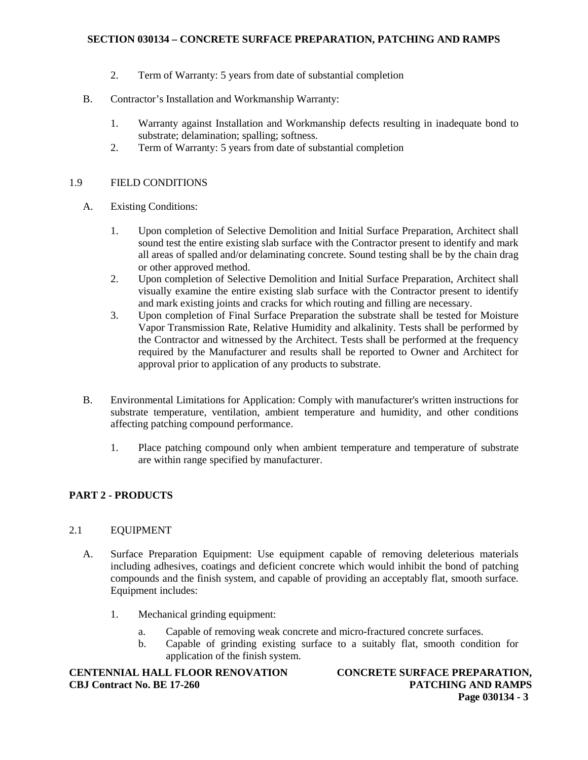## **SECTION 030134 – CONCRETE SURFACE PREPARATION, PATCHING AND RAMPS**

- 2. Term of Warranty: 5 years from date of substantial completion
- B. Contractor's Installation and Workmanship Warranty:
	- 1. Warranty against Installation and Workmanship defects resulting in inadequate bond to substrate; delamination; spalling; softness.
	- 2. Term of Warranty: 5 years from date of substantial completion

## 1.9 FIELD CONDITIONS

- A. Existing Conditions:
	- 1. Upon completion of Selective Demolition and Initial Surface Preparation, Architect shall sound test the entire existing slab surface with the Contractor present to identify and mark all areas of spalled and/or delaminating concrete. Sound testing shall be by the chain drag or other approved method.
	- 2. Upon completion of Selective Demolition and Initial Surface Preparation, Architect shall visually examine the entire existing slab surface with the Contractor present to identify and mark existing joints and cracks for which routing and filling are necessary.
	- 3. Upon completion of Final Surface Preparation the substrate shall be tested for Moisture Vapor Transmission Rate, Relative Humidity and alkalinity. Tests shall be performed by the Contractor and witnessed by the Architect. Tests shall be performed at the frequency required by the Manufacturer and results shall be reported to Owner and Architect for approval prior to application of any products to substrate.
- B. Environmental Limitations for Application: Comply with manufacturer's written instructions for substrate temperature, ventilation, ambient temperature and humidity, and other conditions affecting patching compound performance.
	- 1. Place patching compound only when ambient temperature and temperature of substrate are within range specified by manufacturer.

# **PART 2 - PRODUCTS**

# 2.1 EQUIPMENT

- A. Surface Preparation Equipment: Use equipment capable of removing deleterious materials including adhesives, coatings and deficient concrete which would inhibit the bond of patching compounds and the finish system, and capable of providing an acceptably flat, smooth surface. Equipment includes:
	- 1. Mechanical grinding equipment:
		- a. Capable of removing weak concrete and micro-fractured concrete surfaces.
		- b. Capable of grinding existing surface to a suitably flat, smooth condition for application of the finish system.

### **CENTENNIAL HALL FLOOR RENOVATION CBJ Contract No. BE 17-260**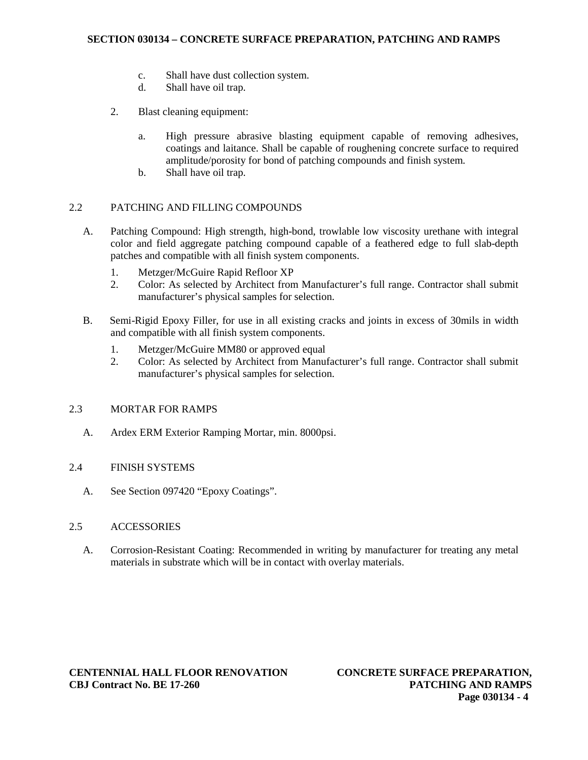## **SECTION 030134 – CONCRETE SURFACE PREPARATION, PATCHING AND RAMPS**

- c. Shall have dust collection system.
- d. Shall have oil trap.
- 2. Blast cleaning equipment:
	- a. High pressure abrasive blasting equipment capable of removing adhesives, coatings and laitance. Shall be capable of roughening concrete surface to required amplitude/porosity for bond of patching compounds and finish system.
	- b. Shall have oil trap.

## 2.2 PATCHING AND FILLING COMPOUNDS

- A. Patching Compound: High strength, high-bond, trowlable low viscosity urethane with integral color and field aggregate patching compound capable of a feathered edge to full slab-depth patches and compatible with all finish system components.
	- 1. Metzger/McGuire Rapid Refloor XP
	- 2. Color: As selected by Architect from Manufacturer's full range. Contractor shall submit manufacturer's physical samples for selection.
- B. Semi-Rigid Epoxy Filler, for use in all existing cracks and joints in excess of 30mils in width and compatible with all finish system components.
	- 1. Metzger/McGuire MM80 or approved equal
	- 2. Color: As selected by Architect from Manufacturer's full range. Contractor shall submit manufacturer's physical samples for selection.

### 2.3 MORTAR FOR RAMPS

A. Ardex ERM Exterior Ramping Mortar, min. 8000psi.

### 2.4 FINISH SYSTEMS

A. See Section 097420 "Epoxy Coatings".

### 2.5 ACCESSORIES

A. Corrosion-Resistant Coating: Recommended in writing by manufacturer for treating any metal materials in substrate which will be in contact with overlay materials.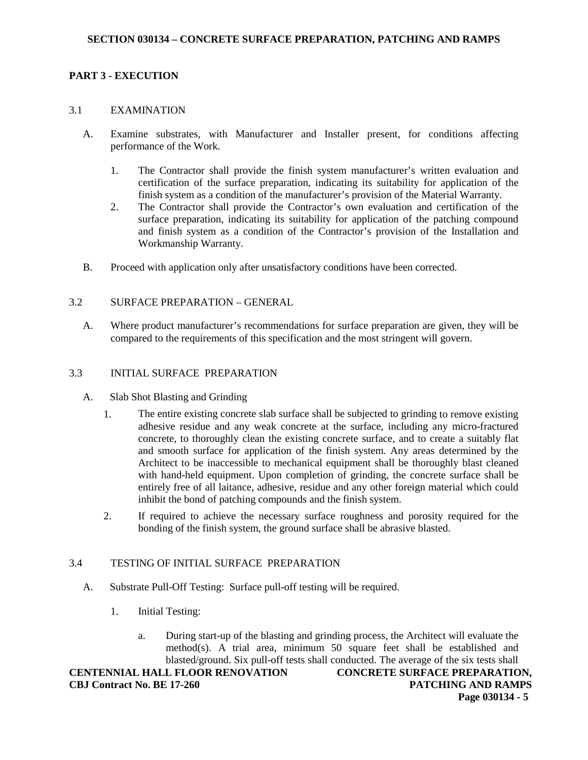### **PART 3 - EXECUTION**

#### 3.1 EXAMINATION

- A. Examine substrates, with Manufacturer and Installer present, for conditions affecting performance of the Work.
	- 1. The Contractor shall provide the finish system manufacturer's written evaluation and certification of the surface preparation, indicating its suitability for application of the finish system as a condition of the manufacturer's provision of the Material Warranty.
	- 2. The Contractor shall provide the Contractor's own evaluation and certification of the surface preparation, indicating its suitability for application of the patching compound and finish system as a condition of the Contractor's provision of the Installation and Workmanship Warranty.
- B. Proceed with application only after unsatisfactory conditions have been corrected.

### 3.2 SURFACE PREPARATION – GENERAL

A. Where product manufacturer's recommendations for surface preparation are given, they will be compared to the requirements of this specification and the most stringent will govern.

### 3.3 INITIAL SURFACE PREPARATION

- A. Slab Shot Blasting and Grinding
	- 1. The entire existing concrete slab surface shall be subjected to grinding to remove existing adhesive residue and any weak concrete at the surface, including any micro-fractured concrete, to thoroughly clean the existing concrete surface, and to create a suitably flat and smooth surface for application of the finish system. Any areas determined by the Architect to be inaccessible to mechanical equipment shall be thoroughly blast cleaned with hand-held equipment. Upon completion of grinding, the concrete surface shall be entirely free of all laitance, adhesive, residue and any other foreign material which could inhibit the bond of patching compounds and the finish system.
	- 2. If required to achieve the necessary surface roughness and porosity required for the bonding of the finish system, the ground surface shall be abrasive blasted.

### 3.4 TESTING OF INITIAL SURFACE PREPARATION

- A. Substrate Pull-Off Testing: Surface pull-off testing will be required.
	- 1. Initial Testing:
		- a. During start-up of the blasting and grinding process, the Architect will evaluate the method(s). A trial area, minimum 50 square feet shall be established and blasted/ground. Six pull-off tests shall conducted. The average of the six tests shall

**CENTENNIAL HALL FLOOR RENOVATION CBJ Contract No. BE 17-260**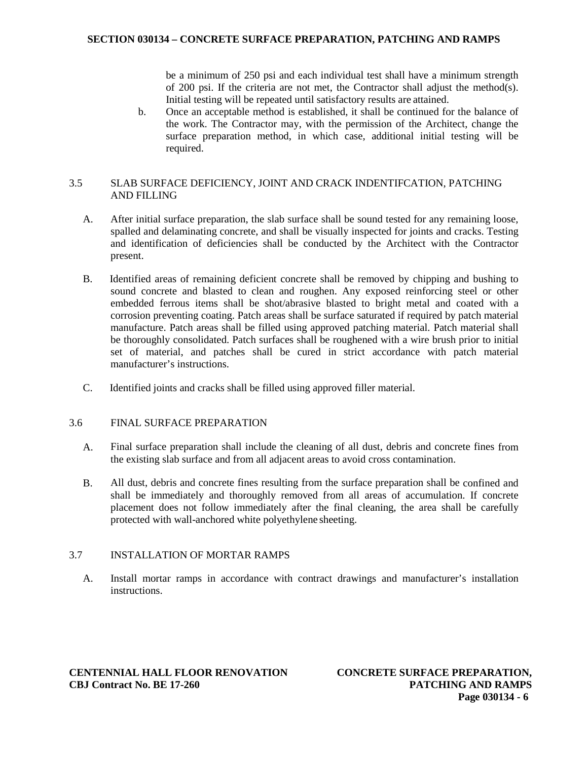### **SECTION 030134 – CONCRETE SURFACE PREPARATION, PATCHING AND RAMPS**

be a minimum of 250 psi and each individual test shall have a minimum strength of 200 psi. If the criteria are not met, the Contractor shall adjust the method(s). Initial testing will be repeated until satisfactory results are attained.

b. Once an acceptable method is established, it shall be continued for the balance of the work. The Contractor may, with the permission of the Architect, change the surface preparation method, in which case, additional initial testing will be required.

# 3.5 SLAB SURFACE DEFICIENCY, JOINT AND CRACK INDENTIFCATION, PATCHING AND FILLING

- A. After initial surface preparation, the slab surface shall be sound tested for any remaining loose, spalled and delaminating concrete, and shall be visually inspected for joints and cracks. Testing and identification of deficiencies shall be conducted by the Architect with the Contractor present.
- B. Identified areas of remaining deficient concrete shall be removed by chipping and bushing to sound concrete and blasted to clean and roughen. Any exposed reinforcing steel or other embedded ferrous items shall be shot/abrasive blasted to bright metal and coated with a corrosion preventing coating. Patch areas shall be surface saturated if required by patch material manufacture. Patch areas shall be filled using approved patching material. Patch material shall be thoroughly consolidated. Patch surfaces shall be roughened with a wire brush prior to initial set of material, and patches shall be cured in strict accordance with patch material manufacturer's instructions.
- C. Identified joints and cracks shall be filled using approved filler material.

#### 3.6 FINAL SURFACE PREPARATION

- A. Final surface preparation shall include the cleaning of all dust, debris and concrete fines from the existing slab surface and from all adjacent areas to avoid cross contamination.
- B. All dust, debris and concrete fines resulting from the surface preparation shall be confined and shall be immediately and thoroughly removed from all areas of accumulation. If concrete placement does not follow immediately after the final cleaning, the area shall be carefully protected with wall-anchored white polyethylene sheeting.

### 3.7 INSTALLATION OF MORTAR RAMPS

A. Install mortar ramps in accordance with contract drawings and manufacturer's installation instructions.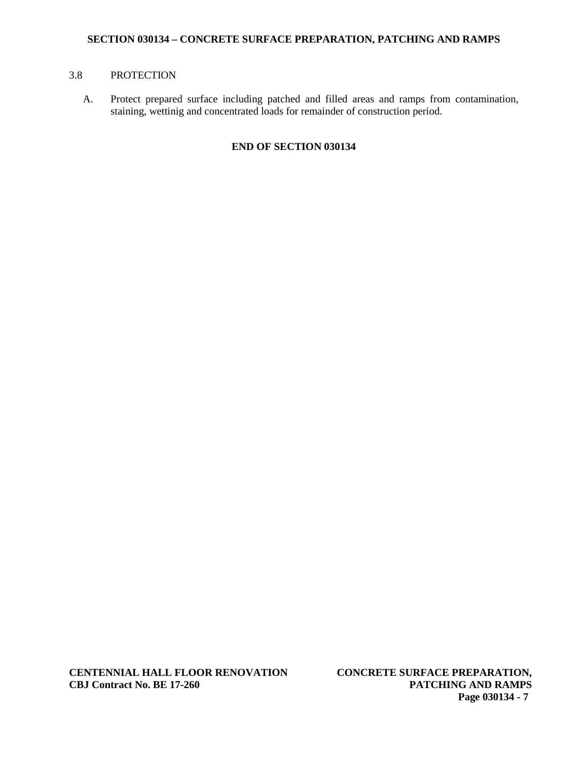### **SECTION 030134 – CONCRETE SURFACE PREPARATION, PATCHING AND RAMPS**

# 3.8 PROTECTION

A. Protect prepared surface including patched and filled areas and ramps from contamination, staining, wettinig and concentrated loads for remainder of construction period.

# **END OF SECTION 030134**

**CENTENNIAL HALL FLOOR RENOVATION CBJ Contract No. BE 17-260**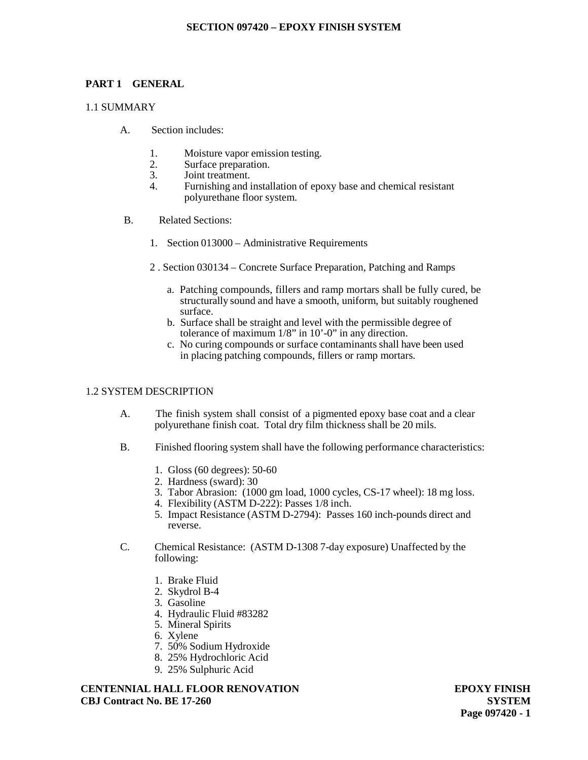### **SECTION 097420 – EPOXY FINISH SYSTEM**

#### **PART 1 GENERAL**

#### 1.1 SUMMARY

- A. Section includes:
	- 1. Moisture vapor emission testing.
	- 2. Surface preparation.<br>3. Joint treatment.
	- 3. Joint treatment.<br>4. Furnishing and i
	- 4. Furnishing and installation of epoxy base and chemical resistant polyurethane floor system.
- B. Related Sections:
	- 1. Section 013000 Administrative Requirements
	- 2 . Section 030134 Concrete Surface Preparation, Patching and Ramps
		- a. Patching compounds, fillers and ramp mortars shall be fully cured, be structurally sound and have a smooth, uniform, but suitably roughened surface.
		- b. Surface shall be straight and level with the permissible degree of tolerance of maximum 1/8" in 10'-0" in any direction.
		- c. No curing compounds or surface contaminants shall have been used in placing patching compounds, fillers or ramp mortars.

### 1.2 SYSTEM DESCRIPTION

- A. The finish system shall consist of a pigmented epoxy base coat and a clear polyurethane finish coat. Total dry film thickness shall be 20 mils.
- B. Finished flooring system shall have the following performance characteristics:
	- 1. Gloss (60 degrees): 50-60
	- 2. Hardness (sward): 30
	- 3. Tabor Abrasion: (1000 gm load, 1000 cycles, CS-17 wheel): 18 mg loss.
	- 4. Flexibility (ASTM D-222): Passes 1/8 inch.
	- 5. Impact Resistance (ASTM D-2794): Passes 160 inch-pounds direct and reverse.
- C. Chemical Resistance: (ASTM D-1308 7-day exposure) Unaffected by the following:
	- 1. Brake Fluid
	- 2. Skydrol B-4
	- 3. Gasoline
	- 4. Hydraulic Fluid #83282
	- 5. Mineral Spirits
	- 6. Xylene
	- 7. 50% Sodium Hydroxide
	- 8. 25% Hydrochloric Acid
	- 9. 25% Sulphuric Acid

**CENTENNIAL HALL FLOOR RENOVATION CBJ Contract No. BE 17-260**

**EPOXY FINISH SYSTEM Page 097420 - 1**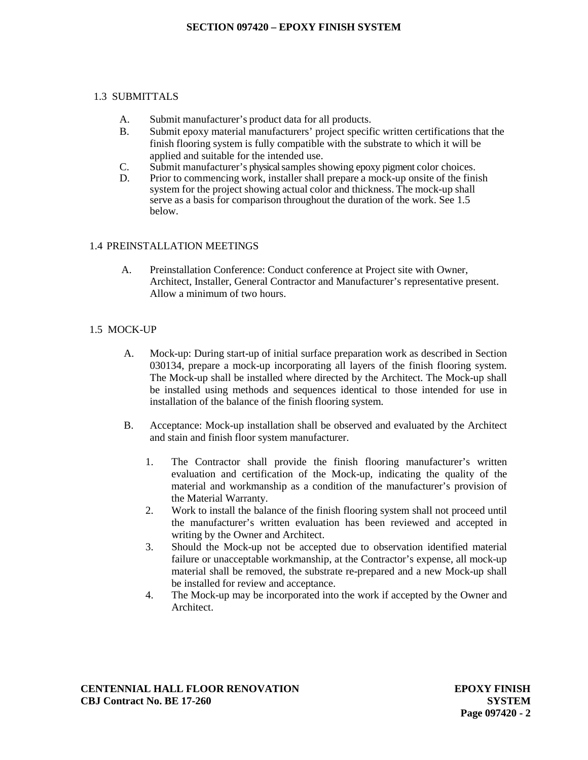## **SECTION 097420 – EPOXY FINISH SYSTEM**

# 1.3 SUBMITTALS

- A. Submit manufacturer's product data for all products.
- B. Submit epoxy material manufacturers' project specific written certifications that the finish flooring system is fully compatible with the substrate to which it will be applied and suitable for the intended use.
- C. Submit manufacturer's physical samples showing epoxy pigment color choices.
- D. Prior to commencing work, installer shall prepare a mock-up onsite of the finish system for the project showing actual color and thickness. The mock-up shall serve as a basis for comparison throughout the duration of the work. See 1.5 below.

# 1.4 PREINSTALLATION MEETINGS

A. Preinstallation Conference: Conduct conference at Project site with Owner, Architect, Installer, General Contractor and Manufacturer's representative present. Allow a minimum of two hours.

# 1.5 MOCK-UP

- A. Mock-up: During start-up of initial surface preparation work as described in Section 030134, prepare a mock-up incorporating all layers of the finish flooring system. The Mock-up shall be installed where directed by the Architect. The Mock-up shall be installed using methods and sequences identical to those intended for use in installation of the balance of the finish flooring system.
- B. Acceptance: Mock-up installation shall be observed and evaluated by the Architect and stain and finish floor system manufacturer.
	- 1. The Contractor shall provide the finish flooring manufacturer's written evaluation and certification of the Mock-up, indicating the quality of the material and workmanship as a condition of the manufacturer's provision of the Material Warranty.
	- 2. Work to install the balance of the finish flooring system shall not proceed until the manufacturer's written evaluation has been reviewed and accepted in writing by the Owner and Architect.
	- 3. Should the Mock-up not be accepted due to observation identified material failure or unacceptable workmanship, at the Contractor's expense, all mock-up material shall be removed, the substrate re-prepared and a new Mock-up shall be installed for review and acceptance.
	- 4. The Mock-up may be incorporated into the work if accepted by the Owner and Architect.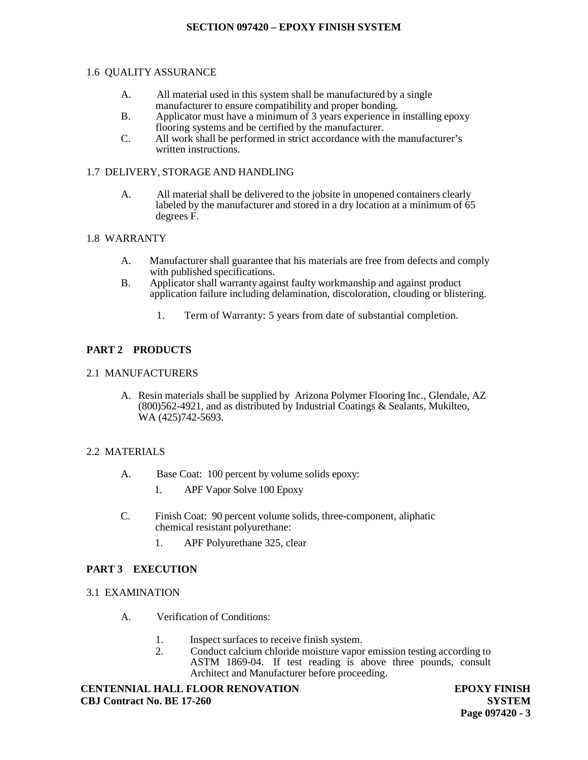# 1.6 QUALITY ASSURANCE

- A. All material used in this system shall be manufactured by a single manufacturer to ensure compatibility and proper bonding.
- B. Applicator must have a minimum of 3 years experience in installing epoxy flooring systems and be certified by the manufacturer.
- C. All work shall be performed in strict accordance with the manufacturer's written instructions.

# 1.7 DELIVERY, STORAGE AND HANDLING

A. All material shall be delivered to the jobsite in unopened containers clearly labeled by the manufacturer and stored in a dry location at a minimum of 65 degrees F.

### 1.8 WARRANTY

- A. Manufacturer shall guarantee that his materials are free from defects and comply with published specifications.
- B. Applicator shall warranty against faulty workmanship and against product application failure including delamination, discoloration, clouding or blistering.
	- 1. Term of Warranty: 5 years from date of substantial completion.

# **PART 2 PRODUCTS**

# 2.1 MANUFACTURERS

A. Resin materials shall be supplied by Arizona Polymer Flooring Inc., Glendale, AZ (800)562-4921, and as distributed by Industrial Coatings & Sealants, Mukilteo, WA (425)742-5693.

# 2.2 MATERIALS

- A. Base Coat: 100 percent by volume solids epoxy:
	- 1. APF Vapor Solve 100 Epoxy
- C. Finish Coat: 90 percent volume solids, three-component, aliphatic chemical resistant polyurethane:
	- 1. APF Polyurethane 325, clear

# **PART 3 EXECUTION**

- 3.1 EXAMINATION
	- A. Verification of Conditions:
		- 1. Inspect surfaces to receive finish system.
		- 2. Conduct calcium chloride moisture vapor emission testing according to ASTM 1869-04. If test reading is above three pounds, consult Architect and Manufacturer before proceeding.

**CENTENNIAL HALL FLOOR RENOVATION CBJ Contract No. BE 17-260**